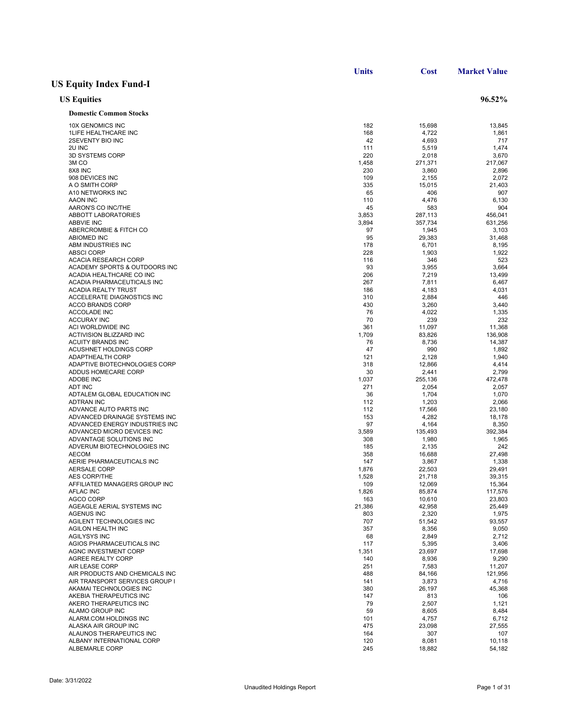|                                                      | <b>Units</b> | Cost            | <b>Market Value</b> |
|------------------------------------------------------|--------------|-----------------|---------------------|
| <b>US Equity Index Fund-I</b>                        |              |                 |                     |
| <b>US Equities</b>                                   |              |                 | 96.52%              |
| <b>Domestic Common Stocks</b>                        |              |                 |                     |
| 10X GENOMICS INC                                     | 182          | 15,698          | 13,845              |
| <b>1LIFE HEALTHCARE INC</b>                          | 168          | 4,722           | 1,861               |
| 2SEVENTY BIO INC                                     | 42           | 4,693           | 717                 |
| 2U INC                                               | 111          | 5,519           | 1,474               |
| 3D SYSTEMS CORP                                      | 220          | 2,018           | 3,670               |
| 3M <sub>CO</sub>                                     | 1,458        | 271,371         | 217,067             |
| 8X8 INC                                              | 230          | 3,860           | 2,896               |
| 908 DEVICES INC                                      | 109          | 2,155           | 2,072               |
| A O SMITH CORP                                       | 335          | 15,015          | 21,403              |
| A10 NETWORKS INC                                     | 65           | 406             | 907                 |
| AAON INC                                             | 110          | 4,476           | 6,130               |
| AARON'S CO INC/THE                                   | 45           | 583             | 904                 |
| ABBOTT LABORATORIES                                  | 3,853        | 287,113         | 456,041             |
| <b>ABBVIE INC</b>                                    | 3,894        | 357,734         | 631,256             |
| ABERCROMBIE & FITCH CO                               | 97           | 1,945           | 3,103               |
| <b>ABIOMED INC</b>                                   | 95           | 29,383          | 31,468              |
| ABM INDUSTRIES INC                                   | 178          | 6,701           | 8,195               |
| <b>ABSCI CORP</b>                                    | 228          | 1,903           | 1,922               |
| <b>ACACIA RESEARCH CORP</b>                          | 116          | 346             | 523                 |
| ACADEMY SPORTS & OUTDOORS INC                        | 93           | 3,955           | 3,664               |
| ACADIA HEALTHCARE CO INC                             | 206          | 7,219           | 13,499              |
| ACADIA PHARMACEUTICALS INC                           | 267          | 7,811           | 6,467               |
| <b>ACADIA REALTY TRUST</b>                           | 186          | 4,183           | 4,031               |
| ACCELERATE DIAGNOSTICS INC                           | 310          | 2,884           | 446                 |
| <b>ACCO BRANDS CORP</b>                              | 430          | 3,260           | 3,440               |
| ACCOLADE INC<br><b>ACCURAY INC</b>                   | 76           | 4,022           | 1,335               |
| ACI WORLDWIDE INC                                    | 70           | 239             | 232                 |
|                                                      | 361          | 11,097          | 11,368              |
| ACTIVISION BLIZZARD INC                              | 1,709<br>76  | 83,826<br>8,736 | 136,908             |
| ACUITY BRANDS INC                                    | 47           | 990             | 14,387              |
| ACUSHNET HOLDINGS CORP                               |              |                 | 1,892               |
| ADAPTHEALTH CORP                                     | 121          | 2,128           | 1,940               |
| ADAPTIVE BIOTECHNOLOGIES CORP<br>ADDUS HOMECARE CORP | 318<br>30    | 12,866<br>2,441 | 4,414<br>2,799      |
| ADOBE INC                                            | 1,037        | 255,136         | 472,478             |
| <b>ADT INC</b>                                       | 271          | 2,054           | 2,057               |
| ADTALEM GLOBAL EDUCATION INC                         | 36           | 1,704           | 1,070               |
| <b>ADTRAN INC</b>                                    | 112          | 1,203           | 2,066               |
| ADVANCE AUTO PARTS INC                               | 112          | 17,566          | 23,180              |
| ADVANCED DRAINAGE SYSTEMS INC                        | 153          | 4,282           | 18,178              |
| ADVANCED ENERGY INDUSTRIES INC                       | 97           | 4,164           | 8,350               |
| ADVANCED MICRO DEVICES INC                           | 3,589        | 135,493         | 392,384             |
| ADVANTAGE SOLUTIONS INC                              | 308          | 1,980           | 1,965               |
| ADVERUM BIOTECHNOLOGIES INC                          | 185          | 2,135           | 242                 |
| <b>AECOM</b>                                         | 358          | 16,688          | 27,498              |
| AERIE PHARMACEUTICALS INC                            | 147          | 3,867           | 1,338               |
| <b>AERSALE CORP</b>                                  | 1,876        | 22,503          | 29,491              |
| <b>AES CORP/THE</b>                                  | 1,528        | 21,718          | 39,315              |
| AFFILIATED MANAGERS GROUP INC                        | 109          | 12,069          | 15,364              |
| AFLAC INC                                            | 1,826        | 85,874          | 117,576             |
| <b>AGCO CORP</b>                                     | 163          | 10,610          | 23,803              |
| AGEAGLE AERIAL SYSTEMS INC                           | 21,386       | 42,958          | 25,449              |
| <b>AGENUS INC</b>                                    | 803          | 2,320           | 1,975               |
| AGILENT TECHNOLOGIES INC                             | 707          | 51,542          | 93,557              |
| AGILON HEALTH INC                                    | 357          | 8,356           | 9,050               |
| <b>AGILYSYS INC</b>                                  | 68           | 2,849           | 2,712               |
| AGIOS PHARMACEUTICALS INC                            | 117          | 5,395           | 3,406               |
| AGNC INVESTMENT CORP                                 | 1,351        | 23,697          | 17,698              |
| AGREE REALTY CORP                                    | 140          | 8,936           | 9,290               |
| AIR LEASE CORP                                       | 251          | 7,583           |                     |
| AIR PRODUCTS AND CHEMICALS INC                       | 488          | 84,166          | 11,207<br>121,956   |
| AIR TRANSPORT SERVICES GROUP I                       | 141          |                 | 4,716               |
| AKAMAI TECHNOLOGIES INC                              | 380          | 3,873<br>26,197 | 45,368              |
| AKEBIA THERAPEUTICS INC                              | 147          | 813             | 106                 |
|                                                      |              |                 |                     |
| AKERO THERAPEUTICS INC                               | 79           | 2,507           | 1,121               |
| ALAMO GROUP INC<br>ALARM.COM HOLDINGS INC            | 59<br>101    | 8,605           | 8,484               |
| ALASKA AIR GROUP INC                                 |              | 4,757           | 6,712               |
| ALAUNOS THERAPEUTICS INC                             | 475<br>164   | 23,098          | 27,555              |
| ALBANY INTERNATIONAL CORP                            |              | 307             | 107<br>10,118       |
|                                                      | 120          | 8,081           |                     |
| ALBEMARLE CORP                                       | 245          | 18,882          | 54,182              |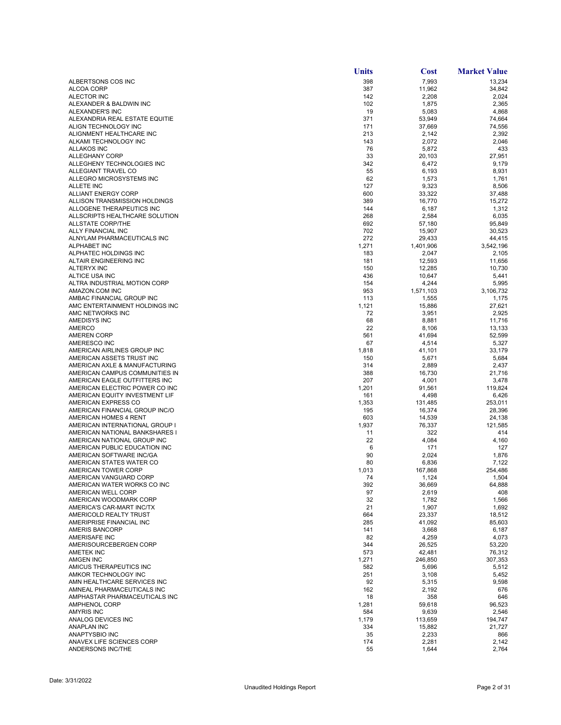|                                                                  | Units        | <b>Cost</b>      | <b>Market Value</b> |
|------------------------------------------------------------------|--------------|------------------|---------------------|
| ALBERTSONS COS INC                                               | 398          | 7,993            | 13,234              |
| ALCOA CORP                                                       | 387          | 11,962           | 34,842              |
| ALECTOR INC                                                      | 142<br>102   | 2,208            | 2,024               |
| ALEXANDER & BALDWIN INC<br>ALEXANDER'S INC                       | 19           | 1,875<br>5,083   | 2,365<br>4,868      |
| ALEXANDRIA REAL ESTATE EQUITIE                                   | 371          | 53,949           | 74,664              |
| ALIGN TECHNOLOGY INC                                             | 171          | 37,669           | 74,556              |
| ALIGNMENT HEALTHCARE INC                                         | 213          | 2,142            | 2,392               |
| ALKAMI TECHNOLOGY INC                                            | 143          | 2,072            | 2,046               |
| <b>ALLAKOS INC</b>                                               | 76           | 5,872            | 433                 |
| ALLEGHANY CORP<br>ALLEGHENY TECHNOLOGIES INC                     | 33<br>342    | 20,103<br>6,472  | 27,951<br>9,179     |
| ALLEGIANT TRAVEL CO                                              | 55           | 6,193            | 8,931               |
| ALLEGRO MICROSYSTEMS INC                                         | 62           | 1,573            | 1,761               |
| <b>ALLETE INC</b>                                                | 127          | 9,323            | 8,506               |
| ALLIANT ENERGY CORP                                              | 600          | 33,322           | 37,488              |
| ALLISON TRANSMISSION HOLDINGS                                    | 389          | 16,770           | 15,272              |
| ALLOGENE THERAPEUTICS INC                                        | 144          | 6,187            | 1,312               |
| ALLSCRIPTS HEALTHCARE SOLUTION<br><b>ALLSTATE CORP/THE</b>       | 268<br>692   | 2,584<br>57,180  | 6,035<br>95,849     |
| ALLY FINANCIAL INC                                               | 702          | 15,907           | 30,523              |
| ALNYLAM PHARMACEUTICALS INC                                      | 272          | 29,433           | 44,415              |
| <b>ALPHABET INC</b>                                              | 1,271        | 1,401,906        | 3,542,196           |
| ALPHATEC HOLDINGS INC                                            | 183          | 2,047            | 2,105               |
| ALTAIR ENGINEERING INC                                           | 181          | 12,593           | 11,656              |
| ALTERYX INC                                                      | 150          | 12,285           | 10,730              |
| ALTICE USA INC<br>ALTRA INDUSTRIAL MOTION CORP                   | 436<br>154   | 10,647<br>4,244  | 5,441<br>5,995      |
| AMAZON.COM INC                                                   | 953          | 1,571,103        | 3,106,732           |
| AMBAC FINANCIAL GROUP INC                                        | 113          | 1,555            | 1,175               |
| AMC ENTERTAINMENT HOLDINGS INC                                   | 1,121        | 15,886           | 27,621              |
| AMC NETWORKS INC                                                 | 72           | 3,951            | 2,925               |
| AMEDISYS INC                                                     | 68           | 8,881            | 11,716              |
| <b>AMERCO</b><br><b>AMEREN CORP</b>                              | 22<br>561    | 8,106<br>41,694  | 13,133<br>52,599    |
| AMERESCO INC                                                     | 67           | 4,514            | 5,327               |
| AMERICAN AIRLINES GROUP INC                                      | 1,818        | 41,101           | 33,179              |
| AMERICAN ASSETS TRUST INC                                        | 150          | 5,671            | 5,684               |
| AMERICAN AXLE & MANUFACTURING                                    | 314          | 2,889            | 2,437               |
| AMERICAN CAMPUS COMMUNITIES IN                                   | 388          | 16,730           | 21,716              |
| AMERICAN EAGLE OUTFITTERS INC                                    | 207          | 4,001            | 3,478               |
| AMERICAN ELECTRIC POWER CO INC<br>AMERICAN EQUITY INVESTMENT LIF | 1,201<br>161 | 91,561<br>4,498  | 119,824<br>6,426    |
| AMERICAN EXPRESS CO                                              | 1,353        | 131,485          | 253,011             |
| AMERICAN FINANCIAL GROUP INC/O                                   | 195          | 16,374           | 28,396              |
| AMERICAN HOMES 4 RENT                                            | 603          | 14,539           | 24,138              |
| AMERICAN INTERNATIONAL GROUP I                                   | 1,937        | 76,337           | 121,585             |
| AMERICAN NATIONAL BANKSHARES I                                   | 11           | 322              | 414                 |
| AMERICAN NATIONAL GROUP INC<br>AMERICAN PUBLIC EDUCATION INC     | 22           | 4,084            | 4,160               |
| AMERICAN SOFTWARE INC/GA                                         | 6<br>90      | 171<br>2,024     | 127<br>1,876        |
| AMERICAN STATES WATER CO                                         | 80           | 6,836            | 7,122               |
| AMERICAN TOWER CORP                                              | 1,013        | 167,868          | 254,486             |
| AMERICAN VANGUARD CORP                                           | 74           | 1,124            | 1,504               |
| AMERICAN WATER WORKS CO INC                                      | 392          | 36,669           | 64,888              |
| AMERICAN WELL CORP                                               | 97           | 2,619            | 408                 |
| AMERICAN WOODMARK CORP<br>AMERICA'S CAR-MART INC/TX              | 32<br>21     | 1,782            | 1,566<br>1,692      |
| AMERICOLD REALTY TRUST                                           | 664          | 1,907<br>23,337  | 18,512              |
| AMERIPRISE FINANCIAL INC                                         | 285          | 41,092           | 85,603              |
| <b>AMERIS BANCORP</b>                                            | 141          | 3,668            | 6,187               |
| AMERISAFE INC                                                    | 82           | 4,259            | 4,073               |
| AMERISOURCEBERGEN CORP                                           | 344          | 26,525           | 53,220              |
| <b>AMETEK INC</b>                                                | 573          | 42,481           | 76,312              |
| <b>AMGEN INC</b><br>AMICUS THERAPEUTICS INC                      | 1,271<br>582 | 246,850<br>5,696 | 307,353<br>5,512    |
| AMKOR TECHNOLOGY INC                                             | 251          | 3,108            | 5,452               |
| AMN HEALTHCARE SERVICES INC                                      | 92           | 5,315            | 9,598               |
| AMNEAL PHARMACEUTICALS INC                                       | 162          | 2,192            | 676                 |
| AMPHASTAR PHARMACEUTICALS INC                                    | 18           | 358              | 646                 |
| <b>AMPHENOL CORP</b>                                             | 1,281        | 59,618           | 96,523              |
| <b>AMYRIS INC</b>                                                | 584          | 9,639            | 2,546               |
| ANALOG DEVICES INC                                               | 1,179        | 113,659          | 194,747             |
| <b>ANAPLAN INC</b><br>ANAPTYSBIO INC                             | 334<br>35    | 15,882<br>2,233  | 21,727<br>866       |
| ANAVEX LIFE SCIENCES CORP                                        | 174          | 2,281            | 2,142               |
| ANDERSONS INC/THE                                                | 55           | 1,644            | 2,764               |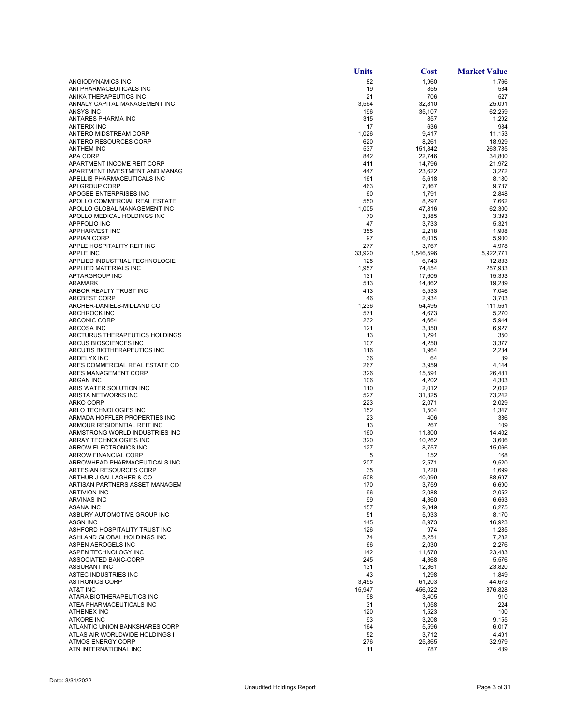|                                                              | <b>Units</b> | Cost            | <b>Market Value</b> |
|--------------------------------------------------------------|--------------|-----------------|---------------------|
| ANGIODYNAMICS INC                                            | 82           | 1,960           | 1,766               |
| ANI PHARMACEUTICALS INC                                      | 19           | 855             | 534                 |
| ANIKA THERAPEUTICS INC                                       | 21           | 706             | 527                 |
| ANNALY CAPITAL MANAGEMENT INC                                | 3,564        | 32,810          | 25,091              |
| <b>ANSYS INC</b>                                             | 196          | 35,107          | 62,259              |
| ANTARES PHARMA INC<br><b>ANTERIX INC</b>                     | 315          | 857             | 1,292               |
| ANTERO MIDSTREAM CORP                                        | 17<br>1,026  | 636<br>9,417    | 984<br>11,153       |
| ANTERO RESOURCES CORP                                        | 620          | 8,261           | 18,929              |
| <b>ANTHEM INC</b>                                            | 537          | 151,842         | 263,785             |
| <b>APA CORP</b>                                              | 842          | 22,746          | 34,800              |
| APARTMENT INCOME REIT CORP                                   | 411          | 14,796          | 21,972              |
| APARTMENT INVESTMENT AND MANAG                               | 447          | 23,622          | 3,272               |
| APELLIS PHARMACEUTICALS INC                                  | 161          | 5,618           | 8,180               |
| API GROUP CORP                                               | 463          | 7,867           | 9,737               |
| APOGEE ENTERPRISES INC                                       | 60           | 1,791           | 2,848               |
| APOLLO COMMERCIAL REAL ESTATE                                | 550          | 8,297           | 7,662               |
| APOLLO GLOBAL MANAGEMENT INC<br>APOLLO MEDICAL HOLDINGS INC  | 1,005        | 47,816          | 62,300              |
| <b>APPFOLIO INC</b>                                          | 70<br>47     | 3,385<br>3,733  | 3,393<br>5,321      |
| APPHARVEST INC                                               | 355          | 2,218           | 1,908               |
| <b>APPIAN CORP</b>                                           | 97           | 6,015           | 5,900               |
| APPLE HOSPITALITY REIT INC                                   | 277          | 3,767           | 4,978               |
| <b>APPLE INC</b>                                             | 33.920       | 1,546,596       | 5,922,771           |
| APPLIED INDUSTRIAL TECHNOLOGIE                               | 125          | 6,743           | 12,833              |
| APPLIED MATERIALS INC                                        | 1,957        | 74,454          | 257,933             |
| <b>APTARGROUP INC</b>                                        | 131          | 17,605          | 15,393              |
| <b>ARAMARK</b>                                               | 513          | 14,862          | 19,289              |
| ARBOR REALTY TRUST INC                                       | 413          | 5,533           | 7,046               |
| <b>ARCBEST CORP</b><br>ARCHER-DANIELS-MIDLAND CO             | 46<br>1,236  | 2,934<br>54,495 | 3,703<br>111,561    |
| ARCHROCK INC                                                 | 571          | 4,673           | 5,270               |
| <b>ARCONIC CORP</b>                                          | 232          | 4,664           | 5,944               |
| <b>ARCOSA INC</b>                                            | 121          | 3,350           | 6,927               |
| ARCTURUS THERAPEUTICS HOLDINGS                               | 13           | 1,291           | 350                 |
| ARCUS BIOSCIENCES INC                                        | 107          | 4,250           | 3,377               |
| ARCUTIS BIOTHERAPEUTICS INC                                  | 116          | 1,964           | 2,234               |
| ARDELYX INC                                                  | 36           | 64              | 39                  |
| ARES COMMERCIAL REAL ESTATE CO                               | 267          | 3,959           | 4,144               |
| ARES MANAGEMENT CORP                                         | 326          | 15,591          | 26,481              |
| <b>ARGAN INC</b><br>ARIS WATER SOLUTION INC                  | 106<br>110   | 4,202<br>2,012  | 4,303<br>2,002      |
| ARISTA NETWORKS INC                                          | 527          | 31,325          | 73,242              |
| <b>ARKO CORP</b>                                             | 223          | 2,071           | 2,029               |
| ARLO TECHNOLOGIES INC                                        | 152          | 1,504           | 1,347               |
| ARMADA HOFFLER PROPERTIES INC                                | 23           | 406             | 336                 |
| ARMOUR RESIDENTIAL REIT INC                                  | 13           | 267             | 109                 |
| ARMSTRONG WORLD INDUSTRIES INC                               | 160          | 11,800          | 14,402              |
| ARRAY TECHNOLOGIES INC                                       | 320          | 10,262          | 3,606               |
| ARROW ELECTRONICS INC                                        | 127          | 8,757           | 15,066              |
| <b>ARROW FINANCIAL CORP</b><br>ARROWHEAD PHARMACEUTICALS INC | 5<br>207     | 152<br>2,571    | 168<br>9,520        |
| ARTESIAN RESOURCES CORP                                      | 35           | 1,220           | 1,699               |
| ARTHUR J GALLAGHER & CO                                      | 508          | 40,099          | 88,697              |
| ARTISAN PARTNERS ASSET MANAGEM                               | 170          | 3,759           | 6,690               |
| <b>ARTIVION INC</b>                                          | 96           | 2,088           | 2,052               |
| <b>ARVINAS INC</b>                                           | 99           | 4,360           | 6,663               |
| <b>ASANA INC</b>                                             | 157          | 9,849           | 6,275               |
| ASBURY AUTOMOTIVE GROUP INC                                  | 51           | 5,933           | 8,170               |
| <b>ASGN INC</b>                                              | 145          | 8,973           | 16,923              |
| ASHFORD HOSPITALITY TRUST INC                                | 126          | 974             | 1,285               |
| ASHLAND GLOBAL HOLDINGS INC<br>ASPEN AEROGELS INC            | 74<br>66     | 5,251<br>2,030  | 7,282<br>2,276      |
| ASPEN TECHNOLOGY INC                                         | 142          | 11,670          | 23,483              |
| ASSOCIATED BANC-CORP                                         | 245          | 4,368           | 5,576               |
| <b>ASSURANT INC</b>                                          | 131          | 12,361          | 23,820              |
| ASTEC INDUSTRIES INC                                         | 43           | 1,298           | 1,849               |
| <b>ASTRONICS CORP</b>                                        | 3,455        | 61,203          | 44,673              |
| AT&T INC                                                     | 15,947       | 456,022         | 376,828             |
| ATARA BIOTHERAPEUTICS INC                                    | 98           | 3,405           | 910                 |
| ATEA PHARMACEUTICALS INC                                     | 31           | 1,058           | 224                 |
| <b>ATHENEX INC</b>                                           | 120          | 1,523           | 100                 |
| <b>ATKORE INC</b><br>ATLANTIC UNION BANKSHARES CORP          | 93<br>164    | 3,208<br>5,596  | 9,155<br>6,017      |
| ATLAS AIR WORLDWIDE HOLDINGS I                               | 52           | 3,712           | 4,491               |
| <b>ATMOS ENERGY CORP</b>                                     | 276          | 25,865          | 32,979              |
| ATN INTERNATIONAL INC                                        | 11           | 787             | 439                 |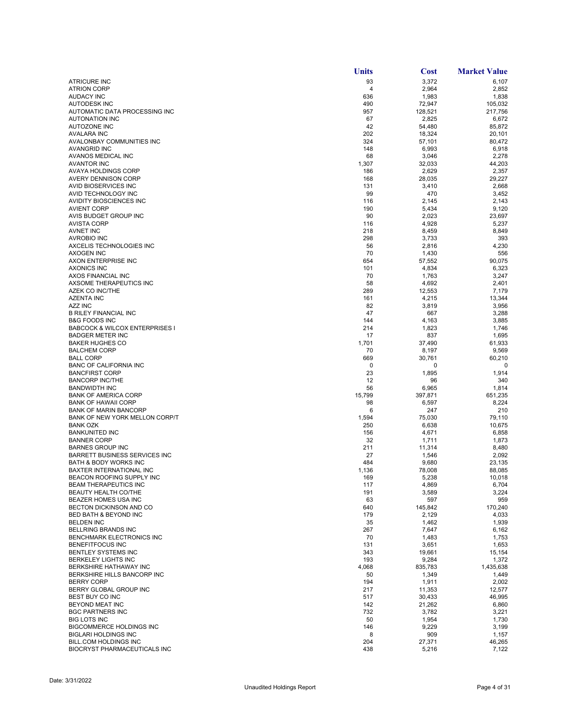|                                                             | Units        | Cost            | <b>Market Value</b> |
|-------------------------------------------------------------|--------------|-----------------|---------------------|
| <b>ATRICURE INC</b>                                         | 93           | 3,372           | 6,107               |
| <b>ATRION CORP</b>                                          | 4            | 2,964           | 2,852               |
| <b>AUDACY INC</b>                                           | 636          | 1,983           | 1,838               |
| <b>AUTODESK INC</b>                                         | 490          | 72,947          | 105,032             |
| AUTOMATIC DATA PROCESSING INC                               | 957          | 128,521         | 217,756             |
| <b>AUTONATION INC</b>                                       | 67           | 2,825           | 6,672               |
| <b>AUTOZONE INC</b>                                         | 42           | 54,480          | 85,872              |
| <b>AVALARA INC</b>                                          | 202          | 18,324          | 20,101              |
| AVALONBAY COMMUNITIES INC                                   | 324          | 57,101          | 80,472              |
| <b>AVANGRID INC</b>                                         | 148          | 6,993           | 6,918               |
| AVANOS MEDICAL INC                                          | 68           | 3,046           | 2,278               |
| <b>AVANTOR INC</b><br><b>AVAYA HOLDINGS CORP</b>            | 1,307<br>186 | 32,033<br>2,629 | 44,203<br>2,357     |
| AVERY DENNISON CORP                                         | 168          | 28,035          | 29,227              |
| AVID BIOSERVICES INC                                        | 131          | 3,410           | 2,668               |
| AVID TECHNOLOGY INC                                         | -99          | 470             | 3,452               |
| AVIDITY BIOSCIENCES INC                                     | 116          | 2,145           | 2,143               |
| <b>AVIENT CORP</b>                                          | 190          | 5,434           | 9,120               |
| AVIS BUDGET GROUP INC                                       | 90           | 2,023           | 23,697              |
| AVISTA CORP                                                 | 116          | 4,928           | 5,237               |
| <b>AVNET INC</b>                                            | 218          | 8,459           | 8,849               |
| <b>AVROBIO INC</b>                                          | 298          | 3,733           | 393                 |
| AXCELIS TECHNOLOGIES INC                                    | 56           | 2,816           | 4,230               |
| <b>AXOGEN INC</b>                                           | 70           | 1,430           | 556                 |
| AXON ENTERPRISE INC                                         | 654          | 57,552          | 90,075              |
| <b>AXONICS INC</b>                                          | 101          | 4,834           | 6,323               |
| AXOS FINANCIAL INC                                          | 70           | 1,763           | 3,247               |
| AXSOME THERAPEUTICS INC                                     | 58           | 4,692           | 2,401               |
| <b>AZEK CO INC/THE</b>                                      | 289          | 12,553          | 7,179               |
| <b>AZENTA INC</b>                                           | 161          | 4,215           | 13,344              |
| <b>AZZ INC</b>                                              | 82           | 3,819           | 3,956               |
| <b>B RILEY FINANCIAL INC</b>                                | 47           | 667             | 3,288               |
| <b>B&amp;G FOODS INC</b>                                    | 144          | 4,163           | 3,885               |
| <b>BABCOCK &amp; WILCOX ENTERPRISES I</b>                   | 214          | 1,823           | 1,746               |
| <b>BADGER METER INC</b>                                     | 17           | 837             | 1,695               |
| <b>BAKER HUGHES CO</b>                                      | 1,701        | 37,490          | 61,933              |
| <b>BALCHEM CORP</b>                                         | 70           | 8,197           | 9,569               |
| <b>BALL CORP</b><br><b>BANC OF CALIFORNIA INC</b>           | 669<br>0     | 30,761<br>0     | 60,210<br>0         |
| <b>BANCFIRST CORP</b>                                       | 23           | 1,895           | 1,914               |
| <b>BANCORP INC/THE</b>                                      | 12           | 96              | 340                 |
| <b>BANDWIDTH INC</b>                                        | 56           | 6,965           | 1,814               |
| <b>BANK OF AMERICA CORP</b>                                 | 15,799       | 397,871         | 651,235             |
| <b>BANK OF HAWAII CORP</b>                                  | 98           | 6,597           | 8,224               |
| <b>BANK OF MARIN BANCORP</b>                                | 6            | 247             | 210                 |
| BANK OF NEW YORK MELLON CORP/T                              | 1,594        | 75,030          | 79,110              |
| <b>BANK OZK</b>                                             | 250          | 6,638           | 10,675              |
| <b>BANKUNITED INC</b>                                       | 156          | 4,671           | 6,858               |
| <b>BANNER CORP</b>                                          | 32           | 1,711           | 1,873               |
| <b>BARNES GROUP INC</b>                                     | 211          | 11,314          | 8,480               |
| <b>BARRETT BUSINESS SERVICES INC</b>                        | 27           | 1,546           | 2,092               |
| <b>BATH &amp; BODY WORKS INC</b>                            | 484          | 9,680           | 23,135              |
| BAXTER INTERNATIONAL INC                                    | 1,136        | 78,008          | 88,085              |
| BEACON ROOFING SUPPLY INC                                   | 169          | 5,238           | 10,018              |
| BEAM THERAPEUTICS INC                                       | 117          | 4,869           | 6,704               |
| BEAUTY HEALTH CO/THE                                        | 191          | 3,589           | 3,224               |
| BEAZER HOMES USA INC                                        | 63           | 597             | 959                 |
| BECTON DICKINSON AND CO<br><b>BED BATH &amp; BEYOND INC</b> | 640          | 145,842         | 170,240             |
|                                                             | 179          | 2,129           | 4,033               |
| <b>BELDEN INC</b><br><b>BELLRING BRANDS INC</b>             | 35<br>267    | 1,462           | 1,939               |
| <b>BENCHMARK ELECTRONICS INC</b>                            | 70           | 7,647<br>1,483  | 6,162<br>1,753      |
| BENEFITFOCUS INC                                            | 131          | 3,651           | 1,653               |
| BENTLEY SYSTEMS INC                                         | 343          | 19,661          | 15,154              |
| <b>BERKELEY LIGHTS INC</b>                                  | 193          | 9,284           | 1,372               |
| <b>BERKSHIRE HATHAWAY INC</b>                               | 4,068        | 835,783         | 1,435,638           |
| BERKSHIRE HILLS BANCORP INC                                 | 50           | 1,349           | 1,449               |
| <b>BERRY CORP</b>                                           | 194          | 1,911           | 2,002               |
| BERRY GLOBAL GROUP INC                                      | 217          | 11,353          | 12,577              |
| BEST BUY CO INC                                             | 517          | 30,433          | 46,995              |
| BEYOND MEAT INC                                             | 142          | 21,262          | 6,860               |
| <b>BGC PARTNERS INC</b>                                     | 732          | 3,782           | 3,221               |
| <b>BIG LOTS INC</b>                                         | 50           | 1,954           | 1,730               |
| <b>BIGCOMMERCE HOLDINGS INC</b>                             | 146          | 9,229           | 3,199               |
| <b>BIGLARI HOLDINGS INC</b>                                 | 8            | 909             | 1,157               |
| BILL.COM HOLDINGS INC                                       | 204          | 27,371          | 46,265              |
| BIOCRYST PHARMACEUTICALS INC                                | 438          | 5,216           | 7,122               |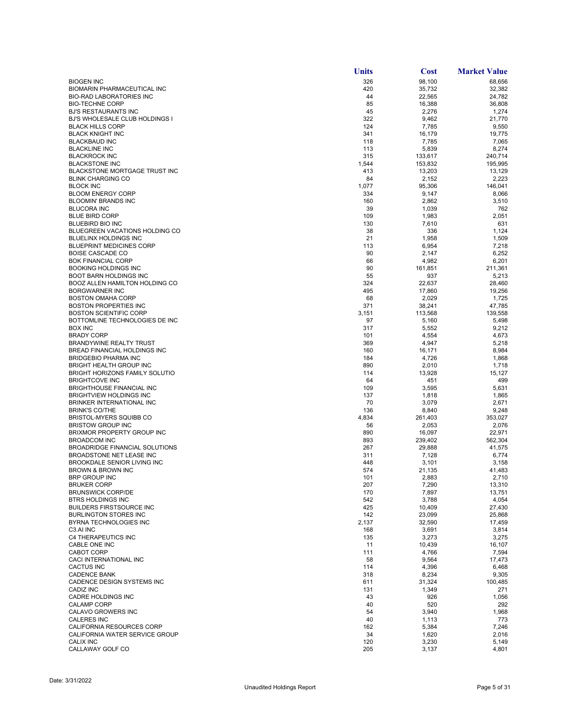|                                                             | <b>Units</b> | <b>Cost</b>     | <b>Market Value</b> |
|-------------------------------------------------------------|--------------|-----------------|---------------------|
| <b>BIOGEN INC</b>                                           | 326          | 98,100          | 68,656              |
| BIOMARIN PHARMACEUTICAL INC                                 | 420          | 35,732          | 32,382              |
| <b>BIO-RAD LABORATORIES INC</b>                             | 44           | 22,565          | 24,782              |
| <b>BIO-TECHNE CORP</b>                                      | 85           | 16,388          | 36,808              |
| <b>BJ'S RESTAURANTS INC</b>                                 | 45           | 2,276           | 1,274               |
| BJ'S WHOLESALE CLUB HOLDINGS I<br><b>BLACK HILLS CORP</b>   | 322<br>124   | 9,462<br>7,785  | 21,770<br>9,550     |
| <b>BLACK KNIGHT INC</b>                                     | 341          | 16,179          | 19,775              |
| <b>BLACKBAUD INC</b>                                        | 118          | 7,785           | 7,065               |
| <b>BLACKLINE INC</b>                                        | 113          | 5,839           | 8,274               |
| <b>BLACKROCK INC</b>                                        | 315          | 133,617         | 240,714             |
| <b>BLACKSTONE INC</b>                                       | 1,544        | 153,832         | 195,995             |
| BLACKSTONE MORTGAGE TRUST INC                               | 413          | 13,203          | 13,129              |
| <b>BLINK CHARGING CO</b><br><b>BLOCK INC</b>                | 84           | 2,152           | 2,223<br>146.041    |
| <b>BLOOM ENERGY CORP</b>                                    | 1,077<br>334 | 95,306<br>9,147 | 8,066               |
| <b>BLOOMIN' BRANDS INC</b>                                  | 160          | 2,862           | 3,510               |
| <b>BLUCORA INC</b>                                          | 39           | 1,039           | 762                 |
| <b>BLUE BIRD CORP</b>                                       | 109          | 1,983           | 2,051               |
| BLUEBIRD BIO INC                                            | 130          | 7,610           | 631                 |
| BLUEGREEN VACATIONS HOLDING CO                              | 38           | 336             | 1,124               |
| <b>BLUELINX HOLDINGS INC</b>                                | 21           | 1,958           | 1,509               |
| <b>BLUEPRINT MEDICINES CORP</b>                             | 113          | 6,954           | 7,218               |
| <b>BOISE CASCADE CO</b><br><b>BOK FINANCIAL CORP</b>        | 90<br>66     | 2,147<br>4,982  | 6,252<br>6,201      |
| <b>BOOKING HOLDINGS INC</b>                                 | 90           | 161,851         | 211,361             |
| <b>BOOT BARN HOLDINGS INC</b>                               | 55           | 937             | 5,213               |
| BOOZ ALLEN HAMILTON HOLDING CO                              | 324          | 22,637          | 28,460              |
| <b>BORGWARNER INC</b>                                       | 495          | 17,860          | 19,256              |
| <b>BOSTON OMAHA CORP</b>                                    | 68           | 2,029           | 1,725               |
| <b>BOSTON PROPERTIES INC</b>                                | 371          | 38,241          | 47,785              |
| <b>BOSTON SCIENTIFIC CORP</b>                               | 3,151        | 113,568         | 139,558             |
| BOTTOMLINE TECHNOLOGIES DE INC                              | 97           | 5,160           | 5,498               |
| <b>BOX INC</b><br><b>BRADY CORP</b>                         | 317<br>101   | 5,552<br>4,554  | 9,212<br>4,673      |
| BRANDYWINE REALTY TRUST                                     | 369          | 4,947           | 5,218               |
| BREAD FINANCIAL HOLDINGS INC                                | 160          | 16,171          | 8,984               |
| <b>BRIDGEBIO PHARMA INC</b>                                 | 184          | 4,726           | 1,868               |
| <b>BRIGHT HEALTH GROUP INC</b>                              | 890          | 2,010           | 1,718               |
| <b>BRIGHT HORIZONS FAMILY SOLUTIO</b>                       | 114          | 13,928          | 15,127              |
| <b>BRIGHTCOVE INC</b>                                       | 64           | 451             | 499                 |
| <b>BRIGHTHOUSE FINANCIAL INC</b>                            | 109          | 3,595           | 5,631               |
| <b>BRIGHTVIEW HOLDINGS INC</b><br>BRINKER INTERNATIONAL INC | 137<br>70    | 1,818<br>3,079  | 1,865<br>2,671      |
| <b>BRINK'S CO/THE</b>                                       | 136          | 8,840           | 9,248               |
| BRISTOL-MYERS SQUIBB CO                                     | 4,834        | 261,403         | 353,027             |
| <b>BRISTOW GROUP INC</b>                                    | 56           | 2,053           | 2,076               |
| BRIXMOR PROPERTY GROUP INC                                  | 890          | 16,097          | 22,971              |
| <b>BROADCOM INC</b>                                         | 893          | 239,402         | 562,304             |
| <b>BROADRIDGE FINANCIAL SOLUTIONS</b>                       | 267          | 29,888          | 41,575              |
| BROADSTONE NET LEASE INC<br>BROOKDALE SENIOR LIVING INC     | 311<br>448   | 7,128<br>3,101  | 6,774<br>3,158      |
| <b>BROWN &amp; BROWN INC</b>                                | 574          | 21,135          | 41,483              |
| BRP GROUP INC                                               | 101          | 2,883           | 2,710               |
| <b>BRUKER CORP</b>                                          | 207          | 7,290           | 13,310              |
| <b>BRUNSWICK CORP/DE</b>                                    | 170          | 7,897           | 13,751              |
| <b>BTRS HOLDINGS INC</b>                                    | 542          | 3,788           | 4,054               |
| <b>BUILDERS FIRSTSOURCE INC</b>                             | 425          | 10,409          | 27,430              |
| <b>BURLINGTON STORES INC</b><br>BYRNA TECHNOLOGIES INC      | 142          | 23,099          | 25,868              |
| C3.AI INC                                                   | 2,137<br>168 | 32,590<br>3,691 | 17,459<br>3,814     |
| C4 THERAPEUTICS INC                                         | 135          | 3,273           | 3,275               |
| CABLE ONE INC                                               | 11           | 10,439          | 16,107              |
| <b>CABOT CORP</b>                                           | 111          | 4,766           | 7,594               |
| CACI INTERNATIONAL INC                                      | 58           | 9,564           | 17,473              |
| <b>CACTUS INC</b>                                           | 114          | 4,396           | 6,468               |
| <b>CADENCE BANK</b>                                         | 318          | 8,234           | 9,305               |
| CADENCE DESIGN SYSTEMS INC<br>CADIZ INC                     | 611<br>131   | 31,324          | 100,485             |
| CADRE HOLDINGS INC                                          | 43           | 1,349<br>926    | 271<br>1,056        |
| <b>CALAMP CORP</b>                                          | 40           | 520             | 292                 |
| CALAVO GROWERS INC                                          | 54           | 3,940           | 1,968               |
| <b>CALERES INC</b>                                          | 40           | 1,113           | 773                 |
| CALIFORNIA RESOURCES CORP                                   | 162          | 5,384           | 7,246               |
| CALIFORNIA WATER SERVICE GROUP                              | 34           | 1,620           | 2,016               |
| CALIX INC                                                   | 120          | 3,230           | 5,149               |
| CALLAWAY GOLF CO                                            | 205          | 3,137           | 4,801               |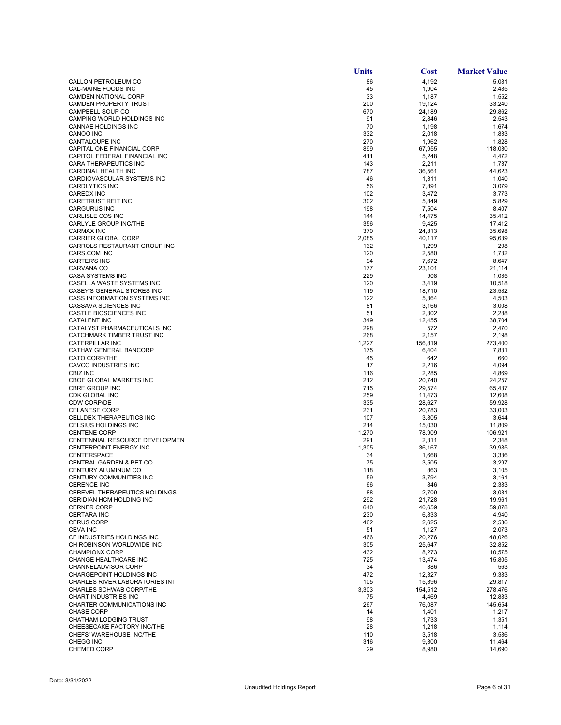|                                                               | Units        | Cost             | <b>Market Value</b> |
|---------------------------------------------------------------|--------------|------------------|---------------------|
| CALLON PETROLEUM CO                                           | 86           | 4,192            | 5,081               |
| CAL-MAINE FOODS INC                                           | 45           | 1,904            | 2,485               |
| CAMDEN NATIONAL CORP                                          | 33           | 1,187            | 1,552               |
| CAMDEN PROPERTY TRUST<br>CAMPBELL SOUP CO                     | 200<br>670   | 19,124<br>24,189 | 33,240<br>29,862    |
| CAMPING WORLD HOLDINGS INC                                    | 91           | 2,846            | 2,543               |
| CANNAE HOLDINGS INC                                           | 70           | 1,198            | 1,674               |
| CANOO INC                                                     | 332          | 2,018            | 1,833               |
| CANTALOUPE INC                                                | 270          | 1,962            | 1,828               |
| CAPITAL ONE FINANCIAL CORP                                    | 899          | 67,955           | 118,030             |
| CAPITOL FEDERAL FINANCIAL INC<br><b>CARA THERAPEUTICS INC</b> | 411<br>143   | 5,248            | 4,472               |
| CARDINAL HEALTH INC                                           | 787          | 2,211<br>36,561  | 1,737<br>44,623     |
| CARDIOVASCULAR SYSTEMS INC                                    | 46           | 1,311            | 1,040               |
| <b>CARDLYTICS INC</b>                                         | 56           | 7,891            | 3,079               |
| <b>CAREDX INC</b>                                             | 102          | 3,472            | 3,773               |
| CARETRUST REIT INC                                            | 302          | 5,849            | 5,829               |
| <b>CARGURUS INC</b>                                           | 198          | 7,504            | 8,407               |
| CARLISLE COS INC                                              | 144          | 14,475           | 35,412              |
| CARLYLE GROUP INC/THE<br><b>CARMAX INC</b>                    | 356<br>370   | 9,425<br>24,813  | 17,412<br>35,698    |
| <b>CARRIER GLOBAL CORP</b>                                    | 2,085        | 40,117           | 95,639              |
| CARROLS RESTAURANT GROUP INC                                  | 132          | 1,299            | 298                 |
| CARS.COM INC                                                  | 120          | 2,580            | 1,732               |
| <b>CARTER'S INC</b>                                           | 94           | 7,672            | 8,647               |
| CARVANA CO                                                    | 177          | 23,101           | 21,114              |
| <b>CASA SYSTEMS INC</b>                                       | 229          | 908              | 1,035               |
| CASELLA WASTE SYSTEMS INC                                     | 120          | 3,419            | 10,518              |
| CASEY'S GENERAL STORES INC<br>CASS INFORMATION SYSTEMS INC    | 119<br>122   | 18,710           | 23,582              |
| CASSAVA SCIENCES INC                                          | 81           | 5,364<br>3,166   | 4,503<br>3,008      |
| <b>CASTLE BIOSCIENCES INC</b>                                 | 51           | 2,302            | 2,288               |
| <b>CATALENT INC</b>                                           | 349          | 12,455           | 38,704              |
| CATALYST PHARMACEUTICALS INC                                  | 298          | 572              | 2,470               |
| CATCHMARK TIMBER TRUST INC                                    | 268          | 2,157            | 2,198               |
| CATERPILLAR INC                                               | 1,227        | 156,819          | 273,400             |
| CATHAY GENERAL BANCORP                                        | 175          | 6,404            | 7,831               |
| <b>CATO CORP/THE</b><br>CAVCO INDUSTRIES INC                  | 45<br>17     | 642              | 660<br>4,094        |
| <b>CBIZ INC</b>                                               | 116          | 2,216<br>2,285   | 4,869               |
| CBOE GLOBAL MARKETS INC                                       | 212          | 20,740           | 24,257              |
| <b>CBRE GROUP INC</b>                                         | 715          | 29,574           | 65,437              |
| CDK GLOBAL INC                                                | 259          | 11,473           | 12,608              |
| <b>CDW CORP/DE</b>                                            | 335          | 28,627           | 59,928              |
| <b>CELANESE CORP</b>                                          | 231          | 20,783           | 33,003              |
| CELLDEX THERAPEUTICS INC                                      | 107          | 3,805            | 3,644               |
| CELSIUS HOLDINGS INC<br><b>CENTENE CORP</b>                   | 214          | 15,030           | 11,809              |
| CENTENNIAL RESOURCE DEVELOPMEN                                | 1,270<br>291 | 78,909<br>2,311  | 106,921<br>2,348    |
| CENTERPOINT ENERGY INC                                        | 1,305        | 36,167           | 39,985              |
| CENTERSPACE                                                   | 34           | 1,668            | 3,336               |
| <b>CENTRAL GARDEN &amp; PET CO</b>                            | 75           | 3,505            | 3,297               |
| CENTURY ALUMINUM CO                                           | 118          | 863              | 3,105               |
| CENTURY COMMUNITIES INC                                       | 59           | 3,794            | 3,161               |
| <b>CERENCE INC</b>                                            | 66           | 846              | 2,383               |
| CEREVEL THERAPEUTICS HOLDINGS<br>CERIDIAN HCM HOLDING INC     | 88<br>292    | 2,709<br>21,728  | 3,081<br>19,961     |
| <b>CERNER CORP</b>                                            | 640          | 40,659           | 59,878              |
| <b>CERTARA INC</b>                                            | 230          | 6,833            | 4,940               |
| <b>CERUS CORP</b>                                             | 462          | 2,625            | 2,536               |
| <b>CEVA INC</b>                                               | 51           | 1,127            | 2,073               |
| CF INDUSTRIES HOLDINGS INC                                    | 466          | 20,276           | 48,026              |
| CH ROBINSON WORLDWIDE INC                                     | 305          | 25,647           | 32,852              |
| CHAMPIONX CORP                                                | 432          | 8,273            | 10,575              |
| CHANGE HEALTHCARE INC<br><b>CHANNELADVISOR CORP</b>           | 725<br>34    | 13,474<br>386    | 15,805<br>563       |
| <b>CHARGEPOINT HOLDINGS INC</b>                               | 472          | 12,327           | 9,383               |
| CHARLES RIVER LABORATORIES INT                                | 105          | 15,396           | 29,817              |
| CHARLES SCHWAB CORP/THE                                       | 3,303        | 154,512          | 278,476             |
| CHART INDUSTRIES INC                                          | 75           | 4,469            | 12,883              |
| CHARTER COMMUNICATIONS INC                                    | 267          | 76,087           | 145,654             |
| <b>CHASE CORP</b>                                             | 14           | 1,401            | 1,217               |
| <b>CHATHAM LODGING TRUST</b>                                  | 98           | 1,733            | 1,351               |
| CHEESECAKE FACTORY INC/THE                                    | 28           | 1,218            | 1,114               |
| CHEFS' WAREHOUSE INC/THE<br>CHEGG INC                         | 110<br>316   | 3,518<br>9,300   | 3,586<br>11,464     |
| CHEMED CORP                                                   | 29           | 8,980            | 14,690              |
|                                                               |              |                  |                     |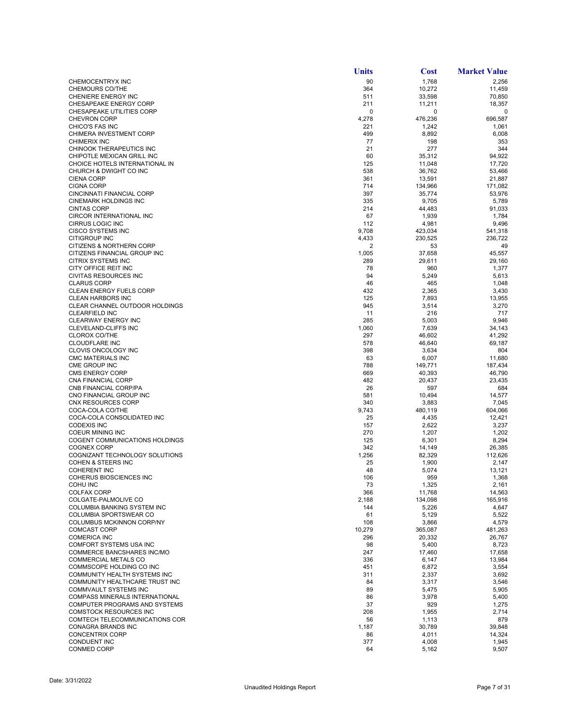|                                                                | Units         | <b>Cost</b>       | <b>Market Value</b> |
|----------------------------------------------------------------|---------------|-------------------|---------------------|
| CHEMOCENTRYX INC                                               | 90            | 1,768             | 2,256               |
| <b>CHEMOURS CO/THE</b>                                         | 364           | 10,272            | 11,459              |
| <b>CHENIERE ENERGY INC</b><br>CHESAPEAKE ENERGY CORP           | 511<br>211    | 33,598            | 70,850              |
| CHESAPEAKE UTILITIES CORP                                      | $\mathbf 0$   | 11,211<br>0       | 18,357<br>0         |
| <b>CHEVRON CORP</b>                                            | 4,278         | 476,236           | 696,587             |
| CHICO'S FAS INC                                                | 221           | 1,242             | 1,061               |
| CHIMERA INVESTMENT CORP                                        | 499           | 8,892             | 6,008               |
| <b>CHIMERIX INC</b>                                            | 77            | 198               | 353                 |
| CHINOOK THERAPEUTICS INC<br>CHIPOTLE MEXICAN GRILL INC         | 21<br>60      | 277<br>35,312     | 344<br>94,922       |
| CHOICE HOTELS INTERNATIONAL IN                                 | 125           | 11,048            | 17,720              |
| CHURCH & DWIGHT CO INC                                         | 538           | 36,762            | 53,466              |
| <b>CIENA CORP</b>                                              | 361           | 13,591            | 21,887              |
| <b>CIGNA CORP</b>                                              | 714           | 134,966           | 171,082             |
| CINCINNATI FINANCIAL CORP<br>CINEMARK HOLDINGS INC             | 397<br>335    | 35,774<br>9,705   | 53,976<br>5,789     |
| <b>CINTAS CORP</b>                                             | 214           | 44,483            | 91,033              |
| CIRCOR INTERNATIONAL INC                                       | 67            | 1,939             | 1,784               |
| <b>CIRRUS LOGIC INC</b>                                        | 112           | 4,981             | 9,496               |
| CISCO SYSTEMS INC                                              | 9,708         | 423,034           | 541,318             |
| CITIGROUP INC<br><b>CITIZENS &amp; NORTHERN CORP</b>           | 4,433<br>2    | 230,525           | 236,722             |
| CITIZENS FINANCIAL GROUP INC                                   | 1,005         | 53<br>37,658      | 49<br>45,557        |
| CITRIX SYSTEMS INC                                             | 289           | 29.611            | 29,160              |
| CITY OFFICE REIT INC                                           | 78            | 960               | 1,377               |
| <b>CIVITAS RESOURCES INC</b>                                   | 94            | 5,249             | 5,613               |
| <b>CLARUS CORP</b>                                             | 46            | 465               | 1,048               |
| CLEAN ENERGY FUELS CORP<br><b>CLEAN HARBORS INC</b>            | 432<br>125    | 2,365<br>7,893    | 3,430<br>13,955     |
| CLEAR CHANNEL OUTDOOR HOLDINGS                                 | 945           | 3,514             | 3,270               |
| <b>CLEARFIELD INC</b>                                          | 11            | 216               | 717                 |
| <b>CLEARWAY ENERGY INC</b>                                     | 285           | 5,003             | 9,946               |
| CLEVELAND-CLIFFS INC                                           | 1,060         | 7,639             | 34,143              |
| <b>CLOROX CO/THE</b>                                           | 297           | 46,602            | 41,292              |
| <b>CLOUDFLARE INC</b><br>CLOVIS ONCOLOGY INC                   | 578<br>398    | 46,640<br>3,634   | 69,187<br>804       |
| <b>CMC MATERIALS INC</b>                                       | 63            | 6,007             | 11,680              |
| CME GROUP INC                                                  | 788           | 149,771           | 187,434             |
| <b>CMS ENERGY CORP</b>                                         | 669           | 40,393            | 46,790              |
| CNA FINANCIAL CORP                                             | 482           | 20,437            | 23,435              |
| CNB FINANCIAL CORP/PA<br>CNO FINANCIAL GROUP INC               | 26<br>581     | 597<br>10,494     | 684<br>14,577       |
| CNX RESOURCES CORP                                             | 340           | 3,883             | 7,045               |
| COCA-COLA CO/THE                                               | 9,743         | 480,119           | 604,066             |
| COCA-COLA CONSOLIDATED INC                                     | 25            | 4,435             | 12,421              |
| <b>CODEXIS INC</b>                                             | 157           | 2,622             | 3,237               |
| <b>COEUR MINING INC</b><br>COGENT COMMUNICATIONS HOLDINGS      | 270<br>125    | 1,207<br>6,301    | 1,202<br>8,294      |
| <b>COGNEX CORP</b>                                             | 342           | 14,149            | 26,385              |
| COGNIZANT TECHNOLOGY SOLUTIONS                                 | 1,256         | 82,329            | 112,626             |
| <b>COHEN &amp; STEERS INC</b>                                  | 25            | 1,900             | 2,147               |
| <b>COHERENT INC</b>                                            | 48            | 5,074             | 13,121              |
| COHERUS BIOSCIENCES INC<br>COHU INC                            | 106<br>73     | 959<br>1,325      | 1,368<br>2,161      |
| <b>COLFAX CORP</b>                                             | 366           | 11,768            | 14,563              |
| COLGATE-PALMOLIVE CO                                           | 2,188         | 134,098           | 165,916             |
| COLUMBIA BANKING SYSTEM INC                                    | 144           | 5,226             | 4,647               |
| COLUMBIA SPORTSWEAR CO                                         | 61            | 5,129             | 5,522               |
| COLUMBUS MCKINNON CORP/NY                                      | 108           | 3,866             | 4,579               |
| <b>COMCAST CORP</b><br><b>COMERICA INC</b>                     | 10,279<br>296 | 365,087<br>20,332 | 481,263<br>26,767   |
| <b>COMFORT SYSTEMS USA INC</b>                                 | 98            | 5,400             | 8,723               |
| <b>COMMERCE BANCSHARES INC/MO</b>                              | 247           | 17,460            | 17,658              |
| <b>COMMERCIAL METALS CO</b>                                    | 336           | 6,147             | 13,984              |
| COMMSCOPE HOLDING CO INC                                       | 451           | 6,872             | 3,554               |
| COMMUNITY HEALTH SYSTEMS INC<br>COMMUNITY HEALTHCARE TRUST INC | 311<br>84     | 2,337<br>3,317    | 3,692<br>3,546      |
| <b>COMMVAULT SYSTEMS INC</b>                                   | 89            | 5,475             | 5,905               |
| <b>COMPASS MINERALS INTERNATIONAL</b>                          | 86            | 3,978             | 5,400               |
| COMPUTER PROGRAMS AND SYSTEMS                                  | 37            | 929               | 1,275               |
| <b>COMSTOCK RESOURCES INC</b>                                  | 208           | 1,955             | 2,714               |
| COMTECH TELECOMMUNICATIONS COR<br>CONAGRA BRANDS INC           | 56            | 1,113             | 879                 |
| <b>CONCENTRIX CORP</b>                                         | 1,187<br>86   | 30,789<br>4,011   | 39,848<br>14,324    |
| <b>CONDUENT INC</b>                                            | 377           | 4,008             | 1,945               |
| CONMED CORP                                                    | 64            | 5,162             | 9,507               |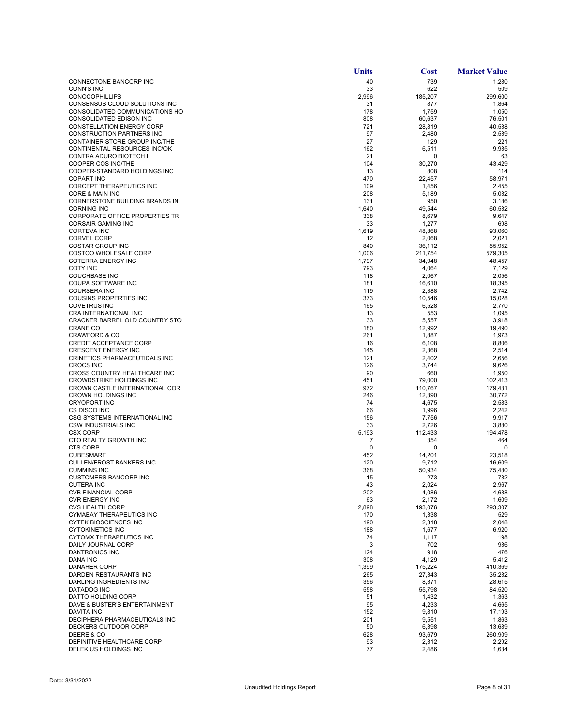|                                                             | Units        | <b>Cost</b>       | <b>Market Value</b> |
|-------------------------------------------------------------|--------------|-------------------|---------------------|
| CONNECTONE BANCORP INC                                      | 40           | 739               | 1,280               |
| <b>CONN'S INC</b>                                           | 33           | 622               | 509                 |
| <b>CONOCOPHILLIPS</b>                                       | 2,996        | 185,207           | 299,600             |
| CONSENSUS CLOUD SOLUTIONS INC                               | 31           | 877               | 1,864               |
| CONSOLIDATED COMMUNICATIONS HO                              | 178          | 1,759             | 1,050               |
| <b>CONSOLIDATED EDISON INC</b>                              | 808          | 60,637            | 76.501              |
| CONSTELLATION ENERGY CORP<br>CONSTRUCTION PARTNERS INC      | 721<br>97    | 28,819<br>2,480   | 40,538<br>2,539     |
| CONTAINER STORE GROUP INC/THE                               | 27           | 129               | 221                 |
| CONTINENTAL RESOURCES INC/OK                                | 162          | 6,511             | 9,935               |
| CONTRA ADURO BIOTECH I                                      | 21           | 0                 | 63                  |
| COOPER COS INC/THE                                          | 104          | 30,270            | 43,429              |
| COOPER-STANDARD HOLDINGS INC                                | 13           | 808               | 114                 |
| <b>COPART INC</b>                                           | 470          | 22,457            | 58,971              |
| CORCEPT THERAPEUTICS INC                                    | 109          | 1,456             | 2,455               |
| CORE & MAIN INC                                             | 208          | 5,189             | 5,032               |
| CORNERSTONE BUILDING BRANDS IN                              | 131          | 950               | 3,186               |
| <b>CORNING INC</b>                                          | 1,640        | 49,544            | 60,532              |
| CORPORATE OFFICE PROPERTIES TR                              | 338          | 8,679             | 9,647               |
| <b>CORSAIR GAMING INC</b>                                   | 33           | 1,277             | 698                 |
| <b>CORTEVA INC</b>                                          | 1,619        | 48,868            | 93,060              |
| <b>CORVEL CORP</b>                                          | 12           | 2,068             | 2,021               |
| <b>COSTAR GROUP INC</b><br><b>COSTCO WHOLESALE CORP</b>     | 840<br>1,006 | 36,112            | 55,952              |
| COTERRA ENERGY INC                                          | 1,797        | 211,754<br>34,948 | 579,305<br>48,457   |
| <b>COTY INC</b>                                             | 793          | 4,064             | 7,129               |
| <b>COUCHBASE INC</b>                                        | 118          | 2,067             | 2,056               |
| COUPA SOFTWARE INC                                          | 181          | 16,610            | 18,395              |
| <b>COURSERA INC</b>                                         | 119          | 2,388             | 2,742               |
| <b>COUSINS PROPERTIES INC</b>                               | 373          | 10,546            | 15,028              |
| <b>COVETRUS INC</b>                                         | 165          | 6,528             | 2,770               |
| CRA INTERNATIONAL INC                                       | 13           | 553               | 1,095               |
| CRACKER BARREL OLD COUNTRY STO                              | 33           | 5,557             | 3,918               |
| <b>CRANE CO</b>                                             | 180          | 12,992            | 19,490              |
| <b>CRAWFORD &amp; CO</b>                                    | 261          | 1,887             | 1,973               |
| <b>CREDIT ACCEPTANCE CORP</b>                               | 16           | 6,108             | 8,806               |
| <b>CRESCENT ENERGY INC</b>                                  | 145          | 2,368             | 2,514               |
| CRINETICS PHARMACEUTICALS INC                               | 121          | 2,402             | 2,656               |
| <b>CROCS INC</b>                                            | 126          | 3,744             | 9,626               |
| CROSS COUNTRY HEALTHCARE INC                                | 90           | 660               | 1,950               |
| <b>CROWDSTRIKE HOLDINGS INC</b>                             | 451          | 79,000            | 102,413             |
| CROWN CASTLE INTERNATIONAL COR<br><b>CROWN HOLDINGS INC</b> | 972<br>246   | 110,767           | 179,431<br>30,772   |
| <b>CRYOPORT INC</b>                                         | 74           | 12,390<br>4,675   | 2,583               |
| CS DISCO INC                                                | 66           | 1,996             | 2,242               |
| CSG SYSTEMS INTERNATIONAL INC                               | 156          | 7,756             | 9,917               |
| <b>CSW INDUSTRIALS INC</b>                                  | 33           | 2,726             | 3,880               |
| <b>CSX CORP</b>                                             | 5,193        | 112,433           | 194,478             |
| CTO REALTY GROWTH INC                                       | 7            | 354               | 464                 |
| <b>CTS CORP</b>                                             | $\mathbf 0$  | 0                 | $\mathbf 0$         |
| <b>CUBESMART</b>                                            | 452          | 14,201            | 23,518              |
| <b>CULLEN/FROST BANKERS INC</b>                             | 120          | 9,712             | 16,609              |
| <b>CUMMINS INC</b>                                          | 368          | 50,934            | 75,480              |
| <b>CUSTOMERS BANCORP INC</b>                                | 15           | 273               | 782                 |
| <b>CUTERA INC</b>                                           | 43           | 2,024             | 2,967               |
| <b>CVB FINANCIAL CORP</b>                                   | 202          | 4,086             | 4,688               |
| <b>CVR ENERGY INC</b><br><b>CVS HEALTH CORP</b>             | 63           | 2,172<br>193,076  | 1,609               |
| <b>CYMABAY THERAPEUTICS INC</b>                             | 2,898<br>170 | 1,338             | 293,307<br>529      |
| <b>CYTEK BIOSCIENCES INC</b>                                | 190          | 2,318             | 2,048               |
| <b>CYTOKINETICS INC</b>                                     | 188          | 1,677             | 6,920               |
| <b>CYTOMX THERAPEUTICS INC</b>                              | 74           | 1,117             | 198                 |
| DAILY JOURNAL CORP                                          | 3            | 702               | 936                 |
| <b>DAKTRONICS INC</b>                                       | 124          | 918               | 476                 |
| <b>DANA INC</b>                                             | 308          | 4,129             | 5,412               |
| <b>DANAHER CORP</b>                                         | 1,399        | 175,224           | 410,369             |
| DARDEN RESTAURANTS INC                                      | 265          | 27,343            | 35,232              |
| DARLING INGREDIENTS INC                                     | 356          | 8,371             | 28,615              |
| DATADOG INC                                                 | 558          | 55,798            | 84,520              |
| <b>DATTO HOLDING CORP</b>                                   | 51           | 1,432             | 1,363               |
| DAVE & BUSTER'S ENTERTAINMENT                               | 95           | 4,233             | 4,665               |
| <b>DAVITA INC</b>                                           | 152          | 9,810             | 17,193              |
| DECIPHERA PHARMACEUTICALS INC                               | 201          | 9,551             | 1,863               |
| DECKERS OUTDOOR CORP<br>DEERE & CO                          | 50<br>628    | 6,398             | 13,689              |
| DEFINITIVE HEALTHCARE CORP                                  | 93           | 93,679<br>2,312   | 260,909<br>2,292    |
| DELEK US HOLDINGS INC                                       | 77           | 2,486             | 1,634               |
|                                                             |              |                   |                     |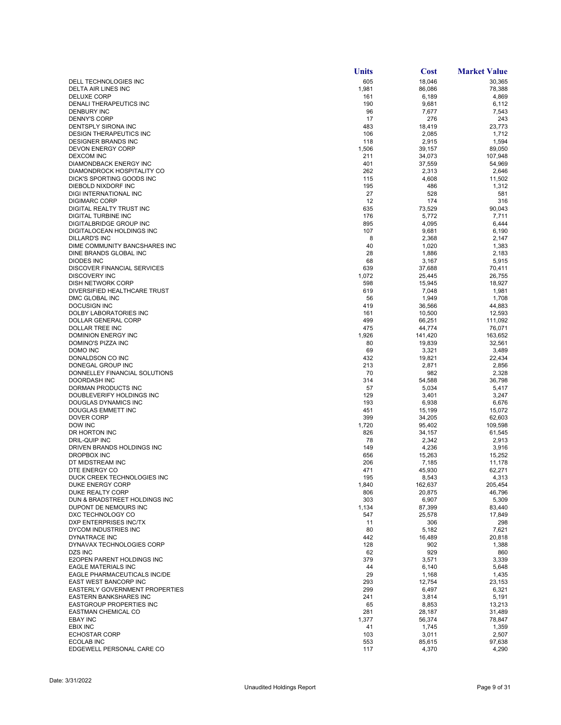|                                                        | Units        | <b>Cost</b>     | <b>Market Value</b> |
|--------------------------------------------------------|--------------|-----------------|---------------------|
| DELL TECHNOLOGIES INC                                  | 605          | 18,046          | 30,365              |
| DELTA AIR LINES INC                                    | 1,981        | 86,086          | 78,388              |
| <b>DELUXE CORP</b>                                     | 161          | 6,189           | 4,869               |
| DENALI THERAPEUTICS INC                                | 190          | 9,681           | 6,112               |
| <b>DENBURY INC</b>                                     | 96           | 7,677           | 7,543               |
| <b>DENNY'S CORP</b><br><b>DENTSPLY SIRONA INC</b>      | 17<br>483    | 276<br>18,419   | 243<br>23,773       |
| DESIGN THERAPEUTICS INC                                | 106          | 2,085           | 1,712               |
| <b>DESIGNER BRANDS INC</b>                             | 118          | 2,915           | 1,594               |
| <b>DEVON ENERGY CORP</b>                               | 1,506        | 39,157          | 89,050              |
| <b>DEXCOM INC</b>                                      | 211          | 34,073          | 107,948             |
| DIAMONDBACK ENERGY INC                                 | 401          | 37,559          | 54,969              |
| DIAMONDROCK HOSPITALITY CO                             | 262          | 2,313           | 2,646               |
| DICK'S SPORTING GOODS INC                              | 115          | 4,608           | 11,502              |
| DIEBOLD NIXDORF INC                                    | 195          | 486             | 1,312               |
| <b>DIGI INTERNATIONAL INC</b><br><b>DIGIMARC CORP</b>  | 27<br>12     | 528<br>174      | 581<br>316          |
| DIGITAL REALTY TRUST INC                               | 635          | 73,529          | 90,043              |
| DIGITAL TURBINE INC                                    | 176          | 5,772           | 7,711               |
| DIGITALBRIDGE GROUP INC                                | 895          | 4,095           | 6,444               |
| DIGITALOCEAN HOLDINGS INC                              | 107          | 9,681           | 6,190               |
| <b>DILLARD'S INC</b>                                   | 8            | 2,368           | 2,147               |
| DIME COMMUNITY BANCSHARES INC                          | 40           | 1,020           | 1,383               |
| DINE BRANDS GLOBAL INC                                 | 28           | 1,886           | 2,183               |
| <b>DIODES INC</b>                                      | 68           | 3,167           | 5,915               |
| <b>DISCOVER FINANCIAL SERVICES</b>                     | 639          | 37,688          | 70,411              |
| <b>DISCOVERY INC</b><br>DISH NETWORK CORP              | 1,072<br>598 | 25,445          | 26,755              |
| DIVERSIFIED HEALTHCARE TRUST                           | 619          | 15,945<br>7,048 | 18,927<br>1,981     |
| DMC GLOBAL INC                                         | 56           | 1,949           | 1,708               |
| <b>DOCUSIGN INC</b>                                    | 419          | 36,566          | 44,883              |
| DOLBY LABORATORIES INC                                 | 161          | 10,500          | 12,593              |
| DOLLAR GENERAL CORP                                    | 499          | 66,251          | 111,092             |
| DOLLAR TREE INC                                        | 475          | 44,774          | 76,071              |
| DOMINION ENERGY INC                                    | 1,926        | 141,420         | 163,652             |
| DOMINO'S PIZZA INC                                     | 80           | 19,839          | 32,561              |
| DOMO INC<br>DONALDSON CO INC                           | 69<br>432    | 3,321           | 3,489               |
| DONEGAL GROUP INC                                      | 213          | 19,821<br>2,871 | 22,434<br>2,856     |
| DONNELLEY FINANCIAL SOLUTIONS                          | 70           | 982             | 2,328               |
| DOORDASH INC                                           | 314          | 54,588          | 36,798              |
| DORMAN PRODUCTS INC                                    | 57           | 5,034           | 5,417               |
| DOUBLEVERIFY HOLDINGS INC                              | 129          | 3,401           | 3,247               |
| DOUGLAS DYNAMICS INC                                   | 193          | 6,938           | 6,676               |
| DOUGLAS EMMETT INC                                     | 451          | 15,199          | 15,072              |
| DOVER CORP                                             | 399          | 34,205          | 62,603              |
| DOW INC<br>DR HORTON INC                               | 1,720<br>826 | 95,402          | 109,598<br>61,545   |
| DRIL-QUIP INC                                          | 78           | 34,157<br>2,342 | 2,913               |
| DRIVEN BRANDS HOLDINGS INC                             | 149          | 4,236           | 3,916               |
| <b>DROPBOX INC</b>                                     | 656          | 15,263          | 15,252              |
| DT MIDSTREAM INC                                       | 206          | 7,185           | 11,178              |
| DTE ENERGY CO                                          | 471          | 45,930          | 62,271              |
| DUCK CREEK TECHNOLOGIES INC                            | 195          | 8,543           | 4,313               |
| DUKE ENERGY CORP                                       | 1,840        | 162,637         | 205,454             |
| DUKE REALTY CORP                                       | 806          | 20,875          | 46,796              |
| DUN & BRADSTREET HOLDINGS INC<br>DUPONT DE NEMOURS INC | 303<br>1,134 | 6,907<br>87,399 | 5,309<br>83,440     |
| DXC TECHNOLOGY CO                                      | 547          | 25,578          | 17,849              |
| DXP ENTERPRISES INC/TX                                 | 11           | 306             | 298                 |
| DYCOM INDUSTRIES INC                                   | 80           | 5,182           | 7,621               |
| DYNATRACE INC                                          | 442          | 16,489          | 20,818              |
| DYNAVAX TECHNOLOGIES CORP                              | 128          | 902             | 1,388               |
| DZS INC                                                | 62           | 929             | 860                 |
| E2OPEN PARENT HOLDINGS INC                             | 379          | 3,571           | 3,339               |
| <b>EAGLE MATERIALS INC</b>                             | 44           | 6,140           | 5,648               |
| EAGLE PHARMACEUTICALS INC/DE<br>EAST WEST BANCORP INC  | 29<br>293    | 1,168<br>12,754 | 1,435<br>23,153     |
| EASTERLY GOVERNMENT PROPERTIES                         | 299          | 6,497           | 6,321               |
| <b>EASTERN BANKSHARES INC</b>                          | 241          | 3,814           | 5,191               |
| <b>EASTGROUP PROPERTIES INC</b>                        | 65           | 8,853           | 13,213              |
| EASTMAN CHEMICAL CO                                    | 281          | 28,187          | 31,489              |
| <b>EBAY INC</b>                                        | 1,377        | 56,374          | 78,847              |
| <b>EBIX INC</b>                                        | 41           | 1,745           | 1,359               |
| <b>ECHOSTAR CORP</b>                                   | 103          | 3,011           | 2,507               |
| ECOLAB INC                                             | 553          | 85,615          | 97,638              |
| EDGEWELL PERSONAL CARE CO                              | 117          | 4,370           | 4,290               |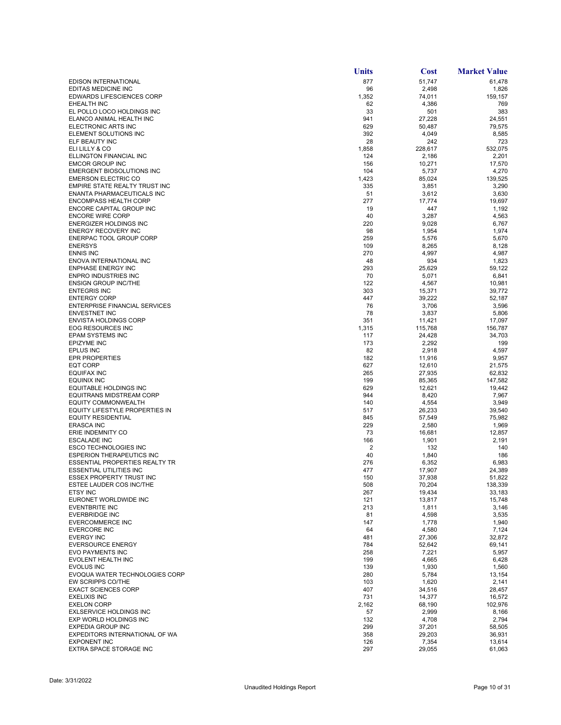|                                                            | <b>Units</b> | <b>Cost</b>      | <b>Market Value</b> |
|------------------------------------------------------------|--------------|------------------|---------------------|
| <b>EDISON INTERNATIONAL</b>                                | 877          | 51,747           | 61,478              |
| EDITAS MEDICINE INC                                        | 96           | 2,498            | 1,826               |
| <b>EDWARDS LIFESCIENCES CORP</b>                           | 1,352        | 74,011           | 159,157             |
| EHEALTH INC<br>EL POLLO LOCO HOLDINGS INC                  | 62<br>33     | 4,386<br>501     | 769<br>383          |
| ELANCO ANIMAL HEALTH INC                                   | 941          | 27,228           | 24,551              |
| ELECTRONIC ARTS INC                                        | 629          | 50,487           | 79,575              |
| ELEMENT SOLUTIONS INC                                      | 392          | 4,049            | 8,585               |
| ELF BEAUTY INC                                             | 28           | 242              | 723                 |
| ELI LILLY & CO                                             | 1,858        | 228,617          | 532,075             |
| ELLINGTON FINANCIAL INC<br><b>EMCOR GROUP INC</b>          | 124          | 2,186            | 2,201               |
| EMERGENT BIOSOLUTIONS INC                                  | 156<br>104   | 10,271<br>5,737  | 17,570<br>4,270     |
| <b>EMERSON ELECTRIC CO</b>                                 | 1,423        | 85.024           | 139.525             |
| EMPIRE STATE REALTY TRUST INC                              | 335          | 3,851            | 3,290               |
| ENANTA PHARMACEUTICALS INC                                 | 51           | 3,612            | 3,630               |
| <b>ENCOMPASS HEALTH CORP</b>                               | 277          | 17,774           | 19,697              |
| ENCORE CAPITAL GROUP INC                                   | 19           | 447              | 1,192               |
| <b>ENCORE WIRE CORP</b>                                    | 40           | 3,287            | 4,563               |
| <b>ENERGIZER HOLDINGS INC</b><br>ENERGY RECOVERY INC       | 220<br>98    | 9,028<br>1,954   | 6,767<br>1,974      |
| ENERPAC TOOL GROUP CORP                                    | 259          | 5,576            | 5,670               |
| <b>ENERSYS</b>                                             | 109          | 8,265            | 8,128               |
| <b>ENNIS INC</b>                                           | 270          | 4,997            | 4,987               |
| ENOVA INTERNATIONAL INC                                    | 48           | 934              | 1,823               |
| <b>ENPHASE ENERGY INC</b>                                  | 293          | 25,629           | 59,122              |
| <b>ENPRO INDUSTRIES INC</b>                                | 70           | 5,071            | 6,841               |
| <b>ENSIGN GROUP INC/THE</b>                                | 122          | 4,567            | 10,981              |
| <b>ENTEGRIS INC</b><br><b>ENTERGY CORP</b>                 | 303          | 15,371           | 39,772              |
| <b>ENTERPRISE FINANCIAL SERVICES</b>                       | 447<br>76    | 39,222<br>3,706  | 52,187<br>3,596     |
| <b>ENVESTNET INC</b>                                       | 78           | 3,837            | 5,806               |
| <b>ENVISTA HOLDINGS CORP</b>                               | 351          | 11,421           | 17,097              |
| <b>EOG RESOURCES INC</b>                                   | 1,315        | 115,768          | 156,787             |
| EPAM SYSTEMS INC                                           | 117          | 24,428           | 34,703              |
| EPIZYME INC                                                | 173          | 2,292            | 199                 |
| <b>EPLUS INC</b>                                           | 82           | 2,918            | 4,597               |
| <b>EPR PROPERTIES</b>                                      | 182          | 11,916           | 9,957               |
| EQT CORP<br><b>EQUIFAX INC</b>                             | 627<br>265   | 12,610<br>27,935 | 21,575<br>62,832    |
| EQUINIX INC                                                | 199          | 85,365           | 147,582             |
| <b>EQUITABLE HOLDINGS INC</b>                              | 629          | 12,621           | 19,442              |
| EQUITRANS MIDSTREAM CORP                                   | 944          | 8,420            | 7,967               |
| <b>EQUITY COMMONWEALTH</b>                                 | 140          | 4,554            | 3,949               |
| EQUITY LIFESTYLE PROPERTIES IN                             | 517          | 26,233           | 39,540              |
| EQUITY RESIDENTIAL                                         | 845          | 57,549           | 75,982              |
| <b>ERASCA INC</b>                                          | 229          | 2,580            | 1,969               |
| ERIE INDEMNITY CO<br><b>ESCALADE INC</b>                   | 73<br>166    | 16,681<br>1,901  | 12,857<br>2,191     |
| <b>ESCO TECHNOLOGIES INC</b>                               | 2            | 132              | 140                 |
| <b>ESPERION THERAPEUTICS INC</b>                           | 40           | 1,840            | 186                 |
| ESSENTIAL PROPERTIES REALTY TR                             | 276          | 6,352            | 6,983               |
| ESSENTIAL UTILITIES INC                                    | 477          | 17,907           | 24,389              |
| ESSEX PROPERTY TRUST INC                                   | 150          | 37,938           | 51,822              |
| ESTEE LAUDER COS INC/THE                                   | 508          | 70,204           | 138,339             |
| <b>ETSY INC</b><br>EURONET WORLDWIDE INC                   | 267<br>121   | 19,434<br>13,817 | 33,183<br>15,748    |
| EVENTBRITE INC                                             | 213          | 1,811            | 3,146               |
| <b>EVERBRIDGE INC</b>                                      | 81           | 4,598            | 3,535               |
| <b>EVERCOMMERCE INC</b>                                    | 147          | 1,778            | 1,940               |
| <b>EVERCORE INC</b>                                        | 64           | 4,580            | 7,124               |
| <b>EVERGY INC</b>                                          | 481          | 27,306           | 32,872              |
| <b>EVERSOURCE ENERGY</b>                                   | 784          | 52,642           | 69,141              |
| EVO PAYMENTS INC                                           | 258          | 7,221            | 5,957               |
| EVOLENT HEALTH INC<br><b>EVOLUS INC</b>                    | 199<br>139   | 4,665<br>1,930   | 6,428<br>1,560      |
| EVOQUA WATER TECHNOLOGIES CORP                             | 280          | 5,784            | 13,154              |
| EW SCRIPPS CO/THE                                          | 103          | 1,620            | 2,141               |
| <b>EXACT SCIENCES CORP</b>                                 | 407          | 34,516           | 28,457              |
| <b>EXELIXIS INC</b>                                        | 731          | 14,377           | 16,572              |
| <b>EXELON CORP</b>                                         | 2,162        | 68,190           | 102,976             |
| <b>EXLSERVICE HOLDINGS INC</b>                             | 57           | 2,999            | 8,166               |
| EXP WORLD HOLDINGS INC                                     | 132          | 4,708            | 2,794               |
| <b>EXPEDIA GROUP INC</b><br>EXPEDITORS INTERNATIONAL OF WA | 299<br>358   | 37,201           | 58,505              |
| <b>EXPONENT INC</b>                                        | 126          | 29,203<br>7,354  | 36,931<br>13,614    |
| EXTRA SPACE STORAGE INC                                    | 297          | 29,055           | 61,063              |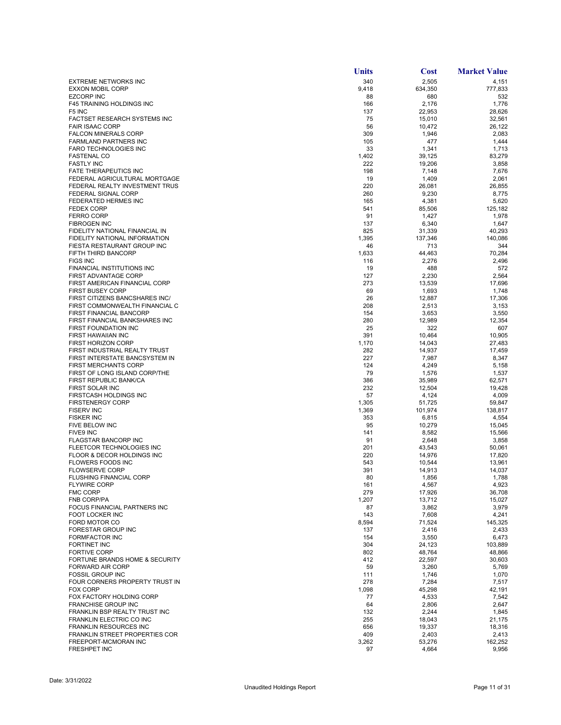|                                                               | Units      | <b>Cost</b>      | <b>Market Value</b> |
|---------------------------------------------------------------|------------|------------------|---------------------|
| <b>EXTREME NETWORKS INC</b>                                   | 340        | 2,505            | 4,151               |
| <b>EXXON MOBIL CORP</b>                                       | 9,418      | 634,350          | 777,833             |
| <b>EZCORP INC</b>                                             | 88         | 680              | 532                 |
| <b>F45 TRAINING HOLDINGS INC</b>                              | 166        | 2,176            | 1,776               |
| F <sub>5</sub> INC<br><b>FACTSET RESEARCH SYSTEMS INC</b>     | 137<br>75  | 22,953           | 28,626<br>32,561    |
| <b>FAIR ISAAC CORP</b>                                        | 56         | 15,010<br>10,472 | 26,122              |
| <b>FALCON MINERALS CORP</b>                                   | 309        | 1,946            | 2,083               |
| FARMLAND PARTNERS INC                                         | 105        | 477              | 1,444               |
| <b>FARO TECHNOLOGIES INC</b>                                  | 33         | 1,341            | 1,713               |
| <b>FASTENAL CO</b>                                            | 1,402      | 39,125           | 83,279              |
| <b>FASTLY INC</b>                                             | 222        | 19,206           | 3,858               |
| <b>FATE THERAPEUTICS INC</b><br>FEDERAL AGRICULTURAL MORTGAGE | 198<br>19  | 7,148<br>1,409   | 7,676<br>2,061      |
| FEDERAL REALTY INVESTMENT TRUS                                | 220        | 26,081           | 26,855              |
| FEDERAL SIGNAL CORP                                           | 260        | 9,230            | 8,775               |
| FEDERATED HERMES INC                                          | 165        | 4,381            | 5,620               |
| <b>FEDEX CORP</b>                                             | 541        | 85,506           | 125,182             |
| <b>FERRO CORP</b>                                             | 91         | 1,427            | 1,978               |
| <b>FIBROGEN INC</b><br>FIDELITY NATIONAL FINANCIAL IN         | 137<br>825 | 6,340<br>31,339  | 1,647<br>40,293     |
| FIDELITY NATIONAL INFORMATION                                 | 1,395      | 137,346          | 140,086             |
| FIESTA RESTAURANT GROUP INC                                   | 46         | 713              | 344                 |
| FIFTH THIRD BANCORP                                           | 1,633      | 44,463           | 70,284              |
| <b>FIGS INC</b>                                               | 116        | 2,276            | 2,496               |
| FINANCIAL INSTITUTIONS INC                                    | 19         | 488              | 572                 |
| FIRST ADVANTAGE CORP                                          | 127        | 2,230            | 2,564               |
| FIRST AMERICAN FINANCIAL CORP                                 | 273        | 13,539           | 17,696              |
| <b>FIRST BUSEY CORP</b><br>FIRST CITIZENS BANCSHARES INC/     | 69<br>26   | 1,693            | 1,748<br>17,306     |
| FIRST COMMONWEALTH FINANCIAL C                                | 208        | 12,887<br>2,513  | 3,153               |
| FIRST FINANCIAL BANCORP                                       | 154        | 3,653            | 3,550               |
| FIRST FINANCIAL BANKSHARES INC                                | 280        | 12,989           | 12,354              |
| FIRST FOUNDATION INC                                          | 25         | 322              | 607                 |
| FIRST HAWAIIAN INC                                            | 391        | 10,464           | 10,905              |
| <b>FIRST HORIZON CORP</b>                                     | 1,170      | 14,043           | 27,483              |
| FIRST INDUSTRIAL REALTY TRUST                                 | 282        | 14,937           | 17,459              |
| FIRST INTERSTATE BANCSYSTEM IN<br><b>FIRST MERCHANTS CORP</b> | 227<br>124 | 7,987<br>4,249   | 8,347<br>5,158      |
| FIRST OF LONG ISLAND CORP/THE                                 | 79         | 1,576            | 1,537               |
| FIRST REPUBLIC BANK/CA                                        | 386        | 35,989           | 62,571              |
| FIRST SOLAR INC                                               | 232        | 12,504           | 19,428              |
| FIRSTCASH HOLDINGS INC                                        | 57         | 4,124            | 4,009               |
| <b>FIRSTENERGY CORP</b>                                       | 1,305      | 51,725           | 59,847              |
| <b>FISERV INC</b>                                             | 1,369      | 101,974          | 138,817             |
| <b>FISKER INC</b><br>FIVE BELOW INC                           | 353<br>95  | 6,815<br>10,279  | 4,554<br>15,045     |
| FIVE9 INC                                                     | 141        | 8,582            | 15,566              |
| FLAGSTAR BANCORP INC                                          | 91         | 2,648            | 3,858               |
| FLEETCOR TECHNOLOGIES INC                                     | 201        | 43,543           | 50,061              |
| FLOOR & DECOR HOLDINGS INC                                    | 220        | 14,976           | 17,820              |
| <b>FLOWERS FOODS INC</b>                                      | 543        | 10,544           | 13,961              |
| <b>FLOWSERVE CORP</b>                                         | 391        | 14,913           | 14.037              |
| <b>FLUSHING FINANCIAL CORP</b><br><b>FLYWIRE CORP</b>         | 80<br>161  | 1,856<br>4,567   | 1,788<br>4,923      |
| <b>FMC CORP</b>                                               | 279        | 17,926           | 36,708              |
| <b>FNB CORP/PA</b>                                            | 1,207      | 13,712           | 15,027              |
| FOCUS FINANCIAL PARTNERS INC                                  | 87         | 3,862            | 3,979               |
| FOOT LOCKER INC                                               | 143        | 7,608            | 4,241               |
| FORD MOTOR CO                                                 | 8,594      | 71,524           | 145,325             |
| FORESTAR GROUP INC                                            | 137        | 2,416            | 2,433               |
| <b>FORMFACTOR INC</b><br><b>FORTINET INC</b>                  | 154<br>304 | 3,550<br>24,123  | 6,473<br>103,889    |
| <b>FORTIVE CORP</b>                                           | 802        | 48,764           | 48,866              |
| FORTUNE BRANDS HOME & SECURITY                                | 412        | 22,597           | 30,603              |
| <b>FORWARD AIR CORP</b>                                       | 59         | 3,260            | 5,769               |
| <b>FOSSIL GROUP INC</b>                                       | 111        | 1,746            | 1,070               |
| FOUR CORNERS PROPERTY TRUST IN                                | 278        | 7,284            | 7,517               |
| <b>FOX CORP</b>                                               | 1,098      | 45,298           | 42,191              |
| FOX FACTORY HOLDING CORP                                      | 77         | 4,533            | 7,542               |
| <b>FRANCHISE GROUP INC</b><br>FRANKLIN BSP REALTY TRUST INC   | 64<br>132  | 2,806<br>2,244   | 2,647<br>1,845      |
| FRANKLIN ELECTRIC CO INC                                      | 255        | 18,043           | 21,175              |
| <b>FRANKLIN RESOURCES INC</b>                                 | 656        | 19,337           | 18,316              |
| FRANKLIN STREET PROPERTIES COR                                | 409        | 2,403            | 2,413               |
| FREEPORT-MCMORAN INC                                          | 3,262      | 53,276           | 162,252             |
| FRESHPET INC                                                  | 97         | 4,664            | 9,956               |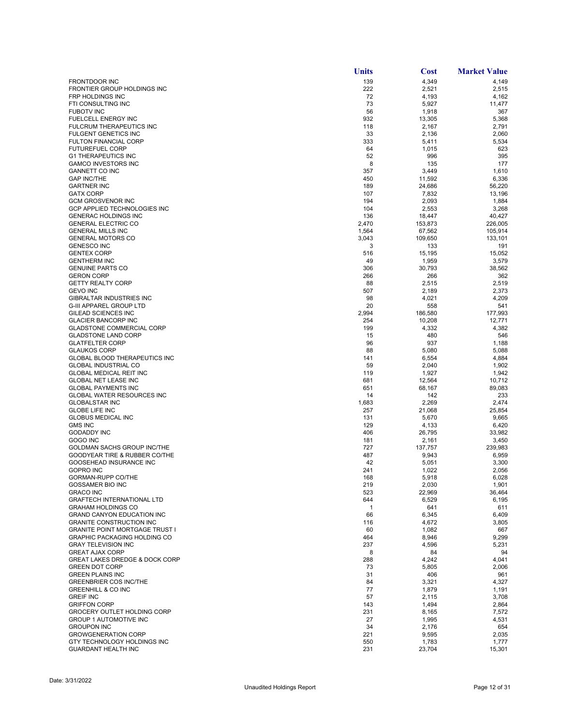|                                                                   | <b>Units</b> | Cost             | <b>Market Value</b> |
|-------------------------------------------------------------------|--------------|------------------|---------------------|
| <b>FRONTDOOR INC</b>                                              | 139          | 4,349            | 4,149               |
| FRONTIER GROUP HOLDINGS INC                                       | 222          | 2,521            | 2,515               |
| FRP HOLDINGS INC                                                  | 72           | 4,193            | 4,162               |
| FTI CONSULTING INC                                                | 73           | 5,927            | 11,477              |
| <b>FUBOTV INC</b>                                                 | 56           | 1,918            | 367                 |
| FUELCELL ENERGY INC<br><b>FULCRUM THERAPEUTICS INC</b>            | 932<br>118   | 13,305           | 5,368<br>2,791      |
| <b>FULGENT GENETICS INC</b>                                       | 33           | 2,167<br>2,136   | 2,060               |
| <b>FULTON FINANCIAL CORP</b>                                      | 333          | 5,411            | 5,534               |
| <b>FUTUREFUEL CORP</b>                                            | 64           | 1,015            | 623                 |
| <b>G1 THERAPEUTICS INC</b>                                        | 52           | 996              | 395                 |
| <b>GAMCO INVESTORS INC</b>                                        | 8            | 135              | 177                 |
| <b>GANNETT CO INC</b>                                             | 357          | 3,449            | 1,610               |
| <b>GAP INC/THE</b>                                                | 450          | 11,592           | 6,336               |
| <b>GARTNER INC</b>                                                | 189          | 24,686           | 56,220              |
| <b>GATX CORP</b>                                                  | 107          | 7,832            | 13,196              |
| <b>GCM GROSVENOR INC</b><br><b>GCP APPLIED TECHNOLOGIES INC</b>   | 194<br>104   | 2,093<br>2,553   | 1,884<br>3,268      |
| <b>GENERAC HOLDINGS INC</b>                                       | 136          | 18,447           | 40,427              |
| <b>GENERAL ELECTRIC CO</b>                                        | 2,470        | 153,873          | 226,005             |
| <b>GENERAL MILLS INC</b>                                          | 1,564        | 67,562           | 105,914             |
| <b>GENERAL MOTORS CO</b>                                          | 3,043        | 109,650          | 133,101             |
| <b>GENESCO INC</b>                                                | 3            | 133              | 191                 |
| <b>GENTEX CORP</b>                                                | 516          | 15,195           | 15,052              |
| <b>GENTHERM INC</b>                                               | 49           | 1,959            | 3,579               |
| <b>GENUINE PARTS CO</b>                                           | 306          | 30,793           | 38,562              |
| <b>GERON CORP</b>                                                 | 266          | 266              | 362                 |
| <b>GETTY REALTY CORP</b><br><b>GEVO INC</b>                       | 88           | 2,515            | 2,519               |
| <b>GIBRALTAR INDUSTRIES INC</b>                                   | 507<br>98    | 2,189            | 2,373<br>4,209      |
| <b>G-III APPAREL GROUP LTD</b>                                    | 20           | 4,021<br>558     | 541                 |
| GILEAD SCIENCES INC                                               | 2,994        | 186,580          | 177,993             |
| <b>GLACIER BANCORP INC</b>                                        | 254          | 10,208           | 12,771              |
| <b>GLADSTONE COMMERCIAL CORP</b>                                  | 199          | 4,332            | 4,382               |
| <b>GLADSTONE LAND CORP</b>                                        | 15           | 480              | 546                 |
| <b>GLATFELTER CORP</b>                                            | 96           | 937              | 1,188               |
| <b>GLAUKOS CORP</b>                                               | 88           | 5,080            | 5,088               |
| GLOBAL BLOOD THERAPEUTICS INC                                     | 141          | 6,554            | 4,884               |
| <b>GLOBAL INDUSTRIAL CO</b>                                       | 59           | 2,040            | 1,902               |
| <b>GLOBAL MEDICAL REIT INC</b><br><b>GLOBAL NET LEASE INC</b>     | 119<br>681   | 1,927            | 1,942<br>10,712     |
| <b>GLOBAL PAYMENTS INC</b>                                        | 651          | 12,564<br>68,167 | 89,083              |
| <b>GLOBAL WATER RESOURCES INC</b>                                 | 14           | 142              | 233                 |
| <b>GLOBALSTAR INC</b>                                             | 1,683        | 2,269            | 2,474               |
| <b>GLOBE LIFE INC</b>                                             | 257          | 21,068           | 25,854              |
| <b>GLOBUS MEDICAL INC</b>                                         | 131          | 5,670            | 9,665               |
| <b>GMS INC</b>                                                    | 129          | 4,133            | 6,420               |
| <b>GODADDY INC</b>                                                | 406          | 26,795           | 33,982              |
| GOGO INC                                                          | 181          | 2,161            | 3,450               |
| GOLDMAN SACHS GROUP INC/THE                                       | 727          | 137,757          | 239,983             |
| GOODYEAR TIRE & RUBBER CO/THE<br>GOOSEHEAD INSURANCE INC          | 487<br>42    | 9,943            | 6,959               |
| <b>GOPRO INC</b>                                                  | 241          | 5,051<br>1,022   | 3,300<br>2,056      |
| <b>GORMAN-RUPP CO/THE</b>                                         | 168          | 5,918            | 6,028               |
| <b>GOSSAMER BIO INC</b>                                           | 219          | 2,030            | 1,901               |
| <b>GRACO INC</b>                                                  | 523          | 22,969           | 36,464              |
| <b>GRAFTECH INTERNATIONAL LTD</b>                                 | 644          | 6,529            | 6,195               |
| <b>GRAHAM HOLDINGS CO</b>                                         | 1            | 641              | 611                 |
| <b>GRAND CANYON EDUCATION INC</b>                                 | 66           | 6,345            | 6,409               |
| <b>GRANITE CONSTRUCTION INC</b>                                   | 116          | 4,672            | 3,805               |
| <b>GRANITE POINT MORTGAGE TRUST I</b>                             | 60           | 1,082            | 667                 |
| <b>GRAPHIC PACKAGING HOLDING CO</b><br><b>GRAY TELEVISION INC</b> | 464<br>237   | 8,946            | 9,299               |
| <b>GREAT AJAX CORP</b>                                            | 8            | 4,596<br>84      | 5,231<br>94         |
| <b>GREAT LAKES DREDGE &amp; DOCK CORP</b>                         | 288          | 4,242            | 4,041               |
| <b>GREEN DOT CORP</b>                                             | 73           | 5,805            | 2,006               |
| <b>GREEN PLAINS INC</b>                                           | 31           | 406              | 961                 |
| <b>GREENBRIER COS INC/THE</b>                                     | 84           | 3,321            | 4,327               |
| <b>GREENHILL &amp; CO INC</b>                                     | 77           | 1,879            | 1,191               |
| <b>GREIF INC</b>                                                  | 57           | 2,115            | 3,708               |
| <b>GRIFFON CORP</b>                                               | 143          | 1,494            | 2,864               |
| GROCERY OUTLET HOLDING CORP                                       | 231          | 8,165            | 7,572               |
| <b>GROUP 1 AUTOMOTIVE INC</b>                                     | 27           | 1,995            | 4,531               |
| <b>GROUPON INC</b><br><b>GROWGENERATION CORP</b>                  | 34<br>221    | 2,176<br>9,595   | 654<br>2,035        |
| GTY TECHNOLOGY HOLDINGS INC                                       | 550          | 1,783            | 1,777               |
| <b>GUARDANT HEALTH INC</b>                                        | 231          | 23,704           | 15,301              |
|                                                                   |              |                  |                     |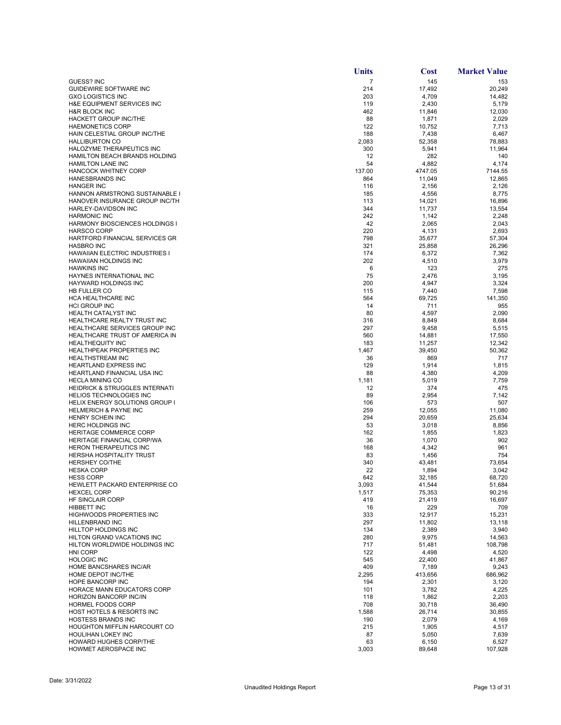|                                                                    | <b>Units</b>   | <b>Cost</b>      | <b>Market Value</b> |
|--------------------------------------------------------------------|----------------|------------------|---------------------|
| <b>GUESS? INC</b>                                                  | $\overline{7}$ | 145              | 153                 |
| GUIDEWIRE SOFTWARE INC                                             | 214            | 17,492           | 20,249              |
| <b>GXO LOGISTICS INC</b>                                           | 203            | 4,709            | 14,482              |
| H&E EQUIPMENT SERVICES INC                                         | 119            | 2,430            | 5,179               |
| <b>H&amp;R BLOCK INC</b>                                           | 462            | 11,846           | 12,030              |
| HACKETT GROUP INC/THE                                              | 88             | 1,871            | 2,029               |
| <b>HAEMONETICS CORP</b><br>HAIN CELESTIAL GROUP INC/THE            | 122<br>188     | 10,752<br>7,438  | 7,713<br>6,467      |
| <b>HALLIBURTON CO</b>                                              | 2,083          | 52,358           | 78,883              |
| HALOZYME THERAPEUTICS INC                                          | 300            | 5,941            | 11,964              |
| HAMILTON BEACH BRANDS HOLDING                                      | 12             | 282              | 140                 |
| <b>HAMILTON LANE INC</b>                                           | 54             | 4,882            | 4,174               |
| <b>HANCOCK WHITNEY CORP</b>                                        | 137.00         | 4747.05          | 7144.55             |
| <b>HANESBRANDS INC</b>                                             | 864            | 11,049           | 12,865              |
| <b>HANGER INC</b>                                                  | 116            | 2,156            | 2,126               |
| <b>HANNON ARMSTRONG SUSTAINABLE</b>                                | 185            | 4,556            | 8,775               |
| HANOVER INSURANCE GROUP INC/TH                                     | 113            | 14,021           | 16,896              |
| HARLEY-DAVIDSON INC                                                | 344            | 11,737           | 13,554              |
| <b>HARMONIC INC</b>                                                | 242            | 1,142            | 2,248               |
| <b>HARMONY BIOSCIENCES HOLDINGS I</b>                              | 42<br>220      | 2,065            | 2,043               |
| <b>HARSCO CORP</b><br>HARTFORD FINANCIAL SERVICES GR               | 798            | 4,131<br>35,677  | 2,693<br>57,304     |
| <b>HASBRO INC</b>                                                  | 321            | 25,858           | 26,296              |
| HAWAIIAN ELECTRIC INDUSTRIES I                                     | 174            | 6,372            | 7,362               |
| <b>HAWAIIAN HOLDINGS INC</b>                                       | 202            | 4,510            | 3,979               |
| <b>HAWKINS INC</b>                                                 | 6              | 123              | 275                 |
| HAYNES INTERNATIONAL INC                                           | 75             | 2,476            | 3,195               |
| <b>HAYWARD HOLDINGS INC</b>                                        | 200            | 4,947            | 3,324               |
| <b>HB FULLER CO</b>                                                | 115            | 7,440            | 7,598               |
| HCA HEALTHCARE INC                                                 | 564            | 69,725           | 141,350             |
| <b>HCI GROUP INC</b>                                               | 14             | 711              | 955                 |
| HEALTH CATALYST INC                                                | 80             | 4,597            | 2,090               |
| HEALTHCARE REALTY TRUST INC                                        | 316            | 8,849            | 8,684               |
| HEALTHCARE SERVICES GROUP INC                                      | 297            | 9,458            | 5,515               |
| HEALTHCARE TRUST OF AMERICA IN                                     | 560            | 14,881           | 17,550              |
| <b>HEALTHEQUITY INC</b><br>HEALTHPEAK PROPERTIES INC               | 183<br>1,467   | 11,257<br>39,450 | 12,342<br>50,362    |
| <b>HEALTHSTREAM INC</b>                                            | 36             | 869              | 717                 |
| <b>HEARTLAND EXPRESS INC</b>                                       | 129            | 1,914            | 1,815               |
| HEARTLAND FINANCIAL USA INC                                        | 88             | 4,380            | 4,209               |
| <b>HECLA MINING CO</b>                                             | 1,181          | 5,019            | 7,759               |
| <b>HEIDRICK &amp; STRUGGLES INTERNATI</b>                          | 12             | 374              | 475                 |
| <b>HELIOS TECHNOLOGIES INC</b>                                     | 89             | 2,954            | 7,142               |
| <b>HELIX ENERGY SOLUTIONS GROUP I</b>                              | 106            | 573              | 507                 |
| <b>HELMERICH &amp; PAYNE INC</b>                                   | 259            | 12,055           | 11,080              |
| HENRY SCHEIN INC                                                   | 294            | 20,659           | 25,634              |
| <b>HERC HOLDINGS INC</b>                                           | 53             | 3,018            | 8,856               |
| <b>HERITAGE COMMERCE CORP</b><br><b>HERITAGE FINANCIAL CORP/WA</b> | 162<br>36      | 1,855            | 1,823<br>902        |
| <b>HERON THERAPEUTICS INC</b>                                      | 168            | 1,070<br>4,342   | 961                 |
| <b>HERSHA HOSPITALITY TRUST</b>                                    | 83             | 1,456            | 754                 |
| <b>HERSHEY CO/THE</b>                                              | 340            | 43,481           | 73,654              |
| <b>HESKA CORP</b>                                                  | 22             | 1,894            | 3,042               |
| <b>HESS CORP</b>                                                   | 642            | 32.185           | 68,720              |
| HEWLETT PACKARD ENTERPRISE CO                                      | 3,093          | 41,544           | 51,684              |
| <b>HEXCEL CORP</b>                                                 | 1,517          | 75,353           | 90,216              |
| HF SINCLAIR CORP                                                   | 419            | 21,419           | 16,697              |
| <b>HIBBETT INC</b>                                                 | 16             | 229              | 709                 |
| <b>HIGHWOODS PROPERTIES INC</b>                                    | 333            | 12,917           | 15,231              |
| HILLENBRAND INC                                                    | 297            | 11,802           | 13,118              |
| <b>HILLTOP HOLDINGS INC</b>                                        | 134            | 2,389            | 3,940               |
| HILTON GRAND VACATIONS INC<br>HILTON WORLDWIDE HOLDINGS INC        | 280            | 9,975            | 14,563              |
| HNI CORP                                                           | 717<br>122     | 51,481<br>4,498  | 108,798<br>4,520    |
| <b>HOLOGIC INC</b>                                                 | 545            | 22,400           | 41,867              |
| HOME BANCSHARES INC/AR                                             | 409            | 7,189            | 9,243               |
| HOME DEPOT INC/THE                                                 | 2,295          | 413,656          | 686,962             |
| HOPE BANCORP INC                                                   | 194            | 2,301            | 3,120               |
| HORACE MANN EDUCATORS CORP                                         | 101            | 3,782            | 4,225               |
| HORIZON BANCORP INC/IN                                             | 118            | 1,862            | 2,203               |
| <b>HORMEL FOODS CORP</b>                                           | 708            | 30,718           | 36,490              |
| <b>HOST HOTELS &amp; RESORTS INC</b>                               | 1,588          | 26,714           | 30,855              |
| <b>HOSTESS BRANDS INC</b>                                          | 190            | 2,079            | 4,169               |
| <b>HOUGHTON MIFFLIN HARCOURT CO</b>                                | 215            | 1,905            | 4,517               |
| HOULIHAN LOKEY INC                                                 | 87             | 5,050            | 7,639               |
| HOWARD HUGHES CORP/THE                                             | 63             | 6,150            | 6,527               |
| HOWMET AEROSPACE INC                                               | 3,003          | 89,648           | 107,928             |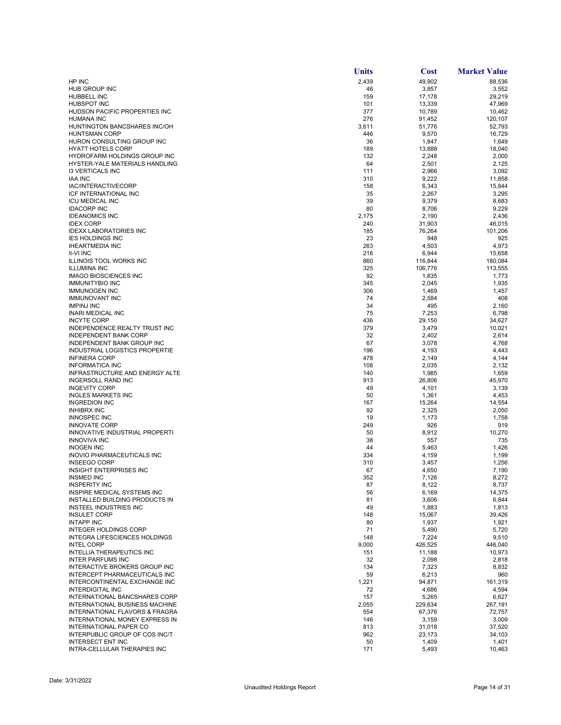|                                                                | <b>Units</b> | <b>Cost</b>     | <b>Market Value</b> |
|----------------------------------------------------------------|--------------|-----------------|---------------------|
| HP INC                                                         | 2,439        | 49,902          | 88,536              |
| HUB GROUP INC                                                  | 46           | 3,857           | 3,552               |
| HUBBELL INC                                                    | 159          | 17,178          | 29,219              |
| <b>HUBSPOT INC</b>                                             | 101          | 13,339          | 47,969              |
| HUDSON PACIFIC PROPERTIES INC                                  | 377          | 10,789          | 10,462              |
| HUMANA INC<br>HUNTINGTON BANCSHARES INC/OH                     | 276<br>3,611 | 91,452          | 120,107<br>52,793   |
| <b>HUNTSMAN CORP</b>                                           | 446          | 51,776<br>9,570 | 16,729              |
| HURON CONSULTING GROUP INC                                     | 36           | 1,847           | 1,649               |
| <b>HYATT HOTELS CORP</b>                                       | 189          | 13,888          | 18,040              |
| HYDROFARM HOLDINGS GROUP INC                                   | 132          | 2,248           | 2,000               |
| HYSTER-YALE MATERIALS HANDLING                                 | 64           | 2,501           | 2,125               |
| <b>13 VERTICALS INC</b>                                        | 111          | 2,966           | 3,092               |
| <b>IAA INC</b>                                                 | 310          | 9,222           | 11,858              |
| IAC/INTERACTIVECORP                                            | 158          | 6,343           | 15,844              |
| ICF INTERNATIONAL INC<br><b>ICU MEDICAL INC</b>                | 35<br>39     | 2,267<br>9,379  | 3,295<br>8,683      |
| <b>IDACORP INC</b>                                             | 80           | 8,706           | 9,229               |
| <b>IDEANOMICS INC</b>                                          | 2,175        | 2,190           | 2,436               |
| <b>IDEX CORP</b>                                               | 240          | 31,903          | 46,015              |
| <b>IDEXX LABORATORIES INC</b>                                  | 185          | 76,264          | 101,206             |
| <b>IES HOLDINGS INC</b>                                        | 23           | 948             | 925                 |
| <b>IHEARTMEDIA INC</b>                                         | 263          | 4,503           | 4,973               |
| <b>II-VI INC</b>                                               | 216          | 6,944           | 15,658              |
| ILLINOIS TOOL WORKS INC                                        | 860          | 116,844         | 180,084             |
| <b>ILLUMINA INC</b>                                            | 325          | 106,776         | 113,555             |
| <b>IMAGO BIOSCIENCES INC</b><br><b>IMMUNITYBIO INC</b>         | 92<br>345    | 1,835           | 1,773<br>1,935      |
| <b>IMMUNOGEN INC</b>                                           | 306          | 2,045<br>1,469  | 1,457               |
| <b>IMMUNOVANT INC</b>                                          | 74           | 2,584           | 408                 |
| <b>IMPINJ INC</b>                                              | 34           | 495             | 2,160               |
| <b>INARI MEDICAL INC</b>                                       | 75           | 7,253           | 6,798               |
| <b>INCYTE CORP</b>                                             | 436          | 29,150          | 34,627              |
| INDEPENDENCE REALTY TRUST INC                                  | 379          | 3,479           | 10,021              |
| <b>INDEPENDENT BANK CORP</b>                                   | 32           | 2,402           | 2,614               |
| INDEPENDENT BANK GROUP INC                                     | 67           | 3,078           | 4,768               |
| INDUSTRIAL LOGISTICS PROPERTIE<br><b>INFINERA CORP</b>         | 196<br>478   | 4,193<br>2,149  | 4,443<br>4,144      |
| <b>INFORMATICA INC</b>                                         | 108          | 2,035           | 2,132               |
| INFRASTRUCTURE AND ENERGY ALTE                                 | 140          | 1,985           | 1,659               |
| <b>INGERSOLL RAND INC</b>                                      | 913          | 26,806          | 45,970              |
| <b>INGEVITY CORP</b>                                           | 49           | 4,101           | 3,139               |
| <b>INGLES MARKETS INC</b>                                      | 50           | 1,361           | 4,453               |
| <b>INGREDION INC</b>                                           | 167          | 15,264          | 14,554              |
| <b>INHIBRX INC</b>                                             | 92           | 2,325           | 2,050               |
| <b>INNOSPEC INC</b><br><b>INNOVATE CORP</b>                    | 19           | 1,173           | 1,758               |
| INNOVATIVE INDUSTRIAL PROPERTI                                 | 249<br>50    | 926<br>8,912    | 919<br>10,270       |
| <b>INNOVIVA INC</b>                                            | 38           | 557             | 735                 |
| <b>INOGEN INC</b>                                              | 44           | 5,463           | 1,426               |
| INOVIO PHARMACEUTICALS INC                                     | 334          | 4,159           | 1,199               |
| <b>INSEEGO CORP</b>                                            | 310          | 3,457           | 1,256               |
| <b>INSIGHT ENTERPRISES INC</b>                                 | 67           | 4,650           | 7,190               |
| INSMED INC                                                     | 352          | 7,126           | 8.272               |
| <b>INSPERITY INC</b>                                           | 87           | 8,122           | 8,737               |
| INSPIRE MEDICAL SYSTEMS INC<br>INSTALLED BUILDING PRODUCTS IN  | 56           | 6,169           | 14,375              |
| INSTEEL INDUSTRIES INC                                         | 81<br>49     | 3,606<br>1,883  | 6,844<br>1,813      |
| <b>INSULET CORP</b>                                            | 148          | 15,067          | 39,426              |
| <b>INTAPP INC</b>                                              | 80           | 1,937           | 1,921               |
| <b>INTEGER HOLDINGS CORP</b>                                   | 71           | 5,490           | 5,720               |
| INTEGRA LIFESCIENCES HOLDINGS                                  | 148          | 7,224           | 9,510               |
| <b>INTEL CORP</b>                                              | 9,000        | 426,525         | 446,040             |
| <b>INTELLIA THERAPEUTICS INC</b>                               | 151          | 11,188          | 10,973              |
| <b>INTER PARFUMS INC</b>                                       | 32           | 2,098           | 2,818               |
| INTERACTIVE BROKERS GROUP INC<br>INTERCEPT PHARMACEUTICALS INC | 134<br>59    | 7,323<br>6,213  | 8,832<br>960        |
| INTERCONTINENTAL EXCHANGE INC                                  | 1,221        | 94,871          | 161,319             |
| <b>INTERDIGITAL INC</b>                                        | 72           | 4,686           | 4,594               |
| INTERNATIONAL BANCSHARES CORP                                  | 157          | 5,265           | 6,627               |
| INTERNATIONAL BUSINESS MACHINE                                 | 2,055        | 229,634         | 267,191             |
| INTERNATIONAL FLAVORS & FRAGRA                                 | 554          | 67,376          | 72,757              |
| INTERNATIONAL MONEY EXPRESS IN                                 | 146          | 3,159           | 3,009               |
| INTERNATIONAL PAPER CO                                         | 813          | 31,018          | 37,520              |
| INTERPUBLIC GROUP OF COS INC/T                                 | 962          | 23,173          | 34,103              |
| INTERSECT ENT INC<br>INTRA-CELLULAR THERAPIES INC              | 50<br>171    | 1,409<br>5,493  | 1,401<br>10,463     |
|                                                                |              |                 |                     |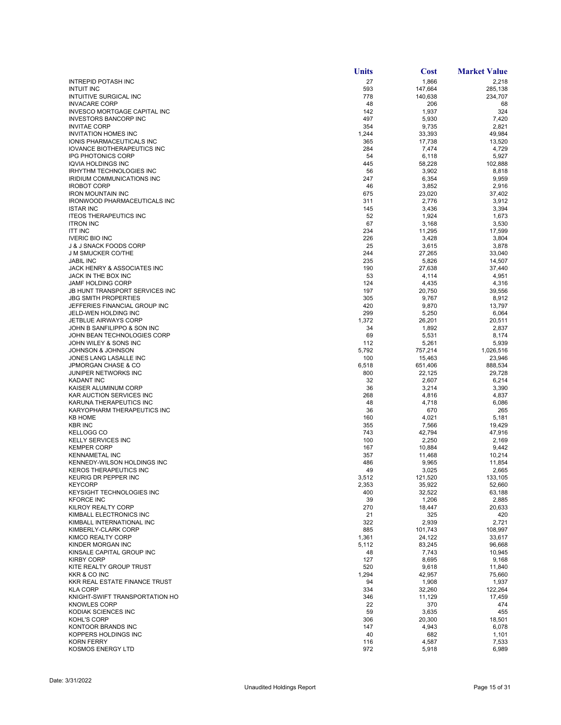|                                                            | Units        | <b>Cost</b>       | <b>Market Value</b> |
|------------------------------------------------------------|--------------|-------------------|---------------------|
| <b>INTREPID POTASH INC</b>                                 | 27           | 1,866             | 2,218               |
| <b>INTUIT INC</b>                                          | 593          | 147,664           | 285,138             |
| INTUITIVE SURGICAL INC                                     | 778          | 140,638           | 234,707             |
| <b>INVACARE CORP</b><br>INVESCO MORTGAGE CAPITAL INC       | 48<br>142    | 206<br>1,937      | 68<br>324           |
| <b>INVESTORS BANCORP INC</b>                               | 497          | 5,930             | 7,420               |
| <b>INVITAE CORP</b>                                        | 354          | 9,735             | 2,821               |
| <b>INVITATION HOMES INC</b>                                | 1,244        | 33,393            | 49,984              |
| IONIS PHARMACEUTICALS INC                                  | 365          | 17,738            | 13,520              |
| <b>IOVANCE BIOTHERAPEUTICS INC</b>                         | 284          | 7,474             | 4,729               |
| <b>IPG PHOTONICS CORP</b><br><b>IQVIA HOLDINGS INC</b>     | 54<br>445    | 6,118             | 5,927               |
| <b>IRHYTHM TECHNOLOGIES INC</b>                            | 56           | 58,228<br>3,902   | 102,888<br>8,818    |
| IRIDIUM COMMUNICATIONS INC                                 | 247          | 6,354             | 9,959               |
| <b>IROBOT CORP</b>                                         | 46           | 3,852             | 2,916               |
| <b>IRON MOUNTAIN INC</b>                                   | 675          | 23,020            | 37,402              |
| IRONWOOD PHARMACEUTICALS INC                               | 311          | 2,776             | 3,912               |
| <b>ISTAR INC</b>                                           | 145          | 3,436             | 3,394               |
| <b>ITEOS THERAPEUTICS INC</b><br><b>ITRON INC</b>          | 52<br>67     | 1,924             | 1,673<br>3,530      |
| <b>ITT INC</b>                                             | 234          | 3,168<br>11,295   | 17,599              |
| <b>IVERIC BIO INC</b>                                      | 226          | 3,428             | 3,804               |
| J & J SNACK FOODS CORP                                     | 25           | 3,615             | 3,878               |
| <b>J M SMUCKER CO/THE</b>                                  | 244          | 27,265            | 33,040              |
| <b>JABIL INC</b>                                           | 235          | 5,826             | 14,507              |
| JACK HENRY & ASSOCIATES INC                                | 190          | 27,638            | 37,440              |
| JACK IN THE BOX INC                                        | 53           | 4,114             | 4,951               |
| <b>JAMF HOLDING CORP</b><br>JB HUNT TRANSPORT SERVICES INC | 124<br>197   | 4,435<br>20,750   | 4,316<br>39,556     |
| <b>JBG SMITH PROPERTIES</b>                                | 305          | 9,767             | 8,912               |
| JEFFERIES FINANCIAL GROUP INC                              | 420          | 9,870             | 13,797              |
| JELD-WEN HOLDING INC                                       | 299          | 5,250             | 6,064               |
| <b>JETBLUE AIRWAYS CORP</b>                                | 1,372        | 26,201            | 20,511              |
| JOHN B SANFILIPPO & SON INC                                | 34           | 1,892             | 2,837               |
| JOHN BEAN TECHNOLOGIES CORP                                | 69           | 5,531             | 8,174               |
| JOHN WILEY & SONS INC                                      | 112          | 5,261             | 5,939               |
| <b>JOHNSON &amp; JOHNSON</b><br>JONES LANG LASALLE INC     | 5,792<br>100 | 757,214<br>15,463 | 1,026,516<br>23,946 |
| <b>JPMORGAN CHASE &amp; CO</b>                             | 6,518        | 651,406           | 888,534             |
| JUNIPER NETWORKS INC                                       | 800          | 22,125            | 29,728              |
| <b>KADANT INC</b>                                          | 32           | 2,607             | 6,214               |
| KAISER ALUMINUM CORP                                       | 36           | 3,214             | 3,390               |
| KAR AUCTION SERVICES INC                                   | 268          | 4,816             | 4,837               |
| KARUNA THERAPEUTICS INC                                    | 48           | 4,718             | 6,086               |
| KARYOPHARM THERAPEUTICS INC<br><b>KB HOME</b>              | 36<br>160    | 670<br>4,021      | 265<br>5,181        |
| <b>KBR INC</b>                                             | 355          | 7,566             | 19,429              |
| <b>KELLOGG CO</b>                                          | 743          | 42,794            | 47,916              |
| <b>KELLY SERVICES INC</b>                                  | 100          | 2,250             | 2,169               |
| <b>KEMPER CORP</b>                                         | 167          | 10,884            | 9,442               |
| <b>KENNAMETAL INC</b>                                      | 357          | 11,468            | 10,214              |
| KENNEDY-WILSON HOLDINGS INC                                | 486          | 9,965             | 11,854              |
| <b>KEROS THERAPEUTICS INC</b><br>KEURIG DR PEPPER INC      | 49<br>3.512  | 3,025<br>121,520  | 2,665<br>133.105    |
| <b>KEYCORP</b>                                             | 2,353        | 35,922            | 52,660              |
| KEYSIGHT TECHNOLOGIES INC                                  | 400          | 32,522            | 63,188              |
| <b>KFORCE INC</b>                                          | 39           | 1,206             | 2,885               |
| KILROY REALTY CORP                                         | 270          | 18,447            | 20,633              |
| KIMBALL ELECTRONICS INC                                    | 21           | 325               | 420                 |
| KIMBALL INTERNATIONAL INC                                  | 322<br>885   | 2,939             | 2,721               |
| KIMBERLY-CLARK CORP<br>KIMCO REALTY CORP                   | 1,361        | 101,743<br>24,122 | 108,997<br>33,617   |
| KINDER MORGAN INC                                          | 5,112        | 83,245            | 96,668              |
| KINSALE CAPITAL GROUP INC                                  | 48           | 7,743             | 10,945              |
| <b>KIRBY CORP</b>                                          | 127          | 8,695             | 9,168               |
| KITE REALTY GROUP TRUST                                    | 520          | 9,618             | 11,840              |
| KKR & CO INC                                               | 1,294        | 42,957            | 75,660              |
| KKR REAL ESTATE FINANCE TRUST                              | 94           | 1,908             | 1,937               |
| <b>KLA CORP</b><br>KNIGHT-SWIFT TRANSPORTATION HO          | 334<br>346   | 32,260<br>11,129  | 122,264<br>17,459   |
| <b>KNOWLES CORP</b>                                        | 22           | 370               | 474                 |
| KODIAK SCIENCES INC                                        | 59           | 3,635             | 455                 |
| KOHL'S CORP                                                | 306          | 20,300            | 18,501              |
| KONTOOR BRANDS INC                                         | 147          | 4,943             | 6,078               |
| KOPPERS HOLDINGS INC                                       | 40           | 682               | 1,101               |
| <b>KORN FERRY</b>                                          | 116          | 4,587             | 7,533               |
| KOSMOS ENERGY LTD                                          | 972          | 5,918             | 6,989               |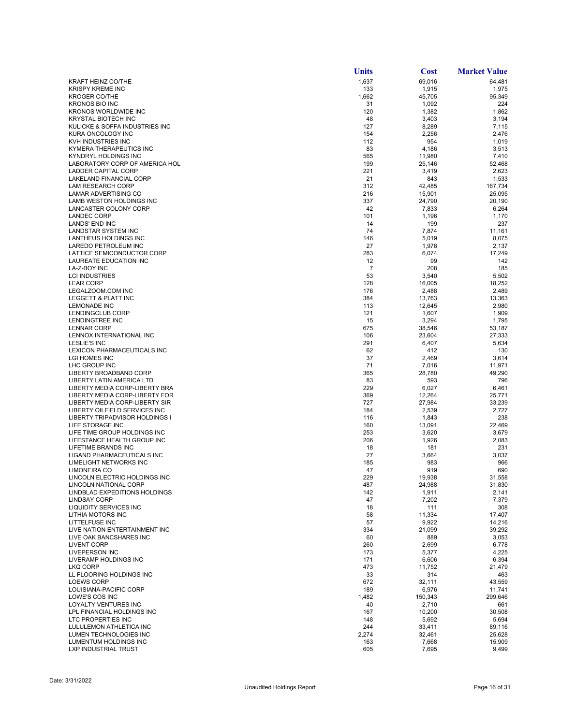|                                                             | Units       | <b>Cost</b>      | <b>Market Value</b> |
|-------------------------------------------------------------|-------------|------------------|---------------------|
| <b>KRAFT HEINZ CO/THE</b>                                   | 1,637       | 69,016           | 64,481              |
| <b>KRISPY KREME INC</b>                                     | 133         | 1,915            | 1,975               |
| <b>KROGER CO/THE</b>                                        | 1,662       | 45,705           | 95,349              |
| <b>KRONOS BIO INC</b><br><b>KRONOS WORLDWIDE INC</b>        | 31          | 1,092            | 224                 |
| <b>KRYSTAL BIOTECH INC</b>                                  | 120<br>48   | 1,382<br>3,403   | 1,862<br>3,194      |
| KULICKE & SOFFA INDUSTRIES INC                              | 127         | 8,289            | 7,115               |
| KURA ONCOLOGY INC                                           | 154         | 2,256            | 2,476               |
| KVH INDUSTRIES INC                                          | 112         | 954              | 1,019               |
| KYMERA THERAPEUTICS INC                                     | 83          | 4,186            | 3,513               |
| KYNDRYL HOLDINGS INC<br>LABORATORY CORP OF AMERICA HOL      | 565<br>199  | 11,980<br>25,146 | 7,410<br>52,468     |
| <b>LADDER CAPITAL CORP</b>                                  | 221         | 3,419            | 2,623               |
| LAKELAND FINANCIAL CORP                                     | 21          | 843              | 1,533               |
| <b>LAM RESEARCH CORP</b>                                    | 312         | 42,485           | 167,734             |
| LAMAR ADVERTISING CO<br>LAMB WESTON HOLDINGS INC            | 216<br>337  | 15,901           | 25,095              |
| LANCASTER COLONY CORP                                       | 42          | 24,790<br>7,833  | 20,190<br>6,264     |
| <b>LANDEC CORP</b>                                          | 101         | 1,196            | 1,170               |
| <b>LANDS' END INC</b>                                       | 14          | 199              | 237                 |
| LANDSTAR SYSTEM INC                                         | 74          | 7,874            | 11,161              |
| LANTHEUS HOLDINGS INC                                       | 146         | 5,019            | 8,075               |
| LAREDO PETROLEUM INC<br>LATTICE SEMICONDUCTOR CORP          | 27<br>283   | 1,978<br>6,074   | 2,137<br>17,249     |
| LAUREATE EDUCATION INC                                      | 12          | 99               | 142                 |
| LA-Z-BOY INC                                                | 7           | 208              | 185                 |
| <b>LCI INDUSTRIES</b>                                       | 53          | 3,540            | 5,502               |
| <b>LEAR CORP</b>                                            | 128         | 16,005           | 18,252              |
| LEGALZOOM.COM INC<br>LEGGETT & PLATT INC                    | 176<br>384  | 2,488<br>13,763  | 2,489<br>13,363     |
| <b>LEMONADE INC</b>                                         | 113         | 12,645           | 2,980               |
| LENDINGCLUB CORP                                            | 121         | 1,607            | 1,909               |
| <b>LENDINGTREE INC</b>                                      | 15          | 3,294            | 1,795               |
| <b>LENNAR CORP</b>                                          | 675         | 38,546           | 53,187              |
| LENNOX INTERNATIONAL INC<br><b>LESLIE'S INC</b>             | 106<br>291  | 23,604<br>6,407  | 27,333<br>5,634     |
| LEXICON PHARMACEUTICALS INC                                 | 62          | 412              | 130                 |
| LGI HOMES INC                                               | 37          | 2,469            | 3,614               |
| LHC GROUP INC                                               | 71          | 7,016            | 11,971              |
| LIBERTY BROADBAND CORP                                      | 365         | 28,780           | 49,290              |
| LIBERTY LATIN AMERICA LTD<br>LIBERTY MEDIA CORP-LIBERTY BRA | 83<br>229   | 593<br>6,027     | 796<br>6,461        |
| LIBERTY MEDIA CORP-LIBERTY FOR                              | 369         | 12,264           | 25,771              |
| LIBERTY MEDIA CORP-LIBERTY SIR                              | 727         | 27,984           | 33,239              |
| LIBERTY OILFIELD SERVICES INC                               | 184         | 2,539            | 2,727               |
| LIBERTY TRIPADVISOR HOLDINGS I                              | 116         | 1,843            | 238                 |
| LIFE STORAGE INC<br>LIFE TIME GROUP HOLDINGS INC            | 160<br>253  | 13,091<br>3,620  | 22,469<br>3,679     |
| LIFESTANCE HEALTH GROUP INC                                 | 206         | 1,926            | 2,083               |
| LIFETIME BRANDS INC                                         | 18          | 181              | 231                 |
| LIGAND PHARMACEUTICALS INC                                  | 27          | 3,664            | 3,037               |
| LIMELIGHT NETWORKS INC                                      | 185         | 983              | 966                 |
| <b>LIMONEIRA CO</b><br>LINCOLN ELECTRIC HOLDINGS INC        | 47<br>229   | 919<br>19,938    | 690<br>31,558       |
| <b>LINCOLN NATIONAL CORP</b>                                | 487         | 24,988           | 31,830              |
| LINDBLAD EXPEDITIONS HOLDINGS                               | 142         | 1,911            | 2,141               |
| <b>LINDSAY CORP</b>                                         | 47          | 7,202            | 7,379               |
| LIQUIDITY SERVICES INC                                      | 18          | 111              | 308                 |
| LITHIA MOTORS INC<br>LITTELFUSE INC                         | 58<br>57    | 11,334<br>9,922  | 17,407<br>14,216    |
| LIVE NATION ENTERTAINMENT INC                               | 334         | 21,099           | 39,292              |
| LIVE OAK BANCSHARES INC                                     | 60          | 889              | 3,053               |
| <b>LIVENT CORP</b>                                          | 260         | 2,699            | 6,778               |
| <b>LIVEPERSON INC</b>                                       | 173         | 5,377            | 4,225               |
| LIVERAMP HOLDINGS INC<br>LKQ CORP                           | 171<br>473  | 6,606<br>11,752  | 6,394<br>21,479     |
| LL FLOORING HOLDINGS INC                                    | 33          | 314              | 463                 |
| <b>LOEWS CORP</b>                                           | 672         | 32,111           | 43,559              |
| LOUISIANA-PACIFIC CORP                                      | 189         | 6,976            | 11,741              |
| LOWE'S COS INC<br>LOYALTY VENTURES INC                      | 1,482<br>40 | 150,343          | 299,646             |
| LPL FINANCIAL HOLDINGS INC                                  | 167         | 2,710<br>10,200  | 661<br>30,508       |
| LTC PROPERTIES INC                                          | 148         | 5,692            | 5,694               |
| LULULEMON ATHLETICA INC                                     | 244         | 33,411           | 89,116              |
| LUMEN TECHNOLOGIES INC                                      | 2,274       | 32,461           | 25,628              |
| LUMENTUM HOLDINGS INC                                       | 163<br>605  | 7,668            | 15,909              |
| LXP INDUSTRIAL TRUST                                        |             | 7,695            | 9,499               |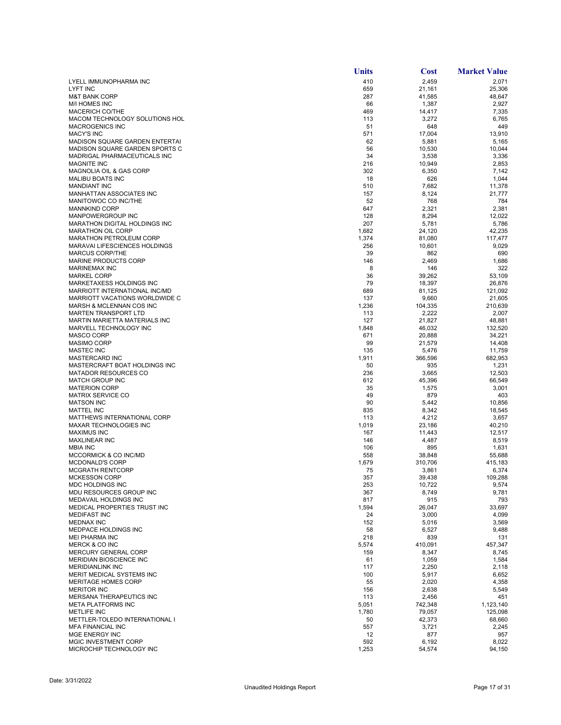|                                                           | Units        | <b>Cost</b>     | <b>Market Value</b> |
|-----------------------------------------------------------|--------------|-----------------|---------------------|
| LYELL IMMUNOPHARMA INC                                    | 410          | 2,459           | 2,071               |
| LYFT INC                                                  | 659          | 21,161          | 25,306              |
| <b>M&amp;T BANK CORP</b><br><b>M/I HOMES INC</b>          | 287<br>66    | 41,585          | 48,647              |
| MACERICH CO/THE                                           | 469          | 1,387<br>14,417 | 2,927<br>7,335      |
| MACOM TECHNOLOGY SOLUTIONS HOL                            | 113          | 3,272           | 6,765               |
| <b>MACROGENICS INC</b>                                    | 51           | 648             | 449                 |
| <b>MACY'S INC</b>                                         | 571          | 17,004          | 13,910              |
| MADISON SQUARE GARDEN ENTERTAI                            | 62           | 5,881           | 5,165               |
| MADISON SQUARE GARDEN SPORTS C                            | 56           | 10,530          | 10,044              |
| MADRIGAL PHARMACEUTICALS INC<br><b>MAGNITE INC</b>        | 34<br>216    | 3,538<br>10,949 | 3,336<br>2,853      |
| MAGNOLIA OIL & GAS CORP                                   | 302          | 6,350           | 7,142               |
| <b>MALIBU BOATS INC</b>                                   | 18           | 626             | 1,044               |
| <b>MANDIANT INC</b>                                       | 510          | 7,682           | 11,378              |
| MANHATTAN ASSOCIATES INC                                  | 157          | 8,124           | 21,777              |
| MANITOWOC CO INC/THE                                      | 52           | 768             | 784                 |
| <b>MANNKIND CORP</b>                                      | 647          | 2,321           | 2,381               |
| MANPOWERGROUP INC<br>MARATHON DIGITAL HOLDINGS INC        | 128<br>207   | 8,294<br>5,781  | 12,022<br>5,786     |
| <b>MARATHON OIL CORP</b>                                  | 1,682        | 24,120          | 42,235              |
| MARATHON PETROLEUM CORP                                   | 1,374        | 81,080          | 117,477             |
| <b>MARAVAI LIFESCIENCES HOLDINGS</b>                      | 256          | 10,601          | 9,029               |
| <b>MARCUS CORP/THE</b>                                    | 39           | 862             | 690                 |
| MARINE PRODUCTS CORP                                      | 146          | 2,469           | 1,686               |
| MARINEMAX INC                                             | 8            | 146             | 322                 |
| <b>MARKEL CORP</b>                                        | 36           | 39.262          | 53,109              |
| MARKETAXESS HOLDINGS INC<br>MARRIOTT INTERNATIONAL INC/MD | 79           | 18,397          | 26,876              |
| MARRIOTT VACATIONS WORLDWIDE C                            | 689<br>137   | 81,125<br>9,660 | 121,092<br>21,605   |
| MARSH & MCLENNAN COS INC                                  | 1,236        | 104,335         | 210,639             |
| <b>MARTEN TRANSPORT LTD</b>                               | 113          | 2,222           | 2,007               |
| MARTIN MARIETTA MATERIALS INC                             | 127          | 21,827          | 48,881              |
| MARVELL TECHNOLOGY INC                                    | 1,848        | 46,032          | 132,520             |
| <b>MASCO CORP</b>                                         | 671          | 20,888          | 34,221              |
| <b>MASIMO CORP</b>                                        | 99           | 21,579          | 14,408              |
| <b>MASTEC INC</b>                                         | 135          | 5,476           | 11,759              |
| MASTERCARD INC<br>MASTERCRAFT BOAT HOLDINGS INC           | 1,911<br>50  | 366,596<br>935  | 682,953<br>1,231    |
| <b>MATADOR RESOURCES CO</b>                               | 236          | 3,665           | 12,503              |
| <b>MATCH GROUP INC</b>                                    | 612          | 45,396          | 66,549              |
| <b>MATERION CORP</b>                                      | 35           | 1,575           | 3,001               |
| <b>MATRIX SERVICE CO</b>                                  | 49           | 879             | 403                 |
| <b>MATSON INC</b>                                         | 90           | 5,442           | 10,856              |
| <b>MATTEL INC</b>                                         | 835          | 8,342           | 18,545              |
| MATTHEWS INTERNATIONAL CORP                               | 113          | 4,212           | 3,657               |
| MAXAR TECHNOLOGIES INC<br><b>MAXIMUS INC</b>              | 1,019<br>167 | 23,186          | 40,210<br>12,517    |
| <b>MAXLINEAR INC</b>                                      | 146          | 11,443<br>4,487 | 8,519               |
| <b>MBIA INC</b>                                           | 106          | 895             | 1,631               |
| MCCORMICK & CO INC/MD                                     | 558          | 38,848          | 55,688              |
| <b>MCDONALD'S CORP</b>                                    | 1,679        | 310,706         | 415,183             |
| <b>MCGRATH RENTCORP</b>                                   | 75           | 3,861           | 6,374               |
| <b>MCKESSON CORP</b>                                      | 357          | 39,438          | 109,288             |
| MDC HOLDINGS INC                                          | 253          | 10,722          | 9,574               |
| MDU RESOURCES GROUP INC<br>MEDAVAIL HOLDINGS INC          | 367<br>817   | 8,749<br>915    | 9,781<br>793        |
| MEDICAL PROPERTIES TRUST INC                              | 1,594        | 26,047          | 33,697              |
| <b>MEDIFAST INC</b>                                       | 24           | 3,000           | 4,099               |
| <b>MEDNAX INC</b>                                         | 152          | 5,016           | 3,569               |
| <b>MEDPACE HOLDINGS INC</b>                               | 58           | 6,527           | 9,488               |
| MEI PHARMA INC                                            | 218          | 839             | 131                 |
| MERCK & CO INC                                            | 5,574        | 410,091         | 457,347             |
| MERCURY GENERAL CORP                                      | 159          | 8,347           | 8,745               |
| MERIDIAN BIOSCIENCE INC<br><b>MERIDIANLINK INC</b>        | 61<br>117    | 1,059<br>2,250  | 1,584<br>2,118      |
| MERIT MEDICAL SYSTEMS INC                                 | 100          | 5,917           | 6,652               |
| <b>MERITAGE HOMES CORP</b>                                | 55           | 2,020           | 4,358               |
| <b>MERITOR INC</b>                                        | 156          | 2,638           | 5,549               |
| MERSANA THERAPEUTICS INC                                  | 113          | 2,456           | 451                 |
| <b>META PLATFORMS INC</b>                                 | 5,051        | 742,348         | 1,123,140           |
| <b>METLIFE INC</b>                                        | 1,780        | 79,057          | 125,098             |
| METTLER-TOLEDO INTERNATIONAL I                            | 50           | 42,373          | 68,660              |
| <b>MFA FINANCIAL INC</b>                                  | 557          | 3,721           | 2,245               |
| MGE ENERGY INC<br>MGIC INVESTMENT CORP                    | 12<br>592    | 877<br>6,192    | 957<br>8,022        |
| MICROCHIP TECHNOLOGY INC                                  | 1,253        | 54,574          | 94,150              |
|                                                           |              |                 |                     |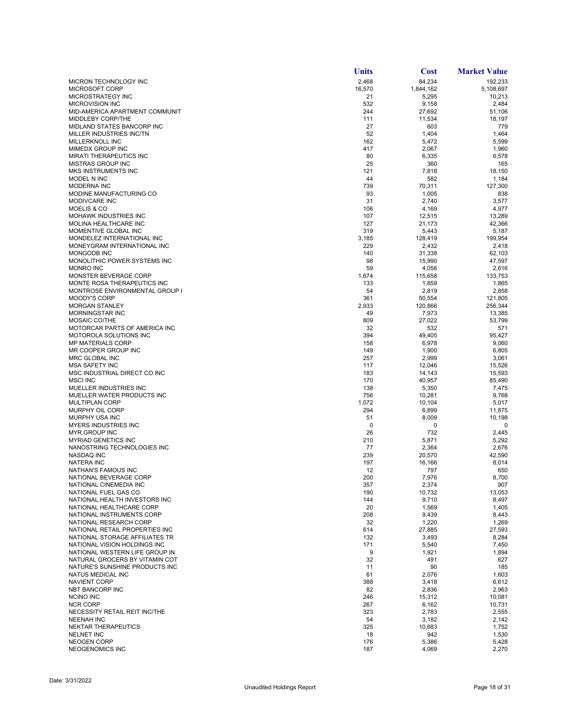|                                                           | Units        | <b>Cost</b>     | <b>Market Value</b> |
|-----------------------------------------------------------|--------------|-----------------|---------------------|
| MICRON TECHNOLOGY INC                                     | 2,468        | 84,234          | 192,233             |
| MICROSOFT CORP                                            | 16,570       | 1,844,162       | 5,108,697           |
| MICROSTRATEGY INC                                         | 21           | 5,295           | 10,213              |
| <b>MICROVISION INC</b><br>MID-AMERICA APARTMENT COMMUNIT  | 532<br>244   | 9,158<br>27,692 | 2,484<br>51,106     |
| MIDDLEBY CORP/THE                                         | 111          | 11,534          | 18,197              |
| <b>MIDLAND STATES BANCORP INC</b>                         | 27           | 603             | 779                 |
| MILLER INDUSTRIES INC/TN                                  | 52           | 1,404           | 1,464               |
| MILLERKNOLL INC                                           | 162          | 5,472           | 5,599               |
| MIMEDX GROUP INC                                          | 417          | 2,067           | 1,960               |
| <b>MIRATI THERAPEUTICS INC</b>                            | 80           | 6,335           | 6,578               |
| <b>MISTRAS GROUP INC</b>                                  | 25           | 360             | 165                 |
| <b>MKS INSTRUMENTS INC</b><br>MODEL N INC                 | 121<br>44    | 7,818<br>582    | 18,150<br>1,184     |
| <b>MODERNA INC</b>                                        | 739          | 70,311          | 127,300             |
| MODINE MANUFACTURING CO                                   | 93           | 1,005           | 838                 |
| MODIVCARE INC                                             | 31           | 2,740           | 3,577               |
| <b>MOELIS &amp; CO</b>                                    | 106          | 4,169           | 4,977               |
| <b>MOHAWK INDUSTRIES INC</b>                              | 107          | 12,515          | 13,289              |
| MOLINA HEALTHCARE INC                                     | 127          | 21,173          | 42,366              |
| MOMENTIVE GLOBAL INC                                      | 319          | 5,443           | 5,187               |
| MONDELEZ INTERNATIONAL INC<br>MONEYGRAM INTERNATIONAL INC | 3,185<br>229 | 128,419         | 199,954             |
| MONGODB INC                                               | 140          | 2,432<br>31,338 | 2,418<br>62,103     |
| MONOLITHIC POWER SYSTEMS INC                              | 98           | 15,990          | 47,597              |
| <b>MONRO INC</b>                                          | 59           | 4,056           | 2,616               |
| MONSTER BEVERAGE CORP                                     | 1,674        | 115,658         | 133,753             |
| MONTE ROSA THERAPEUTICS INC                               | 133          | 1,859           | 1,865               |
| MONTROSE ENVIRONMENTAL GROUP I                            | 54           | 2,819           | 2,858               |
| <b>MOODY'S CORP</b>                                       | 361          | 50,554          | 121,805             |
| <b>MORGAN STANLEY</b>                                     | 2,933        | 120,866         | 256,344             |
| <b>MORNINGSTAR INC</b>                                    | 49<br>809    | 7,973           | 13,385              |
| MOSAIC CO/THE<br>MOTORCAR PARTS OF AMERICA INC            | 32           | 27,022<br>532   | 53,799<br>571       |
| MOTOROLA SOLUTIONS INC                                    | 394          | 49,405          | 95,427              |
| <b>MP MATERIALS CORP</b>                                  | 158          | 6,978           | 9,060               |
| MR COOPER GROUP INC                                       | 149          | 1,900           | 6,805               |
| MRC GLOBAL INC                                            | 257          | 2,999           | 3,061               |
| <b>MSA SAFETY INC</b>                                     | 117          | 12,046          | 15,526              |
| MSC INDUSTRIAL DIRECT CO INC                              | 183          | 14,143          | 15,593              |
| <b>MSCI INC</b><br>MUELLER INDUSTRIES INC                 | 170<br>138   | 40,957<br>5,350 | 85,490<br>7,475     |
| MUELLER WATER PRODUCTS INC                                | 756          | 10,281          | 9,768               |
| <b>MULTIPLAN CORP</b>                                     | 1,072        | 10,104          | 5,017               |
| MURPHY OIL CORP                                           | 294          | 6,899           | 11,875              |
| MURPHY USA INC                                            | 51           | 8,009           | 10,198              |
| <b>MYERS INDUSTRIES INC</b>                               | 0            | 0               | 0                   |
| MYR GROUP INC                                             | 26           | 732             | 2,445               |
| <b>MYRIAD GENETICS INC</b>                                | 210          | 5,871           | 5,292               |
| NANOSTRING TECHNOLOGIES INC<br><b>NASDAQ INC</b>          | 77<br>239    | 2,364<br>20,570 | 2,676<br>42,590     |
| <b>NATERA INC</b>                                         | 197          | 16,166          | 8,014               |
| NATHAN'S FAMOUS INC                                       | 12           | 797             | 650                 |
| NATIONAL BEVERAGE CORP                                    | 200          | 7,976           | 8.700               |
| NATIONAL CINEMEDIA INC                                    | 357          | 2,374           | 907                 |
| NATIONAL FUEL GAS CO                                      | 190          | 10,732          | 13,053              |
| NATIONAL HEALTH INVESTORS INC                             | 144          | 9,710           | 8,497               |
| NATIONAL HEALTHCARE CORP<br>NATIONAL INSTRUMENTS CORP     | 20<br>208    | 1,569<br>9,439  | 1,405<br>8,443      |
| NATIONAL RESEARCH CORP                                    | 32           | 1,220           | 1,269               |
| NATIONAL RETAIL PROPERTIES INC                            | 614          | 27,885          | 27,593              |
| NATIONAL STORAGE AFFILIATES TR                            | 132          | 3,493           | 8,284               |
| NATIONAL VISION HOLDINGS INC                              | 171          | 5,540           | 7,450               |
| NATIONAL WESTERN LIFE GROUP IN                            | 9            | 1,921           | 1,894               |
| NATURAL GROCERS BY VITAMIN COT                            | 32           | 491             | 627                 |
| NATURE'S SUNSHINE PRODUCTS INC                            | 11           | 90              | 185                 |
| NATUS MEDICAL INC                                         | 61           | 2,076           | 1,603               |
| <b>NAVIENT CORP</b><br>NBT BANCORP INC                    | 388<br>82    | 3,418<br>2,836  | 6,612<br>2,963      |
| <b>NCINO INC</b>                                          | 246          | 15,312          | 10,081              |
| <b>NCR CORP</b>                                           | 267          | 6,162           | 10,731              |
| NECESSITY RETAIL REIT INC/THE                             | 323          | 2,783           | 2,555               |
| <b>NEENAH INC</b>                                         | 54           | 3,182           | 2,142               |
| NEKTAR THERAPEUTICS                                       | 325          | 10,683          | 1,752               |
| <b>NELNET INC</b>                                         | 18           | 942             | 1,530               |
| <b>NEOGEN CORP</b><br>NEOGENOMICS INC                     | 176<br>187   | 5,386<br>4,069  | 5,428<br>2,270      |
|                                                           |              |                 |                     |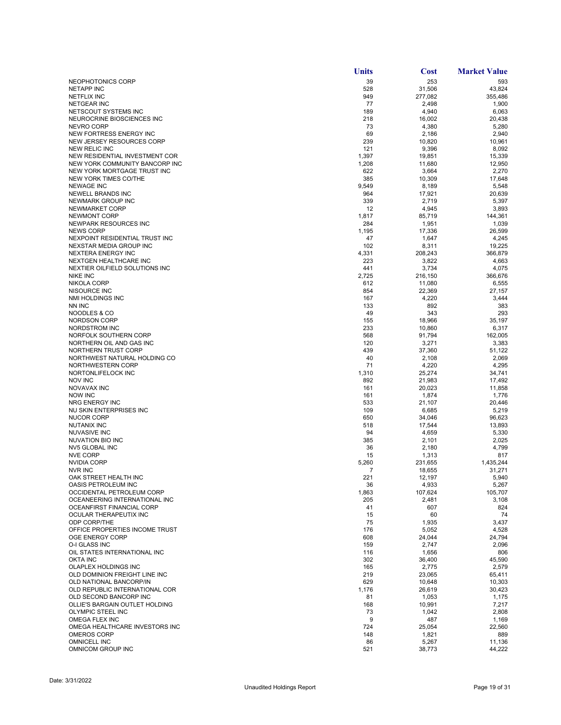|                                                   | <b>Units</b> | <b>Cost</b>     | <b>Market Value</b> |
|---------------------------------------------------|--------------|-----------------|---------------------|
| NEOPHOTONICS CORP                                 | 39           | 253             | 593                 |
| <b>NETAPP INC</b>                                 | 528          | 31,506          | 43,824              |
| <b>NETFLIX INC</b>                                | 949          | 277,082         | 355,486             |
| <b>NETGEAR INC</b>                                | 77           | 2,498           | 1,900               |
| NETSCOUT SYSTEMS INC                              | 189          | 4,940           | 6,063               |
| NEUROCRINE BIOSCIENCES INC                        | 218          | 16,002          | 20,438              |
| <b>NEVRO CORP</b><br>NEW FORTRESS ENERGY INC      | 73<br>69     | 4,380<br>2,186  | 5,280<br>2,940      |
| NEW JERSEY RESOURCES CORP                         | 239          | 10,820          | 10,961              |
| <b>NEW RELIC INC</b>                              | 121          | 9,396           | 8,092               |
| NEW RESIDENTIAL INVESTMENT COR                    | 1,397        | 19,851          | 15,339              |
| NEW YORK COMMUNITY BANCORP INC                    | 1,208        | 11,680          | 12,950              |
| NEW YORK MORTGAGE TRUST INC                       | 622          | 3,664           | 2,270               |
| NEW YORK TIMES CO/THE                             | 385          | 10,309          | 17,648              |
| <b>NEWAGE INC</b>                                 | 9,549        | 8,189           | 5,548               |
| <b>NEWELL BRANDS INC</b>                          | 964          | 17,921          | 20,639              |
| NEWMARK GROUP INC                                 | 339          | 2,719           | 5,397               |
| NEWMARKET CORP                                    | 12           | 4,945           | 3,893               |
| <b>NEWMONT CORP</b>                               | 1,817        | 85,719          | 144,361             |
| NEWPARK RESOURCES INC<br><b>NEWS CORP</b>         | 284          | 1,951           | 1,039               |
| NEXPOINT RESIDENTIAL TRUST INC                    | 1,195<br>47  | 17,336<br>1,647 | 26,599<br>4,245     |
| NEXSTAR MEDIA GROUP INC                           | 102          | 8,311           | 19,225              |
| <b>NEXTERA ENERGY INC</b>                         | 4,331        | 208,243         | 366.879             |
| <b>NEXTGEN HEALTHCARE INC</b>                     | 223          | 3,822           | 4,663               |
| NEXTIER OILFIELD SOLUTIONS INC                    | 441          | 3,734           | 4,075               |
| <b>NIKE INC</b>                                   | 2,725        | 216,150         | 366,676             |
| <b>NIKOLA CORP</b>                                | 612          | 11,080          | 6,555               |
| NISOURCE INC                                      | 854          | 22,369          | 27,157              |
| NMI HOLDINGS INC                                  | 167          | 4,220           | 3,444               |
| NN INC                                            | 133          | 892             | 383                 |
| NOODLES & CO                                      | 49           | 343             | 293                 |
| <b>NORDSON CORP</b>                               | 155          | 18,966          | 35,197              |
| NORDSTROM INC                                     | 233          | 10,860          | 6,317               |
| NORFOLK SOUTHERN CORP                             | 568          | 91,794          | 162,005             |
| NORTHERN OIL AND GAS INC<br>NORTHERN TRUST CORP   | 120<br>439   | 3,271<br>37,360 | 3,383<br>51,122     |
| NORTHWEST NATURAL HOLDING CO                      | 40           | 2,108           | 2,069               |
| NORTHWESTERN CORP                                 | 71           | 4,220           | 4,295               |
| NORTONLIFELOCK INC                                | 1,310        | 25,274          | 34,741              |
| <b>NOV INC</b>                                    | 892          | 21,983          | 17,492              |
| NOVAVAX INC                                       | 161          | 20,023          | 11,858              |
| <b>NOW INC</b>                                    | 161          | 1,874           | 1,776               |
| NRG ENERGY INC                                    | 533          | 21,107          | 20,446              |
| NU SKIN ENTERPRISES INC                           | 109          | 6,685           | 5,219               |
| NUCOR CORP                                        | 650          | 34,046          | 96,623              |
| NUTANIX INC                                       | 518          | 17,544          | 13,893              |
| <b>NUVASIVE INC</b>                               | 94           | 4,659           | 5,330               |
| NUVATION BIO INC<br>NV5 GLOBAL INC                | 385<br>36    | 2,101<br>2,180  | 2,025<br>4,799      |
| <b>NVE CORP</b>                                   | 15           | 1,313           | 817                 |
| <b>NVIDIA CORP</b>                                | 5,260        | 231,655         | 1,435,244           |
| <b>NVR INC</b>                                    | 7            | 18,655          | 31,271              |
| OAK STREET HEALTH INC                             | 221          | 12,197          | 5,940               |
| <b>OASIS PETROLEUM INC</b>                        | 36           | 4,933           | 5,267               |
| OCCIDENTAL PETROLEUM CORP                         | 1,863        | 107,624         | 105,707             |
| OCEANEERING INTERNATIONAL INC                     | 205          | 2,481           | 3,108               |
| OCEANFIRST FINANCIAL CORP                         | 41           | 607             | 824                 |
| OCULAR THERAPEUTIX INC                            | 15           | 60              | 74                  |
| ODP CORP/THE                                      | 75           | 1,935           | 3,437               |
| OFFICE PROPERTIES INCOME TRUST<br>OGE ENERGY CORP | 176          | 5,052           | 4,528               |
| O-I GLASS INC                                     | 608<br>159   | 24,044<br>2,747 | 24,794<br>2,096     |
| OIL STATES INTERNATIONAL INC                      | 116          | 1,656           | 806                 |
| <b>OKTA INC</b>                                   | 302          | 36,400          | 45,590              |
| OLAPLEX HOLDINGS INC                              | 165          | 2,775           | 2,579               |
| OLD DOMINION FREIGHT LINE INC                     | 219          | 23,065          | 65,411              |
| <b>OLD NATIONAL BANCORP/IN</b>                    | 629          | 10,648          | 10,303              |
| OLD REPUBLIC INTERNATIONAL COR                    | 1,176        | 26,619          | 30,423              |
| OLD SECOND BANCORP INC                            | 81           | 1,053           | 1,175               |
| OLLIE'S BARGAIN OUTLET HOLDING                    | 168          | 10,991          | 7,217               |
| OLYMPIC STEEL INC                                 | 73           | 1,042           | 2,808               |
| OMEGA FLEX INC                                    | 9            | 487             | 1,169               |
| OMEGA HEALTHCARE INVESTORS INC                    | 724          | 25,054          | 22,560              |
| <b>OMEROS CORP</b>                                | 148          | 1,821           | 889                 |
| <b>OMNICELL INC</b><br>OMNICOM GROUP INC          | 86<br>521    | 5,267<br>38,773 | 11,136<br>44,222    |
|                                                   |              |                 |                     |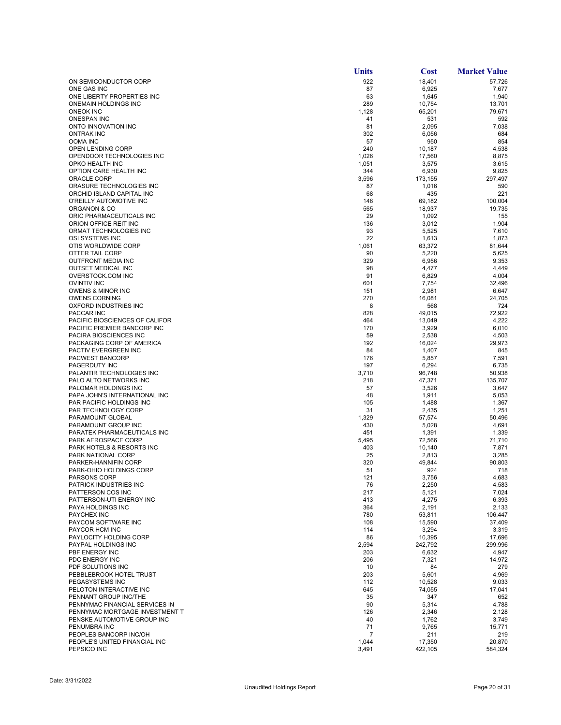|                                                             | <b>Units</b> | <b>Cost</b>      | <b>Market Value</b> |
|-------------------------------------------------------------|--------------|------------------|---------------------|
| ON SEMICONDUCTOR CORP                                       | 922          | 18,401           | 57,726              |
| ONE GAS INC                                                 | 87           | 6,925            | 7,677               |
| ONE LIBERTY PROPERTIES INC                                  | 63           | 1,645            | 1,940               |
| <b>ONEMAIN HOLDINGS INC</b>                                 | 289          | 10,754           | 13,701              |
| <b>ONEOK INC</b>                                            | 1,128        | 65,201           | 79,671              |
| <b>ONESPAN INC</b>                                          | 41           | 531              | 592                 |
| ONTO INNOVATION INC<br><b>ONTRAK INC</b>                    | 81<br>302    | 2,095<br>6,056   | 7,038<br>684        |
| <b>OOMA INC</b>                                             | 57           | 950              | 854                 |
| OPEN LENDING CORP                                           | 240          | 10,187           | 4,538               |
| OPENDOOR TECHNOLOGIES INC                                   | 1,026        | 17,560           | 8,875               |
| OPKO HEALTH INC                                             | 1,051        | 3,575            | 3,615               |
| OPTION CARE HEALTH INC                                      | 344          | 6,930            | 9,825               |
| ORACLE CORP                                                 | 3,596        | 173,155          | 297,497             |
| ORASURE TECHNOLOGIES INC                                    | 87           | 1,016            | 590                 |
| ORCHID ISLAND CAPITAL INC                                   | 68           | 435              | 221                 |
| O'REILLY AUTOMOTIVE INC<br>ORGANON & CO                     | 146<br>565   | 69,182           | 100,004<br>19,735   |
| ORIC PHARMACEUTICALS INC                                    | 29           | 18,937<br>1,092  | 155                 |
| ORION OFFICE REIT INC                                       | 136          | 3,012            | 1,904               |
| ORMAT TECHNOLOGIES INC                                      | 93           | 5,525            | 7,610               |
| OSI SYSTEMS INC                                             | 22           | 1,613            | 1,873               |
| OTIS WORLDWIDE CORP                                         | 1,061        | 63,372           | 81,644              |
| OTTER TAIL CORP                                             | 90           | 5,220            | 5,625               |
| <b>OUTFRONT MEDIA INC</b>                                   | 329          | 6,956            | 9,353               |
| <b>OUTSET MEDICAL INC</b>                                   | 98           | 4,477            | 4,449               |
| OVERSTOCK.COM INC                                           | 91           | 6,829            | 4,004               |
| <b>OVINTIV INC</b><br><b>OWENS &amp; MINOR INC</b>          | 601          | 7,754            | 32,496              |
| <b>OWENS CORNING</b>                                        | 151<br>270   | 2,981<br>16,081  | 6,647<br>24,705     |
| OXFORD INDUSTRIES INC                                       | 8            | 568              | 724                 |
| <b>PACCAR INC</b>                                           | 828          | 49,015           | 72,922              |
| PACIFIC BIOSCIENCES OF CALIFOR                              | 464          | 13,049           | 4,222               |
| PACIFIC PREMIER BANCORP INC                                 | 170          | 3,929            | 6,010               |
| PACIRA BIOSCIENCES INC                                      | 59           | 2,538            | 4,503               |
| PACKAGING CORP OF AMERICA                                   | 192          | 16,024           | 29,973              |
| PACTIV EVERGREEN INC                                        | 84           | 1,407            | 845                 |
| PACWEST BANCORP                                             | 176          | 5,857            | 7,591               |
| PAGERDUTY INC<br>PALANTIR TECHNOLOGIES INC                  | 197<br>3,710 | 6,294<br>96,748  | 6,735<br>50,938     |
| PALO ALTO NETWORKS INC                                      | 218          | 47,371           | 135,707             |
| PALOMAR HOLDINGS INC                                        | 57           | 3,526            | 3,647               |
| PAPA JOHN'S INTERNATIONAL INC                               | 48           | 1,911            | 5,053               |
| PAR PACIFIC HOLDINGS INC                                    | 105          | 1,488            | 1,367               |
| PAR TECHNOLOGY CORP                                         | 31           | 2,435            | 1,251               |
| PARAMOUNT GLOBAL                                            | 1,329        | 57,574           | 50,496              |
| PARAMOUNT GROUP INC                                         | 430          | 5,028            | 4,691               |
| PARATEK PHARMACEUTICALS INC                                 | 451          | 1,391            | 1,339               |
| PARK AEROSPACE CORP<br><b>PARK HOTELS &amp; RESORTS INC</b> | 5,495<br>403 | 72,566<br>10,140 | 71,710<br>7,871     |
| PARK NATIONAL CORP                                          | 25           | 2,813            | 3,285               |
| PARKER-HANNIFIN CORP                                        | 320          | 49,844           | 90,803              |
| PARK-OHIO HOLDINGS CORP                                     | 51           | 924              | 718                 |
| PARSONS CORP                                                | 121          | 3,756            | 4,683               |
| PATRICK INDUSTRIES INC                                      | 76           | 2,250            | 4,583               |
| PATTERSON COS INC                                           | 217          | 5,121            | 7,024               |
| PATTERSON-UTI ENERGY INC                                    | 413          | 4,275            | 6,393               |
| PAYA HOLDINGS INC                                           | 364          | 2,191            | 2,133               |
| <b>PAYCHEX INC</b><br>PAYCOM SOFTWARE INC                   | 780<br>108   | 53,811<br>15,590 | 106,447<br>37,409   |
| PAYCOR HCM INC                                              | 114          | 3,294            | 3,319               |
| PAYLOCITY HOLDING CORP                                      | 86           | 10,395           | 17,696              |
| PAYPAL HOLDINGS INC                                         | 2,594        | 242,792          | 299,996             |
| PBF ENERGY INC                                              | 203          | 6,632            | 4,947               |
| PDC ENERGY INC                                              | 206          | 7,321            | 14,972              |
| PDF SOLUTIONS INC                                           | 10           | 84               | 279                 |
| PEBBLEBROOK HOTEL TRUST                                     | 203          | 5,601            | 4,969               |
| PEGASYSTEMS INC                                             | 112          | 10,528           | 9,033               |
| PELOTON INTERACTIVE INC<br>PENNANT GROUP INC/THE            | 645<br>35    | 74,055<br>347    | 17,041<br>652       |
| PENNYMAC FINANCIAL SERVICES IN                              | 90           | 5,314            | 4,788               |
| PENNYMAC MORTGAGE INVESTMENT T                              | 126          | 2,346            | 2,128               |
| PENSKE AUTOMOTIVE GROUP INC                                 | 40           | 1,762            | 3,749               |
| PENUMBRA INC                                                | 71           | 9,765            | 15,771              |
| PEOPLES BANCORP INC/OH                                      | 7            | 211              | 219                 |
| PEOPLE'S UNITED FINANCIAL INC                               | 1,044        | 17,350           | 20,870              |
| PEPSICO INC                                                 | 3,491        | 422,105          | 584,324             |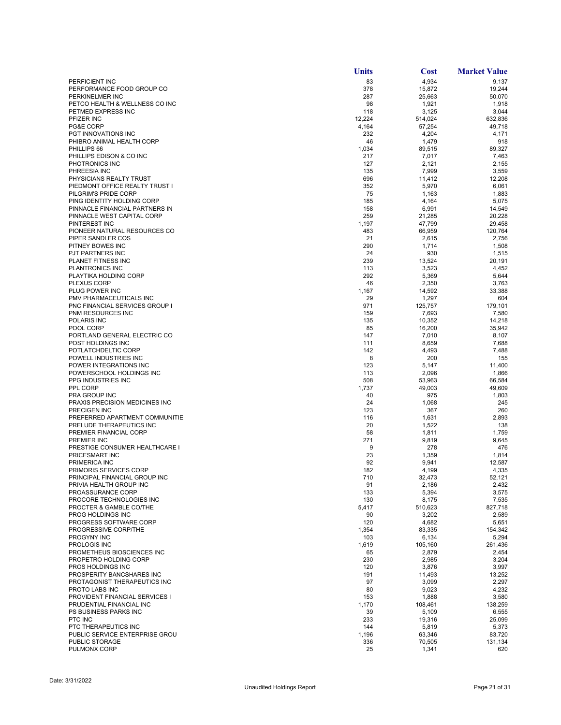|                                                           | <b>Units</b>  | <b>Cost</b>      | <b>Market Value</b> |
|-----------------------------------------------------------|---------------|------------------|---------------------|
| PERFICIENT INC                                            | 83            | 4,934            | 9,137               |
| PERFORMANCE FOOD GROUP CO                                 | 378           | 15,872           | 19,244              |
| PERKINELMER INC                                           | 287           | 25,663           | 50,070              |
| PETCO HEALTH & WELLNESS CO INC                            | 98            | 1,921            | 1,918               |
| PETMED EXPRESS INC<br>PFIZER INC                          | 118<br>12,224 | 3,125<br>514,024 | 3,044<br>632,836    |
| PG&E CORP                                                 | 4,164         | 57,254           | 49,718              |
| PGT INNOVATIONS INC                                       | 232           | 4,204            | 4,171               |
| PHIBRO ANIMAL HEALTH CORP                                 | 46            | 1,479            | 918                 |
| PHILLIPS 66                                               | 1,034         | 89,515           | 89,327              |
| PHILLIPS EDISON & CO INC                                  | 217           | 7,017            | 7,463               |
| PHOTRONICS INC                                            | 127           | 2,121            | 2,155               |
| PHREESIA INC                                              | 135           | 7,999            | 3,559               |
| PHYSICIANS REALTY TRUST<br>PIEDMONT OFFICE REALTY TRUST I | 696<br>352    | 11,412<br>5,970  | 12,208<br>6,061     |
| PILGRIM'S PRIDE CORP                                      | 75            | 1,163            | 1,883               |
| PING IDENTITY HOLDING CORP                                | 185           | 4,164            | 5,075               |
| PINNACLE FINANCIAL PARTNERS IN                            | 158           | 6,991            | 14,549              |
| PINNACLE WEST CAPITAL CORP                                | 259           | 21,285           | 20,228              |
| PINTEREST INC                                             | 1,197         | 47,799           | 29,458              |
| PIONEER NATURAL RESOURCES CO                              | 483           | 66,959           | 120,764             |
| PIPER SANDLER COS                                         | 21            | 2,615            | 2,756               |
| PITNEY BOWES INC<br>PJT PARTNERS INC                      | 290<br>24     | 1,714<br>930     | 1,508<br>1,515      |
| PLANET FITNESS INC                                        | 239           | 13,524           | 20,191              |
| PLANTRONICS INC                                           | 113           | 3,523            | 4,452               |
| PLAYTIKA HOLDING CORP                                     | 292           | 5,369            | 5,644               |
| <b>PLEXUS CORP</b>                                        | 46            | 2,350            | 3,763               |
| PLUG POWER INC                                            | 1,167         | 14,592           | 33,388              |
| PMV PHARMACEUTICALS INC                                   | 29            | 1,297            | 604                 |
| <b>PNC FINANCIAL SERVICES GROUP I</b>                     | 971           | 125,757          | 179,101             |
| PNM RESOURCES INC<br>POLARIS INC                          | 159<br>135    | 7,693<br>10,352  | 7,580<br>14,218     |
| POOL CORP                                                 | 85            | 16,200           | 35,942              |
| PORTLAND GENERAL ELECTRIC CO                              | 147           | 7,010            | 8,107               |
| POST HOLDINGS INC                                         | 111           | 8,659            | 7,688               |
| POTLATCHDELTIC CORP                                       | 142           | 4,493            | 7,488               |
| POWELL INDUSTRIES INC                                     | 8             | 200              | 155                 |
| POWER INTEGRATIONS INC                                    | 123           | 5,147            | 11,400              |
| POWERSCHOOL HOLDINGS INC                                  | 113           | 2,096            | 1,866               |
| PPG INDUSTRIES INC<br>PPL CORP                            | 508<br>1,737  | 53,963<br>49,003 | 66,584<br>49,609    |
| PRA GROUP INC                                             | 40            | 975              | 1,803               |
| PRAXIS PRECISION MEDICINES INC                            | 24            | 1,068            | 245                 |
| PRECIGEN INC                                              | 123           | 367              | 260                 |
| PREFERRED APARTMENT COMMUNITIE                            | 116           | 1,631            | 2,893               |
| PRELUDE THERAPEUTICS INC                                  | 20            | 1,522            | 138                 |
| PREMIER FINANCIAL CORP                                    | 58            | 1,811            | 1,759               |
| PREMIER INC<br>PRESTIGE CONSUMER HEALTHCARE I             | 271<br>9      | 9,819<br>278     | 9,645<br>476        |
| PRICESMART INC                                            | 23            | 1,359            | 1,814               |
| PRIMERICA INC                                             | 92            | 9,941            | 12.587              |
| PRIMORIS SERVICES CORP                                    | 182           | 4,199            | 4,335               |
| PRINCIPAL FINANCIAL GROUP INC                             | 710           | 32,473           | 52,121              |
| PRIVIA HEALTH GROUP INC                                   | 91            | 2,186            | 2,432               |
| PROASSURANCE CORP<br>PROCORE TECHNOLOGIES INC             | 133           | 5,394            | 3,575               |
| PROCTER & GAMBLE CO/THE                                   | 130<br>5,417  | 8,175<br>510,623 | 7,535<br>827,718    |
| PROG HOLDINGS INC                                         | 90            | 3,202            | 2,589               |
| PROGRESS SOFTWARE CORP                                    | 120           | 4,682            | 5,651               |
| PROGRESSIVE CORP/THE                                      | 1,354         | 83,335           | 154,342             |
| PROGYNY INC                                               | 103           | 6,134            | 5,294               |
| PROLOGIS INC                                              | 1,619         | 105,160          | 261,436             |
| PROMETHEUS BIOSCIENCES INC<br>PROPETRO HOLDING CORP       | 65<br>230     | 2,879            | 2,454               |
| <b>PROS HOLDINGS INC</b>                                  | 120           | 2,985<br>3,876   | 3,204<br>3,997      |
| PROSPERITY BANCSHARES INC                                 | 191           | 11,493           | 13,252              |
| PROTAGONIST THERAPEUTICS INC                              | 97            | 3,099            | 2,297               |
| PROTO LABS INC                                            | 80            | 9,023            | 4,232               |
| PROVIDENT FINANCIAL SERVICES I                            | 153           | 1,888            | 3,580               |
| PRUDENTIAL FINANCIAL INC                                  | 1,170         | 108,461          | 138,259             |
| PS BUSINESS PARKS INC                                     | 39            | 5,109            | 6,555               |
| PTC INC                                                   | 233           | 19,316           | 25,099              |
| PTC THERAPEUTICS INC<br>PUBLIC SERVICE ENTERPRISE GROU    | 144<br>1,196  | 5,819<br>63,346  | 5,373<br>83,720     |
| PUBLIC STORAGE                                            | 336           | 70,505           | 131,134             |
| PULMONX CORP                                              | 25            | 1,341            | 620                 |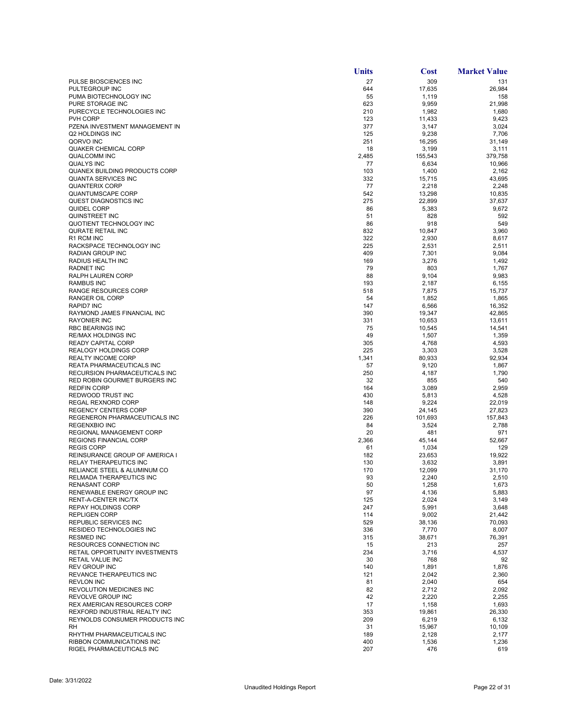|                                                                     | <b>Units</b> | <b>Cost</b>      | <b>Market Value</b> |
|---------------------------------------------------------------------|--------------|------------------|---------------------|
| PULSE BIOSCIENCES INC                                               | 27           | 309              | 131                 |
| PULTEGROUP INC                                                      | 644          | 17,635           | 26,984              |
| PUMA BIOTECHNOLOGY INC<br>PURE STORAGE INC                          | 55<br>623    | 1,119            | 158                 |
| PURECYCLE TECHNOLOGIES INC                                          | 210          | 9,959<br>1,982   | 21,998<br>1,680     |
| PVH CORP                                                            | 123          | 11,433           | 9,423               |
| PZENA INVESTMENT MANAGEMENT IN                                      | 377          | 3,147            | 3,024               |
| Q2 HOLDINGS INC                                                     | 125          | 9,238            | 7,706               |
| QORVO INC                                                           | 251          | 16,295           | 31,149              |
| <b>QUAKER CHEMICAL CORP</b><br><b>QUALCOMM INC</b>                  | 18<br>2,485  | 3,199<br>155,543 | 3,111<br>379,758    |
| <b>QUALYS INC</b>                                                   | 77           | 6,634            | 10,966              |
| QUANEX BUILDING PRODUCTS CORP                                       | 103          | 1,400            | 2,162               |
| QUANTA SERVICES INC                                                 | 332          | 15,715           | 43,695              |
| <b>QUANTERIX CORP</b>                                               | 77           | 2,218            | 2,248               |
| <b>QUANTUMSCAPE CORP</b>                                            | 542          | 13,298           | 10,835              |
| QUEST DIAGNOSTICS INC<br>QUIDEL CORP                                | 275<br>86    | 22,899<br>5,383  | 37,637<br>9,672     |
| QUINSTREET INC                                                      | 51           | 828              | 592                 |
| QUOTIENT TECHNOLOGY INC                                             | 86           | 918              | 549                 |
| QURATE RETAIL INC                                                   | 832          | 10,847           | 3,960               |
| R1 RCM INC                                                          | 322          | 2,930            | 8,617               |
| RACKSPACE TECHNOLOGY INC                                            | 225          | 2,531            | 2,511               |
| <b>RADIAN GROUP INC</b><br>RADIUS HEALTH INC                        | 409<br>169   | 7,301<br>3,276   | 9,084<br>1,492      |
| <b>RADNET INC</b>                                                   | 79           | 803              | 1,767               |
| RALPH LAUREN CORP                                                   | 88           | 9,104            | 9,983               |
| <b>RAMBUS INC</b>                                                   | 193          | 2,187            | 6,155               |
| <b>RANGE RESOURCES CORP</b>                                         | 518          | 7,875            | 15,737              |
| RANGER OIL CORP                                                     | 54           | 1,852            | 1,865               |
| <b>RAPID7 INC</b><br>RAYMOND JAMES FINANCIAL INC                    | 147<br>390   | 6,566<br>19,347  | 16,352<br>42,865    |
| <b>RAYONIER INC</b>                                                 | 331          | 10,653           | 13,611              |
| <b>RBC BEARINGS INC</b>                                             | 75           | 10,545           | 14,541              |
| <b>RE/MAX HOLDINGS INC</b>                                          | 49           | 1,507            | 1,359               |
| <b>READY CAPITAL CORP</b>                                           | 305          | 4,768            | 4,593               |
| <b>REALOGY HOLDINGS CORP</b>                                        | 225          | 3,303            | 3,528               |
| <b>REALTY INCOME CORP</b><br>REATA PHARMACEUTICALS INC              | 1,341<br>57  | 80,933<br>9,120  | 92,934<br>1,867     |
| RECURSION PHARMACEUTICALS INC                                       | 250          | 4,187            | 1,790               |
| RED ROBIN GOURMET BURGERS INC                                       | 32           | 855              | 540                 |
| <b>REDFIN CORP</b>                                                  | 164          | 3,089            | 2,959               |
| REDWOOD TRUST INC                                                   | 430          | 5,813            | 4,528               |
| REGAL REXNORD CORP<br><b>REGENCY CENTERS CORP</b>                   | 148<br>390   | 9,224<br>24,145  | 22,019<br>27,823    |
| REGENERON PHARMACEUTICALS INC                                       | 226          | 101,693          | 157,843             |
| <b>REGENXBIO INC</b>                                                | 84           | 3,524            | 2,788               |
| REGIONAL MANAGEMENT CORP                                            | 20           | 481              | 971                 |
| REGIONS FINANCIAL CORP                                              | 2,366        | 45,144           | 52,667              |
| <b>REGIS CORP</b>                                                   | 61           | 1,034            | 129                 |
| REINSURANCE GROUP OF AMERICA I<br>RELAY THERAPEUTICS INC            | 182<br>130   | 23,653<br>3,632  | 19,922<br>3,891     |
| RELIANCE STEEL & ALUMINUM CO                                        | 170          | 12,099           | 31,170              |
| RELMADA THERAPEUTICS INC                                            | 93           | 2,240            | 2,510               |
| <b>RENASANT CORP</b>                                                | 50           | 1,258            | 1,673               |
| RENEWABLE ENERGY GROUP INC                                          | 97           | 4,136            | 5,883               |
| RENT-A-CENTER INC/TX<br><b>REPAY HOLDINGS CORP</b>                  | 125<br>247   | 2,024<br>5,991   | 3,149<br>3,648      |
| <b>REPLIGEN CORP</b>                                                | 114          | 9,002            | 21,442              |
| REPUBLIC SERVICES INC                                               | 529          | 38,136           | 70,093              |
| RESIDEO TECHNOLOGIES INC                                            | 336          | 7,770            | 8,007               |
| <b>RESMED INC</b>                                                   | 315          | 38,671           | 76,391              |
| <b>RESOURCES CONNECTION INC</b>                                     | 15           | 213              | 257                 |
| RETAIL OPPORTUNITY INVESTMENTS<br>RETAIL VALUE INC                  | 234<br>30    | 3,716<br>768     | 4,537<br>92         |
| <b>REV GROUP INC</b>                                                | 140          | 1,891            | 1,876               |
| REVANCE THERAPEUTICS INC                                            | 121          | 2,042            | 2,360               |
| <b>REVLON INC</b>                                                   | 81           | 2,040            | 654                 |
| REVOLUTION MEDICINES INC                                            | 82           | 2,712            | 2,092               |
| <b>REVOLVE GROUP INC</b>                                            | 42           | 2,220            | 2,255               |
| <b>REX AMERICAN RESOURCES CORP</b><br>REXFORD INDUSTRIAL REALTY INC | 17<br>353    | 1,158            | 1,693               |
| REYNOLDS CONSUMER PRODUCTS INC                                      | 209          | 19,861<br>6,219  | 26,330<br>6,132     |
| RH                                                                  | 31           | 15,967           | 10,109              |
| RHYTHM PHARMACEUTICALS INC                                          | 189          | 2,128            | 2,177               |
| RIBBON COMMUNICATIONS INC                                           | 400          | 1,536            | 1,236               |
| RIGEL PHARMACEUTICALS INC                                           | 207          | 476              | 619                 |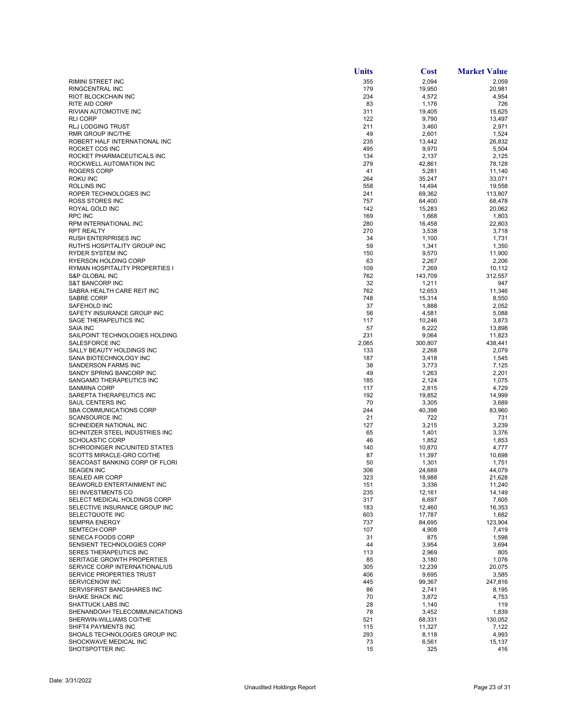|                                                      | <b>Units</b> | <b>Cost</b>      | <b>Market Value</b> |
|------------------------------------------------------|--------------|------------------|---------------------|
| <b>RIMINI STREET INC</b>                             | 355          | 2,094            | 2,059               |
| RINGCENTRAL INC                                      | 179          | 19,950           | 20,981              |
| RIOT BLOCKCHAIN INC                                  | 234          | 4,572            | 4,954               |
| <b>RITE AID CORP</b>                                 | 83           | 1,176            | 726                 |
| RIVIAN AUTOMOTIVE INC                                | 311          | 19,405           | 15,625              |
| <b>RLI CORP</b>                                      | 122          | 9,790            | 13,497              |
| <b>RLJ LODGING TRUST</b>                             | 211          | 3,460            | 2,971               |
| <b>RMR GROUP INC/THE</b>                             | 49           | 2,601            | 1,524               |
| ROBERT HALF INTERNATIONAL INC                        | 235          | 13,442           | 26,832              |
| ROCKET COS INC                                       | 495          | 9,970            | 5,504               |
| ROCKET PHARMACEUTICALS INC                           | 134          | 2,137            | 2,125               |
| ROCKWELL AUTOMATION INC                              | 279          | 42,861           | 78,128              |
| <b>ROGERS CORP</b>                                   | 41           | 5,281            | 11,140              |
| ROKU INC<br><b>ROLLINS INC</b>                       | 264          | 35,247           | 33,071              |
|                                                      | 558          | 14,494           | 19,558              |
| ROPER TECHNOLOGIES INC<br><b>ROSS STORES INC</b>     | 241<br>757   | 69,362<br>64,400 | 113,807<br>68,478   |
| ROYAL GOLD INC                                       | 142          | 15,283           | 20,062              |
| <b>RPC INC</b>                                       | 169          | 1,668            | 1,803               |
| RPM INTERNATIONAL INC                                | 280          | 16,458           | 22,803              |
| <b>RPT REALTY</b>                                    | 270          | 3,538            | 3,718               |
| <b>RUSH ENTERPRISES INC</b>                          | 34           | 1,100            | 1,731               |
| RUTH'S HOSPITALITY GROUP INC                         | 59           | 1,341            | 1,350               |
| RYDER SYSTEM INC                                     | 150          | 9,570            | 11,900              |
| <b>RYERSON HOLDING CORP</b>                          | 63           | 2,267            | 2,206               |
| RYMAN HOSPITALITY PROPERTIES I                       | 109          | 7,269            | 10,112              |
| S&P GLOBAL INC                                       | 762          | 143,709          | 312.557             |
| <b>S&amp;T BANCORP INC</b>                           | 32           | 1,211            | 947                 |
| SABRA HEALTH CARE REIT INC                           | 762          | 12,653           | 11,346              |
| SABRE CORP                                           | 748          | 15,314           | 8,550               |
| SAFEHOLD INC                                         | 37           | 1,888            | 2,052               |
| SAFETY INSURANCE GROUP INC                           | 56           | 4,581            | 5,088               |
| SAGE THERAPEUTICS INC                                | 117          | 10,246           | 3,873               |
| <b>SAIA INC</b>                                      | 57           | 6,222            | 13,898              |
| SAILPOINT TECHNOLOGIES HOLDING                       | 231          | 9,064            | 11,823              |
| SALESFORCE INC                                       | 2,065        | 300,807          | 438,441             |
| SALLY BEAUTY HOLDINGS INC                            | 133          | 2,268            | 2,079               |
| SANA BIOTECHNOLOGY INC                               | 187          | 3,418            | 1,545               |
| SANDERSON FARMS INC                                  | 38           | 3,773            | 7,125               |
| SANDY SPRING BANCORP INC                             | 49           | 1,263            | 2,201               |
| SANGAMO THERAPEUTICS INC                             | 185          | 2,124            | 1,075               |
| <b>SANMINA CORP</b>                                  | 117          | 2,815            | 4,729               |
| SAREPTA THERAPEUTICS INC<br>SAUL CENTERS INC         | 192<br>70    | 19,852<br>3,305  | 14,999<br>3,689     |
| SBA COMMUNICATIONS CORP                              | 244          | 40,398           | 83,960              |
| <b>SCANSOURCE INC</b>                                | 21           | 722              | 731                 |
| SCHNEIDER NATIONAL INC                               | 127          | 3,215            | 3,239               |
| SCHNITZER STEEL INDUSTRIES INC                       | 65           | 1,401            | 3,376               |
| <b>SCHOLASTIC CORP</b>                               | 46           | 1,852            | 1,853               |
| <b>SCHRODINGER INC/UNITED STATES</b>                 | 140          | 10,870           | 4,777               |
| SCOTTS MIRACLE-GRO CO/THE                            | 87           | 11,397           | 10,698              |
| SEACOAST BANKING CORP OF FLORI                       | 50           | 1,301            | 1,751               |
| <b>SEAGEN INC</b>                                    | 306          | 24,689           | 44,079              |
| <b>SEALED AIR CORP</b>                               | 323          | 18,988           | 21,628              |
| SEAWORLD ENTERTAINMENT INC                           | 151          | 3,336            | 11,240              |
| SEI INVESTMENTS CO                                   | 235          | 12,161           | 14,149              |
| SELECT MEDICAL HOLDINGS CORP                         | 317          | 6,697            | 7,605               |
| SELECTIVE INSURANCE GROUP INC                        | 183          | 12,460           | 16,353              |
| SELECTQUOTE INC                                      | 603          | 17,787           | 1,682               |
| <b>SEMPRA ENERGY</b>                                 | 737          | 84,695           | 123,904             |
| <b>SEMTECH CORP</b>                                  | 107          | 4,908            | 7,419               |
| SENECA FOODS CORP                                    | 31           | 875              | 1,598               |
| SENSIENT TECHNOLOGIES CORP                           | 44           | 3,954            | 3,694               |
| SERES THERAPEUTICS INC                               | 113          | 2,969            | 805                 |
| SERITAGE GROWTH PROPERTIES                           | 85           | 3,180            | 1,076               |
| SERVICE CORP INTERNATIONAL/US                        | 305          | 12,239           | 20.075              |
| SERVICE PROPERTIES TRUST                             | 406          | 9,695            | 3,585               |
| <b>SERVICENOW INC</b>                                | 445          | 99,367           | 247,816             |
| SERVISFIRST BANCSHARES INC<br><b>SHAKE SHACK INC</b> | 86<br>70     | 2,741<br>3,872   | 8,195<br>4,753      |
| <b>SHATTUCK LABS INC</b>                             | 28           | 1,140            | 119                 |
| SHENANDOAH TELECOMMUNICATIONS                        | 78           | 3,452            | 1,839               |
| SHERWIN-WILLIAMS CO/THE                              | 521          | 68,331           | 130,052             |
| SHIFT4 PAYMENTS INC                                  | 115          | 11,327           | 7,122               |
| SHOALS TECHNOLOGIES GROUP INC                        | 293          | 8,118            | 4,993               |
| SHOCKWAVE MEDICAL INC                                | 73           | 6,561            | 15,137              |
| SHOTSPOTTER INC                                      | 15           | 325              | 416                 |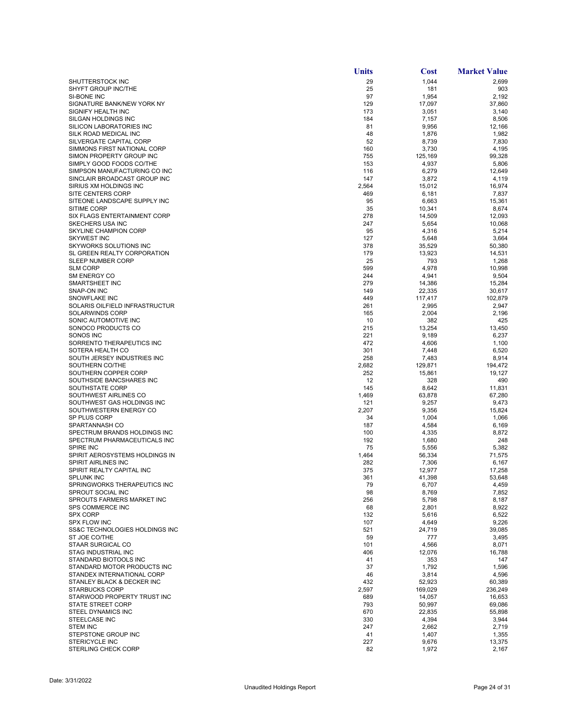|                                                         | Units        | <b>Cost</b>       | <b>Market Value</b> |
|---------------------------------------------------------|--------------|-------------------|---------------------|
| SHUTTERSTOCK INC                                        | 29           | 1,044             | 2,699               |
| SHYFT GROUP INC/THE                                     | 25           | 181               | 903                 |
| SI-BONE INC                                             | 97           | 1,954             | 2,192               |
| SIGNATURE BANK/NEW YORK NY<br>SIGNIFY HEALTH INC        | 129<br>173   | 17,097<br>3,051   | 37,860<br>3,140     |
| SILGAN HOLDINGS INC                                     | 184          | 7,157             | 8,506               |
| SILICON LABORATORIES INC                                | 81           | 9,956             | 12,166              |
| SILK ROAD MEDICAL INC                                   | 48           | 1,876             | 1,982               |
| SILVERGATE CAPITAL CORP                                 | 52           | 8,739             | 7,830               |
| SIMMONS FIRST NATIONAL CORP                             | 160          | 3,730             | 4,195               |
| SIMON PROPERTY GROUP INC<br>SIMPLY GOOD FOODS CO/THE    | 755          | 125,169           | 99,328              |
| SIMPSON MANUFACTURING CO INC                            | 153<br>116   | 4,937<br>6,279    | 5,806<br>12,649     |
| SINCLAIR BROADCAST GROUP INC                            | 147          | 3,872             | 4,119               |
| SIRIUS XM HOLDINGS INC                                  | 2,564        | 15,012            | 16,974              |
| <b>SITE CENTERS CORP</b>                                | 469          | 6,181             | 7,837               |
| SITEONE LANDSCAPE SUPPLY INC                            | 95           | 6,663             | 15,361              |
| <b>SITIME CORP</b>                                      | 35           | 10,341            | 8,674               |
| SIX FLAGS ENTERTAINMENT CORP<br><b>SKECHERS USA INC</b> | 278<br>247   | 14,509            | 12,093<br>10,068    |
| SKYLINE CHAMPION CORP                                   | 95           | 5,654<br>4,316    | 5,214               |
| <b>SKYWEST INC</b>                                      | 127          | 5,648             | 3,664               |
| SKYWORKS SOLUTIONS INC                                  | 378          | 35,529            | 50,380              |
| SL GREEN REALTY CORPORATION                             | 179          | 13,923            | 14,531              |
| <b>SLEEP NUMBER CORP</b>                                | 25           | 793               | 1,268               |
| <b>SLM CORP</b>                                         | 599          | 4,978             | 10,998              |
| <b>SM ENERGY CO</b>                                     | 244          | 4,941             | 9,504               |
| SMARTSHEET INC                                          | 279          | 14,386            | 15,284              |
| SNAP-ON INC<br><b>SNOWFLAKE INC</b>                     | 149<br>449   | 22,335<br>117,417 | 30,617<br>102,879   |
| SOLARIS OILFIELD INFRASTRUCTUR                          | 261          | 2,995             | 2,947               |
| <b>SOLARWINDS CORP</b>                                  | 165          | 2,004             | 2,196               |
| SONIC AUTOMOTIVE INC                                    | 10           | 382               | 425                 |
| SONOCO PRODUCTS CO                                      | 215          | 13,254            | 13,450              |
| SONOS INC                                               | 221          | 9,189             | 6,237               |
| SORRENTO THERAPEUTICS INC                               | 472          | 4,606             | 1,100               |
| SOTERA HEALTH CO                                        | 301          | 7,448             | 6,520               |
| SOUTH JERSEY INDUSTRIES INC<br>SOUTHERN CO/THE          | 258<br>2,682 | 7,483<br>129,871  | 8,914<br>194,472    |
| SOUTHERN COPPER CORP                                    | 252          | 15,861            | 19,127              |
| SOUTHSIDE BANCSHARES INC                                | 12           | 328               | 490                 |
| SOUTHSTATE CORP                                         | 145          | 8,642             | 11,831              |
| SOUTHWEST AIRLINES CO                                   | 1,469        | 63,878            | 67,280              |
| SOUTHWEST GAS HOLDINGS INC                              | 121          | 9,257             | 9,473               |
| SOUTHWESTERN ENERGY CO                                  | 2,207        | 9,356             | 15,824              |
| SP PLUS CORP                                            | 34           | 1,004             | 1,066               |
| SPARTANNASH CO<br>SPECTRUM BRANDS HOLDINGS INC          | 187<br>100   | 4,584             | 6,169               |
| SPECTRUM PHARMACEUTICALS INC                            | 192          | 4,335<br>1,680    | 8,872<br>248        |
| SPIRE INC                                               | 75           | 5,556             | 5,382               |
| SPIRIT AEROSYSTEMS HOLDINGS IN                          | 1,464        | 56,334            | 71,575              |
| SPIRIT AIRLINES INC                                     | 282          | 7,306             | 6,167               |
| SPIRIT REALTY CAPITAL INC                               | 375          | 12,977            | 17,258              |
| <b>SPLUNK INC</b>                                       | 361          | 41,398            | 53,648              |
| SPRINGWORKS THERAPEUTICS INC                            | 79           | 6,707             | 4,459               |
| SPROUT SOCIAL INC<br>SPROUTS FARMERS MARKET INC         | 98<br>256    | 8,769<br>5,798    | 7,852<br>8,187      |
| <b>SPS COMMERCE INC</b>                                 | 68           | 2,801             | 8,922               |
| <b>SPX CORP</b>                                         | 132          | 5,616             | 6,522               |
| <b>SPX FLOW INC</b>                                     | 107          | 4,649             | 9,226               |
| SS&C TECHNOLOGIES HOLDINGS INC                          | 521          | 24,719            | 39,085              |
| ST JOE CO/THE                                           | 59           | 777               | 3,495               |
| STAAR SURGICAL CO                                       | 101          | 4,566             | 8,071               |
| STAG INDUSTRIAL INC                                     | 406          | 12,076            | 16,788              |
| STANDARD BIOTOOLS INC<br>STANDARD MOTOR PRODUCTS INC    | 41<br>37     | 353<br>1,792      | 147<br>1,596        |
| STANDEX INTERNATIONAL CORP                              | 46           | 3,814             | 4,596               |
| STANLEY BLACK & DECKER INC                              | 432          | 52,923            | 60,389              |
| <b>STARBUCKS CORP</b>                                   | 2,597        | 169,029           | 236,249             |
| STARWOOD PROPERTY TRUST INC                             | 689          | 14,057            | 16.653              |
| <b>STATE STREET CORP</b>                                | 793          | 50,997            | 69,086              |
| STEEL DYNAMICS INC                                      | 670          | 22,835            | 55,898              |
| STEELCASE INC                                           | 330          | 4,394             | 3,944               |
| <b>STEM INC</b><br>STEPSTONE GROUP INC                  | 247<br>41    | 2,662<br>1,407    | 2,719<br>1,355      |
| STERICYCLE INC                                          | 227          | 9,676             | 13,375              |
| STERLING CHECK CORP                                     | 82           | 1,972             | 2,167               |
|                                                         |              |                   |                     |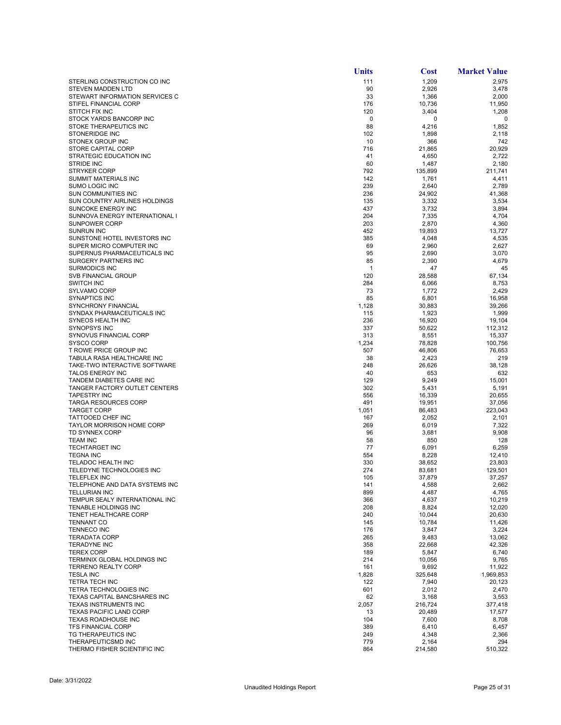|                                                             | <b>Units</b> | Cost             | <b>Market Value</b>  |
|-------------------------------------------------------------|--------------|------------------|----------------------|
| STERLING CONSTRUCTION CO INC                                | 111          | 1,209            | 2,975                |
| STEVEN MADDEN LTD                                           | 90           | 2,926            | 3,478                |
| STEWART INFORMATION SERVICES C                              | 33           | 1,366            | 2,000                |
| STIFEL FINANCIAL CORP                                       | 176          | 10,736           | 11,950               |
| STITCH FIX INC<br>STOCK YARDS BANCORP INC                   | 120<br>0     | 3,404<br>0       | 1,208<br>$\mathbf 0$ |
| STOKE THERAPEUTICS INC                                      | 88           | 4,216            | 1,852                |
| STONERIDGE INC                                              | 102          | 1,898            | 2,118                |
| STONEX GROUP INC                                            | 10           | 366              | 742                  |
| STORE CAPITAL CORP                                          | 716          | 21,865           | 20,929               |
| STRATEGIC EDUCATION INC                                     | 41           | 4,650            | 2,722                |
| <b>STRIDE INC</b>                                           | 60           | 1,487            | 2,180                |
| <b>STRYKER CORP</b>                                         | 792          | 135,899          | 211,741              |
| SUMMIT MATERIALS INC<br><b>SUMO LOGIC INC</b>               | 142<br>239   | 1,761<br>2,640   | 4,411<br>2,789       |
| SUN COMMUNITIES INC                                         | 236          | 24,902           | 41,368               |
| SUN COUNTRY AIRLINES HOLDINGS                               | 135          | 3,332            | 3,534                |
| SUNCOKE ENERGY INC                                          | 437          | 3,732            | 3,894                |
| SUNNOVA ENERGY INTERNATIONAL I                              | 204          | 7,335            | 4,704                |
| <b>SUNPOWER CORP</b>                                        | 203          | 2,870            | 4,360                |
| <b>SUNRUN INC</b>                                           | 452          | 19,893           | 13,727               |
| SUNSTONE HOTEL INVESTORS INC                                | 385          | 4,048            | 4,535                |
| SUPER MICRO COMPUTER INC                                    | 69           | 2,960            | 2,627                |
| SUPERNUS PHARMACEUTICALS INC<br><b>SURGERY PARTNERS INC</b> | 95<br>85     | 2,690<br>2,390   | 3,070<br>4,679       |
| <b>SURMODICS INC</b>                                        | 1            | 47               | 45                   |
| <b>SVB FINANCIAL GROUP</b>                                  | 120          | 28,588           | 67,134               |
| <b>SWITCH INC</b>                                           | 284          | 6,066            | 8,753                |
| <b>SYLVAMO CORP</b>                                         | 73           | 1,772            | 2,429                |
| <b>SYNAPTICS INC</b>                                        | 85           | 6,801            | 16,958               |
| SYNCHRONY FINANCIAL                                         | 1,128        | 30,883           | 39,266               |
| SYNDAX PHARMACEUTICALS INC                                  | 115          | 1,923            | 1,999                |
| SYNEOS HEALTH INC                                           | 236          | 16,920           | 19,104               |
| <b>SYNOPSYS INC</b><br>SYNOVUS FINANCIAL CORP               | 337<br>313   | 50,622<br>8,551  | 112,312<br>15,337    |
| <b>SYSCO CORP</b>                                           | 1,234        | 78,828           | 100,756              |
| T ROWE PRICE GROUP INC                                      | 507          | 46,806           | 76,653               |
| TABULA RASA HEALTHCARE INC                                  | 38           | 2,423            | 219                  |
| TAKE-TWO INTERACTIVE SOFTWARE                               | 248          | 26,626           | 38,128               |
| TALOS ENERGY INC                                            | 40           | 653              | 632                  |
| TANDEM DIABETES CARE INC                                    | 129          | 9,249            | 15,001               |
| TANGER FACTORY OUTLET CENTERS                               | 302          | 5,431            | 5,191                |
| <b>TAPESTRY INC</b>                                         | 556          | 16,339           | 20,655               |
| <b>TARGA RESOURCES CORP</b><br><b>TARGET CORP</b>           | 491<br>1,051 | 19,951<br>86,483 | 37,056<br>223,043    |
| TATTOOED CHEF INC                                           | 167          | 2,052            | 2,101                |
| <b>TAYLOR MORRISON HOME CORP</b>                            | 269          | 6,019            | 7,322                |
| <b>TD SYNNEX CORP</b>                                       | 96           | 3,681            | 9,908                |
| <b>TEAM INC</b>                                             | 58           | 850              | 128                  |
| <b>TECHTARGET INC</b>                                       | 77           | 6,091            | 6,259                |
| <b>TEGNA INC</b>                                            | 554          | 8,228            | 12,410               |
| TELADOC HEALTH INC                                          | 330          | 38,652           | 23,803               |
| TELEDYNE TECHNOLOGIES INC<br>TELEFLEX INC                   | 274<br>105   | 83.681<br>37,879 | 129,501<br>37,257    |
| TELEPHONE AND DATA SYSTEMS INC                              | 141          | 4,588            | 2,662                |
| TELLURIAN INC                                               | 899          | 4,487            | 4,765                |
| TEMPUR SEALY INTERNATIONAL INC                              | 366          | 4,637            | 10,219               |
| TENABLE HOLDINGS INC                                        | 208          | 8,824            | 12,020               |
| TENET HEALTHCARE CORP                                       | 240          | 10,044           | 20,630               |
| <b>TENNANT CO</b>                                           | 145          | 10,784           | 11,426               |
| <b>TENNECO INC</b>                                          | 176          | 3,847            | 3,224                |
| <b>TERADATA CORP</b><br><b>TERADYNE INC</b>                 | 265<br>358   | 9,483<br>22,668  | 13,062<br>42,326     |
| <b>TEREX CORP</b>                                           | 189          | 5,847            | 6,740                |
| TERMINIX GLOBAL HOLDINGS INC                                | 214          | 10,056           | 9,765                |
| <b>TERRENO REALTY CORP</b>                                  | 161          | 9,692            | 11,922               |
| <b>TESLA INC</b>                                            | 1,828        | 325,648          | 1,969,853            |
| <b>TETRA TECH INC</b>                                       | 122          | 7,940            | 20,123               |
| TETRA TECHNOLOGIES INC                                      | 601          | 2,012            | 2,470                |
| TEXAS CAPITAL BANCSHARES INC                                | 62           | 3,168            | 3,553                |
| TEXAS INSTRUMENTS INC<br><b>TEXAS PACIFIC LAND CORP</b>     | 2,057        | 216,724          | 377,418              |
| <b>TEXAS ROADHOUSE INC</b>                                  | 13<br>104    | 20,489<br>7,600  | 17,577<br>8,708      |
| TFS FINANCIAL CORP                                          | 389          | 6,410            | 6,457                |
| TG THERAPEUTICS INC                                         | 249          | 4,348            | 2,366                |
| THERAPEUTICSMD INC                                          | 779          | 2,164            | 294                  |
| THERMO FISHER SCIENTIFIC INC                                | 864          | 214,580          | 510,322              |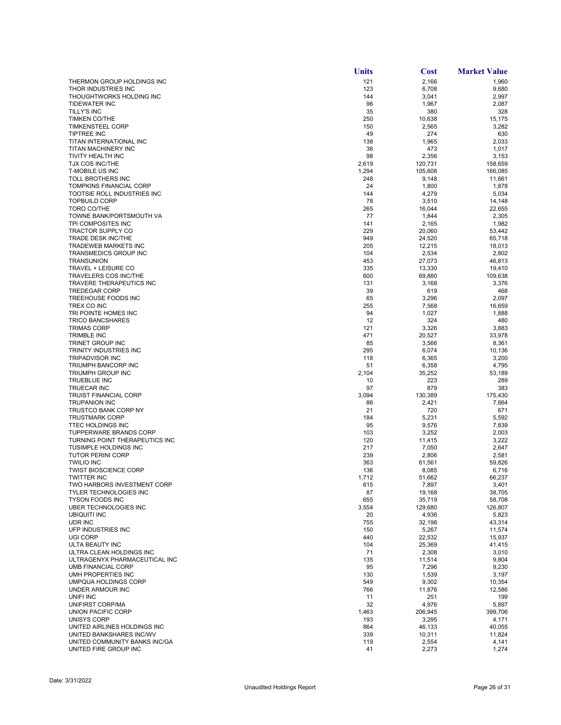|                                                      | <b>Units</b> | Cost              | <b>Market Value</b> |
|------------------------------------------------------|--------------|-------------------|---------------------|
| THERMON GROUP HOLDINGS INC                           | 121          | 2,166             | 1,960               |
| THOR INDUSTRIES INC                                  | 123          | 6,708             | 9,680               |
| THOUGHTWORKS HOLDING INC                             | 144          | 3,041             | 2,997               |
| <b>TIDEWATER INC</b>                                 | 96           | 1,967             | 2,087               |
| TILLY'S INC                                          | 35           | 380               | 328                 |
| <b>TIMKEN CO/THE</b>                                 | 250          | 10,638            | 15,175              |
| <b>TIMKENSTEEL CORP</b><br><b>TIPTREE INC</b>        | 150<br>49    | 2,565<br>274      | 3,282<br>630        |
| TITAN INTERNATIONAL INC                              | 138          | 1,965             | 2,033               |
| TITAN MACHINERY INC                                  | 36           | 473               | 1,017               |
| TIVITY HEALTH INC                                    | 98           | 2,356             | 3,153               |
| <b>TJX COS INC/THE</b>                               | 2,619        | 120,731           | 158,659             |
| <b>T-MOBILE US INC</b>                               | 1,294        | 105,608           | 166,085             |
| <b>TOLL BROTHERS INC</b>                             | 248          | 9,148             | 11,661              |
| <b>TOMPKINS FINANCIAL CORP</b>                       | 24           | 1,800             | 1,878               |
| TOOTSIE ROLL INDUSTRIES INC                          | 144          | 4,279             | 5,034               |
| <b>TOPBUILD CORP</b>                                 | 78           | 3,510             | 14,148              |
| TORO CO/THE                                          | 265          | 16,044            | 22,655              |
| TOWNE BANK/PORTSMOUTH VA<br>TPI COMPOSITES INC       | 77<br>141    | 1,844<br>2,165    | 2,305<br>1,982      |
| <b>TRACTOR SUPPLY CO</b>                             | 229          | 20,060            | 53,442              |
| <b>TRADE DESK INC/THE</b>                            | 949          | 24,520            | 65,718              |
| TRADEWEB MARKETS INC                                 | 205          | 12,215            | 18,013              |
| <b>TRANSMEDICS GROUP INC</b>                         | 104          | 2,534             | 2,802               |
| <b>TRANSUNION</b>                                    | 453          | 27,073            | 46.813              |
| TRAVEL + LEISURE CO                                  | 335          | 13,330            | 19,410              |
| <b>TRAVELERS COS INC/THE</b>                         | 600          | 69,880            | 109,638             |
| TRAVERE THERAPEUTICS INC                             | 131          | 3,168             | 3,376               |
| <b>TREDEGAR CORP</b>                                 | 39           | 619               | 468                 |
| TREEHOUSE FOODS INC                                  | 65           | 3,296             | 2,097               |
| TREX CO INC                                          | 255          | 7,568             | 16,659              |
| TRI POINTE HOMES INC                                 | 94           | 1,027             | 1,888               |
| <b>TRICO BANCSHARES</b><br><b>TRIMAS CORP</b>        | 12<br>121    | 324<br>3,326      | 480<br>3,883        |
| <b>TRIMBLE INC</b>                                   | 471          | 20,527            | 33,978              |
| TRINET GROUP INC                                     | 85           | 3,566             | 8,361               |
| TRINITY INDUSTRIES INC                               | 295          | 6,074             | 10,136              |
| <b>TRIPADVISOR INC</b>                               | 118          | 6,365             | 3,200               |
| TRIUMPH BANCORP INC                                  | 51           | 6,358             | 4,795               |
| TRIUMPH GROUP INC                                    | 2,104        | 35,252            | 53,189              |
| TRUEBLUE INC                                         | 10           | 223               | 289                 |
| <b>TRUECAR INC</b>                                   | 97           | 879               | 383                 |
| <b>TRUIST FINANCIAL CORP</b>                         | 3,094        | 130,389           | 175,430             |
| <b>TRUPANION INC</b>                                 | 86           | 2,421             | 7,664               |
| <b>TRUSTCO BANK CORP NY</b><br><b>TRUSTMARK CORP</b> | 21<br>184    | 720<br>5,231      | 671<br>5,592        |
| <b>TTEC HOLDINGS INC</b>                             | 95           | 9,576             | 7,839               |
| <b>TUPPERWARE BRANDS CORP</b>                        | 103          | 3,252             | 2,003               |
| TURNING POINT THERAPEUTICS INC                       | 120          | 11,415            | 3,222               |
| <b>TUSIMPLE HOLDINGS INC</b>                         | 217          | 7,050             | 2,647               |
| <b>TUTOR PERINI CORP</b>                             | 239          | 2,806             | 2,581               |
| <b>TWILIO INC</b>                                    | 363          | 61,561            | 59,826              |
| <b>TWIST BIOSCIENCE CORP</b>                         | 136          | 8,085             | 6,716               |
| <b>TWITTER INC</b>                                   | 1,712        | 51,662            | 66,237              |
| TWO HARBORS INVESTMENT CORP                          | 615          | 7,897             | 3,401               |
| TYLER TECHNOLOGIES INC                               | 87           | 19,168            | 38,705              |
| <b>TYSON FOODS INC</b><br>UBER TECHNOLOGIES INC      | 655<br>3,554 | 35,719<br>129,680 | 58,708<br>126,807   |
| <b>UBIQUITI INC</b>                                  | 20           | 4,936             | 5,823               |
| UDR INC                                              | 755          | 32,198            | 43,314              |
| UFP INDUSTRIES INC                                   | 150          | 5,267             | 11,574              |
| <b>UGI CORP</b>                                      | 440          | 22,532            | 15,937              |
| ULTA BEAUTY INC                                      | 104          | 25,369            | 41,415              |
| ULTRA CLEAN HOLDINGS INC                             | 71           | 2,308             | 3,010               |
| ULTRAGENYX PHARMACEUTICAL INC                        | 135          | 11,514            | 9,804               |
| <b>UMB FINANCIAL CORP</b>                            | 95           | 7,296             | 9,230               |
| UMH PROPERTIES INC                                   | 130          | 1,539             | 3,197               |
| UMPQUA HOLDINGS CORP                                 | 549          | 9,302             | 10,354              |
| UNDER ARMOUR INC                                     | 766          | 11,876            | 12,586              |
| UNIFI INC                                            | 11<br>32     | 251               | 199<br>5,897        |
| UNIFIRST CORP/MA<br>UNION PACIFIC CORP               | 1,463        | 4,976<br>206,945  | 399,706             |
| UNISYS CORP                                          | 193          | 3,295             | 4,171               |
| UNITED AIRLINES HOLDINGS INC                         | 864          | 46,133            | 40,055              |
| UNITED BANKSHARES INC/WV                             | 339          | 10,311            | 11,824              |
| UNITED COMMUNITY BANKS INC/GA                        | 119          | 2,554             | 4,141               |
| UNITED FIRE GROUP INC                                | 41           | 2,273             | 1,274               |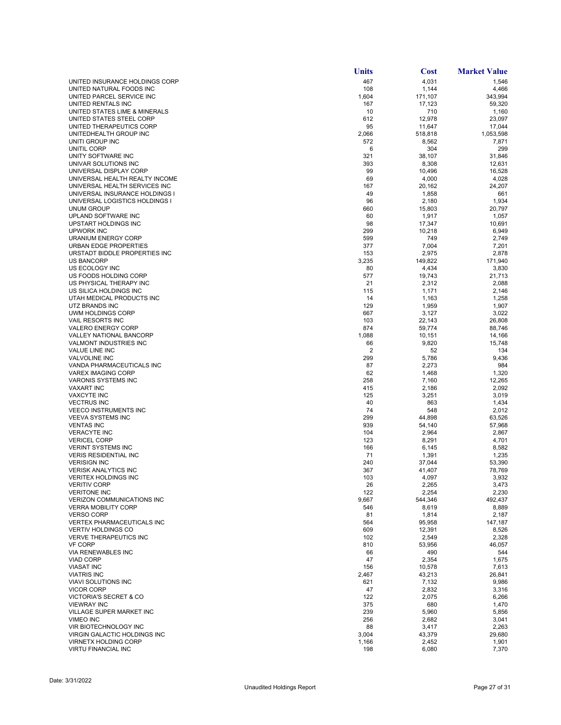|                                                                 | <b>Units</b> | <b>Cost</b>      | <b>Market Value</b> |
|-----------------------------------------------------------------|--------------|------------------|---------------------|
| UNITED INSURANCE HOLDINGS CORP                                  | 467          | 4,031            | 1,546               |
| UNITED NATURAL FOODS INC                                        | 108          | 1,144            | 4,466               |
| UNITED PARCEL SERVICE INC                                       | 1,604        | 171,107          | 343,994             |
| UNITED RENTALS INC                                              | 167          | 17,123           | 59,320              |
| UNITED STATES LIME & MINERALS<br>UNITED STATES STEEL CORP       | 10<br>612    | 710<br>12,978    | 1,160<br>23,097     |
| UNITED THERAPEUTICS CORP                                        | 95           | 11,647           | 17,044              |
| UNITEDHEALTH GROUP INC                                          | 2,066        | 518,818          | 1,053,598           |
| UNITI GROUP INC                                                 | 572          | 8,562            | 7,871               |
| UNITIL CORP                                                     | 6            | 304              | 299                 |
| UNITY SOFTWARE INC                                              | 321          | 38,107           | 31,846              |
| UNIVAR SOLUTIONS INC                                            | 393          | 8,308            | 12,631              |
| UNIVERSAL DISPLAY CORP                                          | 99           | 10,496           | 16,528              |
| UNIVERSAL HEALTH REALTY INCOME<br>UNIVERSAL HEALTH SERVICES INC | 69           | 4,000            | 4,028               |
| UNIVERSAL INSURANCE HOLDINGS I                                  | 167<br>49    | 20,162<br>1,858  | 24,207<br>661       |
| UNIVERSAL LOGISTICS HOLDINGS I                                  | 96           | 2,180            | 1,934               |
| UNUM GROUP                                                      | 660          | 15,803           | 20,797              |
| UPLAND SOFTWARE INC                                             | 60           | 1,917            | 1,057               |
| UPSTART HOLDINGS INC                                            | 98           | 17,347           | 10,691              |
| UPWORK INC                                                      | 299          | 10,218           | 6,949               |
| <b>URANIUM ENERGY CORP</b>                                      | 599          | 749              | 2,749               |
| URBAN EDGE PROPERTIES                                           | 377          | 7,004            | 7,201               |
| URSTADT BIDDLE PROPERTIES INC<br><b>US BANCORP</b>              | 153<br>3,235 | 2,975<br>149,822 | 2,878<br>171,940    |
| US ECOLOGY INC                                                  | 80           | 4,434            | 3,830               |
| US FOODS HOLDING CORP                                           | 577          | 19,743           | 21,713              |
| US PHYSICAL THERAPY INC                                         | 21           | 2,312            | 2,088               |
| US SILICA HOLDINGS INC                                          | 115          | 1,171            | 2,146               |
| UTAH MEDICAL PRODUCTS INC                                       | 14           | 1,163            | 1,258               |
| UTZ BRANDS INC                                                  | 129          | 1,959            | 1,907               |
| UWM HOLDINGS CORP                                               | 667          | 3,127            | 3,022               |
| <b>VAIL RESORTS INC</b>                                         | 103          | 22,143           | 26,808              |
| <b>VALERO ENERGY CORP</b><br>VALLEY NATIONAL BANCORP            | 874<br>1,088 | 59,774<br>10,151 | 88,746<br>14,166    |
| <b>VALMONT INDUSTRIES INC</b>                                   | 66           | 9,820            | 15,748              |
| <b>VALUE LINE INC</b>                                           | 2            | 52               | 134                 |
| <b>VALVOLINE INC</b>                                            | 299          | 5,786            | 9,436               |
| VANDA PHARMACEUTICALS INC                                       | 87           | 2,273            | 984                 |
| <b>VAREX IMAGING CORP</b>                                       | 62           | 1,468            | 1,320               |
| <b>VARONIS SYSTEMS INC</b>                                      | 258          | 7,160            | 12,265              |
| <b>VAXART INC</b><br><b>VAXCYTE INC</b>                         | 415<br>125   | 2,186            | 2,092               |
| <b>VECTRUS INC</b>                                              | 40           | 3,251<br>863     | 3,019<br>1,434      |
| <b>VEECO INSTRUMENTS INC</b>                                    | 74           | 548              | 2,012               |
| <b>VEEVA SYSTEMS INC</b>                                        | 299          | 44,898           | 63,526              |
| <b>VENTAS INC</b>                                               | 939          | 54,140           | 57,968              |
| <b>VERACYTE INC</b>                                             | 104          | 2,964            | 2,867               |
| <b>VERICEL CORP</b>                                             | 123          | 8,291            | 4,701               |
| <b>VERINT SYSTEMS INC</b>                                       | 166          | 6,145            | 8,582               |
| <b>VERIS RESIDENTIAL INC</b><br><b>VERISIGN INC</b>             | 71<br>240    | 1,391<br>37.044  | 1,235<br>53,390     |
| <b>VERISK ANALYTICS INC</b>                                     | 367          | 41,407           | 78,769              |
| <b>VERITEX HOLDINGS INC</b>                                     | 103          | 4,097            | 3.932               |
| <b>VERITIV CORP</b>                                             | 26           | 2,265            | 3,473               |
| <b>VERITONE INC</b>                                             | 122          | 2,254            | 2,230               |
| <b>VERIZON COMMUNICATIONS INC</b>                               | 9,667        | 544,346          | 492.437             |
| <b>VERRA MOBILITY CORP</b>                                      | 546          | 8,619            | 8,889               |
| <b>VERSO CORP</b><br><b>VERTEX PHARMACEUTICALS INC</b>          | 81           | 1,814            | 2,187               |
| <b>VERTIV HOLDINGS CO</b>                                       | 564<br>609   | 95,958<br>12,391 | 147,187<br>8,526    |
| <b>VERVE THERAPEUTICS INC</b>                                   | 102          | 2,549            | 2,328               |
| <b>VF CORP</b>                                                  | 810          | 53,956           | 46,057              |
| <b>VIA RENEWABLES INC</b>                                       | 66           | 490              | 544                 |
| <b>VIAD CORP</b>                                                | 47           | 2,354            | 1,675               |
| <b>VIASAT INC</b>                                               | 156          | 10,578           | 7,613               |
| <b>VIATRIS INC</b>                                              | 2,467        | 43,213           | 26,841              |
| <b>VIAVI SOLUTIONS INC</b>                                      | 621          | 7,132            | 9,986               |
| <b>VICOR CORP</b><br><b>VICTORIA'S SECRET &amp; CO</b>          | 47<br>122    | 2,832<br>2,075   | 3,316               |
| <b>VIEWRAY INC</b>                                              | 375          | 680              | 6,266<br>1,470      |
| VILLAGE SUPER MARKET INC                                        | 239          | 5,960            | 5,856               |
| <b>VIMEO INC</b>                                                | 256          | 2,682            | 3,041               |
| VIR BIOTECHNOLOGY INC                                           | 88           | 3,417            | 2,263               |
| VIRGIN GALACTIC HOLDINGS INC                                    | 3,004        | 43,379           | 29,680              |
| <b>VIRNETX HOLDING CORP</b>                                     | 1,166        | 2,452            | 1,901               |
| <b>VIRTU FINANCIAL INC</b>                                      | 198          | 6,080            | 7,370               |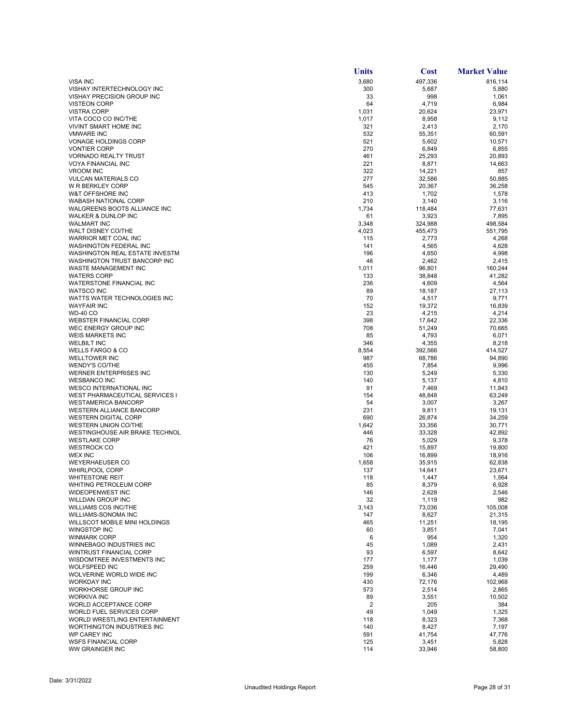|                                                                     | <b>Units</b> | <b>Cost</b>      | <b>Market Value</b> |
|---------------------------------------------------------------------|--------------|------------------|---------------------|
| <b>VISA INC</b>                                                     | 3,680        | 497,336          | 816,114             |
| VISHAY INTERTECHNOLOGY INC                                          | 300          | 5,687            | 5,880               |
| VISHAY PRECISION GROUP INC<br><b>VISTEON CORP</b>                   | 33<br>64     | 998<br>4,719     | 1,061<br>6,984      |
| <b>VISTRA CORP</b>                                                  | 1,031        | 20,624           | 23,971              |
| VITA COCO CO INC/THE                                                | 1,017        | 8,958            | 9,112               |
| <b>VIVINT SMART HOME INC</b>                                        | 321          | 2,413            | 2,170               |
| <b>VMWARE INC</b>                                                   | 532          | 55,351           | 60,591              |
| <b>VONAGE HOLDINGS CORP</b>                                         | 521          | 5,602            | 10,571              |
| <b>VONTIER CORP</b><br><b>VORNADO REALTY TRUST</b>                  | 270<br>461   | 6,849<br>25,293  | 6,855<br>20,893     |
| <b>VOYA FINANCIAL INC</b>                                           | 221          | 8,871            | 14,663              |
| <b>VROOM INC</b>                                                    | 322          | 14,221           | 857                 |
| <b>VULCAN MATERIALS CO</b>                                          | 277          | 32,586           | 50,885              |
| <b>W R BERKLEY CORP</b>                                             | 545          | 20,367           | 36,258              |
| W&T OFFSHORE INC                                                    | 413          | 1,702            | 1,578               |
| <b>WABASH NATIONAL CORP</b>                                         | 210          | 3,140            | 3,116               |
| WALGREENS BOOTS ALLIANCE INC<br>WALKER & DUNLOP INC                 | 1,734<br>61  | 118,484<br>3,923 | 77,631<br>7,895     |
| <b>WALMART INC</b>                                                  | 3,348        | 324,988          | 498,584             |
| WALT DISNEY CO/THE                                                  | 4,023        | 455,473          | 551,795             |
| WARRIOR MET COAL INC                                                | 115          | 2,773            | 4,268               |
| <b>WASHINGTON FEDERAL INC</b>                                       | 141          | 4,565            | 4,628               |
| WASHINGTON REAL ESTATE INVESTM                                      | 196          | 4,650            | 4,998               |
| WASHINGTON TRUST BANCORP INC                                        | 46           | 2,462            | 2,415               |
| WASTE MANAGEMENT INC<br><b>WATERS CORP</b>                          | 1,011<br>133 | 96,801           | 160,244<br>41,282   |
| WATERSTONE FINANCIAL INC                                            | 236          | 38,848<br>4,609  | 4,564               |
| <b>WATSCO INC</b>                                                   | 89           | 18,187           | 27,113              |
| WATTS WATER TECHNOLOGIES INC                                        | 70           | 4,517            | 9,771               |
| <b>WAYFAIR INC</b>                                                  | 152          | 19,372           | 16,839              |
| <b>WD-40 CO</b>                                                     | 23           | 4,215            | 4,214               |
| <b>WEBSTER FINANCIAL CORP</b>                                       | 398          | 17,642           | 22,336              |
| WEC ENERGY GROUP INC                                                | 708          | 51,249           | 70,665              |
| <b>WEIS MARKETS INC</b><br><b>WELBILT INC</b>                       | 85<br>346    | 4,793<br>4,355   | 6,071<br>8,218      |
| <b>WELLS FARGO &amp; CO</b>                                         | 8,554        | 392,566          | 414,527             |
| <b>WELLTOWER INC</b>                                                | 987          | 68,786           | 94,890              |
| <b>WENDY'S CO/THE</b>                                               | 455          | 7,854            | 9,996               |
| WERNER ENTERPRISES INC                                              | 130          | 5,249            | 5,330               |
| <b>WESBANCO INC</b>                                                 | 140          | 5,137            | 4,810               |
| <b>WESCO INTERNATIONAL INC</b>                                      | 91           | 7,469            | 11,843              |
| <b>WEST PHARMACEUTICAL SERVICES I</b><br><b>WESTAMERICA BANCORP</b> | 154<br>54    | 48,848<br>3,007  | 63,249<br>3,267     |
| <b>WESTERN ALLIANCE BANCORP</b>                                     | 231          | 9,811            | 19,131              |
| <b>WESTERN DIGITAL CORP</b>                                         | 690          | 26,874           | 34,259              |
| WESTERN UNION CO/THE                                                | 1,642        | 33,356           | 30,771              |
| WESTINGHOUSE AIR BRAKE TECHNOL                                      | 446          | 33,328           | 42.892              |
| <b>WESTLAKE CORP</b>                                                | 76           | 5,029            | 9,378               |
| <b>WESTROCK CO</b><br><b>WEX INC</b>                                | 421          | 15,897           | 19,800              |
| <b>WEYERHAEUSER CO</b>                                              | 106<br>1,658 | 16,899<br>35,915 | 18,916<br>62,838    |
| <b>WHIRLPOOL CORP</b>                                               | 137          | 14,641           | 23,671              |
| <b>WHITESTONE REIT</b>                                              | 118          | 1,447            | 1,564               |
| WHITING PETROLEUM CORP                                              | 85           | 8,379            | 6,928               |
| WIDEOPENWEST INC                                                    | 146          | 2,628            | 2,546               |
| WILLDAN GROUP INC                                                   | 32           | 1,119            | 982                 |
| <b>WILLIAMS COS INC/THE</b><br>WILLIAMS-SONOMA INC                  | 3,143<br>147 | 73,036<br>8,627  | 105,008<br>21,315   |
| WILLSCOT MOBILE MINI HOLDINGS                                       | 465          | 11,251           | 18,195              |
| WINGSTOP INC                                                        | 60           | 3,851            | 7,041               |
| <b>WINMARK CORP</b>                                                 | 6            | 954              | 1,320               |
| WINNEBAGO INDUSTRIES INC                                            | 45           | 1,089            | 2,431               |
| WINTRUST FINANCIAL CORP                                             | 93           | 6,597            | 8,642               |
| WISDOMTREE INVESTMENTS INC                                          | 177          | 1,177            | 1,039               |
| <b>WOLFSPEED INC</b><br>WOLVERINE WORLD WIDE INC                    | 259<br>199   | 16,446<br>6,346  | 29,490<br>4,489     |
| <b>WORKDAY INC</b>                                                  | 430          | 72,176           | 102,968             |
| WORKHORSE GROUP INC                                                 | 573          | 2,514            | 2,865               |
| <b>WORKIVA INC</b>                                                  | 89           | 3,551            | 10,502              |
| WORLD ACCEPTANCE CORP                                               | 2            | 205              | 384                 |
| WORLD FUEL SERVICES CORP                                            | 49           | 1,049            | 1,325               |
| WORLD WRESTLING ENTERTAINMENT                                       | 118          | 8,323            | 7,368               |
| WORTHINGTON INDUSTRIES INC<br><b>WP CAREY INC</b>                   | 140<br>591   | 8,427<br>41,754  | 7,197<br>47,776     |
| <b>WSFS FINANCIAL CORP</b>                                          | 125          | 3,451            | 5,828               |
| WW GRAINGER INC                                                     | 114          | 33,946           | 58,800              |
|                                                                     |              |                  |                     |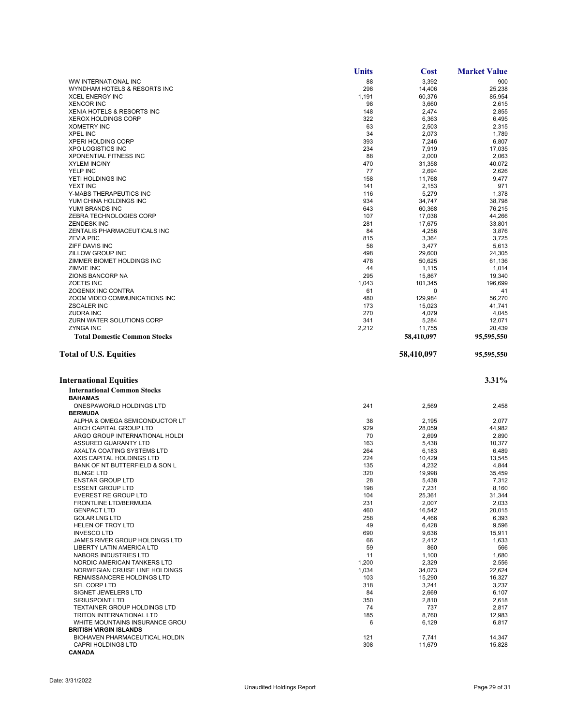**CANADA**

|                                                  | <b>Units</b> | <b>Cost</b>     | <b>Market Value</b> |
|--------------------------------------------------|--------------|-----------------|---------------------|
| WW INTERNATIONAL INC                             | 88           | 3,392           | 900                 |
| WYNDHAM HOTELS & RESORTS INC                     | 298          | 14,406          | 25,238              |
| <b>XCEL ENERGY INC</b>                           | 1,191        | 60,376          | 85,954              |
| <b>XENCOR INC</b>                                | 98           | 3,660           | 2,615               |
| XENIA HOTELS & RESORTS INC                       | 148          | 2,474           | 2,855               |
| <b>XEROX HOLDINGS CORP</b>                       | 322          | 6,363           | 6,495               |
| <b>XOMETRY INC</b>                               | 63           | 2,503           | 2,315               |
| <b>XPEL INC</b>                                  | 34           | 2,073           | 1,789               |
| <b>XPERI HOLDING CORP</b>                        | 393          | 7,246           | 6,807               |
| <b>XPO LOGISTICS INC</b>                         | 234          | 7,919           | 17,035              |
| XPONENTIAL FITNESS INC                           | 88           | 2,000           | 2,063               |
| <b>XYLEM INC/NY</b>                              | 470          | 31,358          | 40.072              |
| YELP INC                                         | 77           | 2,694           | 2,626               |
| YETI HOLDINGS INC                                | 158          | 11,768          | 9,477               |
| YEXT INC                                         | 141          | 2,153           | 971                 |
| Y-MABS THERAPEUTICS INC                          | 116          | 5,279           | 1,378               |
| YUM CHINA HOLDINGS INC                           | 934          | 34,747          | 38,798              |
| YUM! BRANDS INC                                  | 643          | 60,368          | 76,215              |
| ZEBRA TECHNOLOGIES CORP                          | 107          | 17,038          | 44,266              |
| <b>ZENDESK INC</b>                               | 281<br>84    | 17,675          | 33,801              |
| ZENTALIS PHARMACEUTICALS INC<br><b>ZEVIA PBC</b> | 815          | 4,256           | 3,876               |
| ZIFF DAVIS INC                                   | 58           | 3,364<br>3,477  | 3,725<br>5,613      |
| ZILLOW GROUP INC                                 | 498          | 29,600          | 24.305              |
| ZIMMER BIOMET HOLDINGS INC                       | 478          | 50,625          | 61,136              |
| <b>ZIMVIE INC</b>                                | 44           | 1,115           | 1,014               |
| ZIONS BANCORP NA                                 | 295          | 15,867          | 19,340              |
| <b>ZOETIS INC</b>                                | 1,043        | 101,345         | 196,699             |
| ZOGENIX INC CONTRA                               | 61           | 0               | 41                  |
| ZOOM VIDEO COMMUNICATIONS INC                    | 480          | 129,984         | 56,270              |
| <b>ZSCALER INC</b>                               | 173          | 15,023          | 41.741              |
| <b>ZUORA INC</b>                                 | 270          | 4,079           | 4,045               |
| ZURN WATER SOLUTIONS CORP                        | 341          | 5,284           | 12,071              |
| <b>ZYNGA INC</b>                                 | 2,212        | 11,755          | 20,439              |
| <b>Total Domestic Common Stocks</b>              |              | 58,410,097      | 95,595,550          |
| <b>Total of U.S. Equities</b>                    |              | 58,410,097      | 95,595,550          |
|                                                  |              |                 |                     |
| <b>International Equities</b>                    |              |                 | 3.31%               |
| <b>International Common Stocks</b>               |              |                 |                     |
| <b>BAHAMAS</b>                                   |              |                 |                     |
| ONESPAWORLD HOLDINGS LTD                         | 241          | 2,569           | 2,458               |
| <b>BERMUDA</b>                                   |              |                 |                     |
| ALPHA & OMEGA SEMICONDUCTOR LT                   | 38           | 2,195           | 2,077               |
| ARCH CAPITAL GROUP LTD                           | 929          | 28,059          | 44,982              |
| ARGO GROUP INTERNATIONAL HOLDI                   | 70           | 2,699           | 2,890               |
| ASSURED GUARANTY LTD                             | 163          | 5,438           | 10.377              |
| AXALTA COATING SYSTEMS LTD                       | 264          | 6,183           | 6,489               |
| AXIS CAPITAL HOLDINGS LTD                        | 224          | 10,429          | 13,545              |
| BANK OF NT BUTTERFIELD & SON L                   | 135          | 4,232           | 4,844               |
| <b>BUNGE LTD</b><br><b>ENSTAR GROUP LTD</b>      | 320<br>28    | 19,998<br>5,438 | 35,459<br>7,312     |
| <b>ESSENT GROUP LTD</b>                          | 198          |                 | 8,160               |
| <b>EVEREST RE GROUP LTD</b>                      | 104          | 7,231<br>25,361 | 31,344              |
| FRONTLINE LTD/BERMUDA                            | 231          | 2,007           | 2,033               |
| <b>GENPACT LTD</b>                               | 460          | 16,542          | 20,015              |
| <b>GOLAR LNG LTD</b>                             | 258          | 4,466           | 6,393               |
| HELEN OF TROY LTD                                | 49           | 6,428           | 9,596               |
| <b>INVESCOLTD</b>                                | 690          | 9,636           | 15,911              |
| JAMES RIVER GROUP HOLDINGS LTD                   | 66           | 2,412           | 1,633               |
| <b>LIBERTY LATIN AMERICA LTD</b>                 | 59           | 860             | 566                 |
| NABORS INDUSTRIES LTD                            | 11           | 1,100           | 1,680               |
| NORDIC AMERICAN TANKERS LTD                      | 1,200        | 2,329           | 2,556               |
| NORWEGIAN CRUISE LINE HOLDINGS                   | 1,034        | 34,073          | 22.624              |
| RENAISSANCERE HOLDINGS LTD                       | 103          | 15,290          | 16,327              |
| <b>SFL CORP LTD</b>                              | 318          | 3,241           | 3,237               |
| SIGNET JEWELERS LTD                              | 84           | 2,669           | 6,107               |
| SIRIUSPOINT LTD                                  | 350          | 2,810           | 2,618               |
| <b>TEXTAINER GROUP HOLDINGS LTD</b>              | 74           | 737             | 2,817               |
| <b>TRITON INTERNATIONAL LTD</b>                  | 185          | 8,760           | 12,983              |
| WHITE MOUNTAINS INSURANCE GROU                   | 6            | 6,129           | 6,817               |
| <b>BRITISH VIRGIN ISLANDS</b>                    |              |                 |                     |
| BIOHAVEN PHARMACEUTICAL HOLDIN                   | 121          | 7,741           | 14,347              |
| CAPRI HOLDINGS LTD                               | 308          | 11,679          | 15,828              |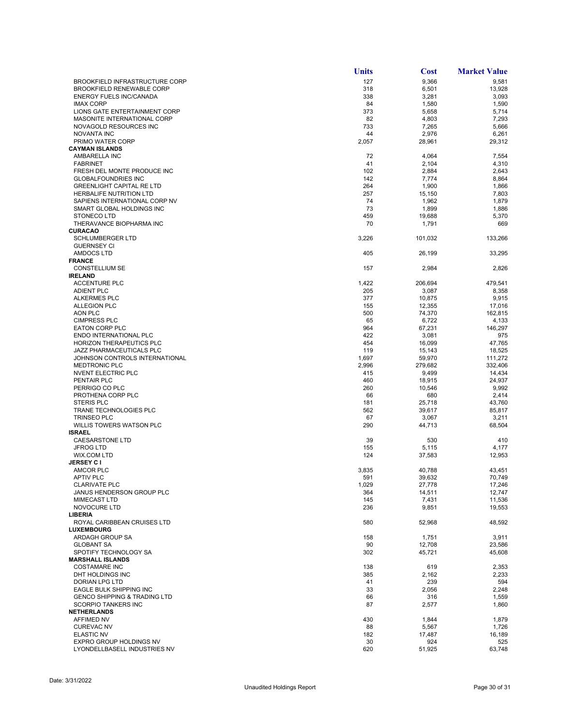|                                                              | <b>Units</b> | <b>Cost</b>      | <b>Market Value</b> |
|--------------------------------------------------------------|--------------|------------------|---------------------|
| <b>BROOKFIELD INFRASTRUCTURE CORP</b>                        | 127          | 9,366            | 9,581               |
| <b>BROOKFIELD RENEWABLE CORP</b>                             | 318          | 6,501            | 13,928              |
| <b>ENERGY FUELS INC/CANADA</b>                               | 338          | 3,281            | 3,093               |
| <b>IMAX CORP</b>                                             | 84           | 1,580            | 1,590               |
| LIONS GATE ENTERTAINMENT CORP<br>MASONITE INTERNATIONAL CORP | 373<br>82    | 5,658            | 5,714<br>7,293      |
| NOVAGOLD RESOURCES INC                                       | 733          | 4,803<br>7,265   | 5,666               |
| <b>NOVANTA INC</b>                                           | 44           | 2,976            | 6,261               |
| PRIMO WATER CORP                                             | 2,057        | 28,961           | 29,312              |
| <b>CAYMAN ISLANDS</b>                                        |              |                  |                     |
| AMBARELLA INC                                                | 72           | 4,064            | 7,554               |
| <b>FABRINET</b>                                              | 41           | 2,104            | 4,310               |
| FRESH DEL MONTE PRODUCE INC                                  | 102          | 2,884            | 2,643               |
| <b>GLOBALFOUNDRIES INC</b>                                   | 142          | 7,774            | 8,864               |
| <b>GREENLIGHT CAPITAL RE LTD</b><br>HERBALIFE NUTRITION LTD  | 264<br>257   | 1,900<br>15,150  | 1,866<br>7,803      |
| SAPIENS INTERNATIONAL CORP NV                                | 74           | 1,962            | 1,879               |
| SMART GLOBAL HOLDINGS INC                                    | 73           | 1,899            | 1,886               |
| <b>STONECO LTD</b>                                           | 459          | 19,688           | 5,370               |
| THERAVANCE BIOPHARMA INC                                     | 70           | 1,791            | 669                 |
| <b>CURACAO</b>                                               |              |                  |                     |
| <b>SCHLUMBERGER LTD</b>                                      | 3,226        | 101,032          | 133,266             |
| <b>GUERNSEY CI</b>                                           |              |                  |                     |
| AMDOCS LTD<br><b>FRANCE</b>                                  | 405          | 26,199           | 33,295              |
| <b>CONSTELLIUM SE</b>                                        | 157          | 2,984            | 2,826               |
| <b>IRELAND</b>                                               |              |                  |                     |
| <b>ACCENTURE PLC</b>                                         | 1,422        | 206,694          | 479,541             |
| <b>ADIENT PLC</b>                                            | 205          | 3,087            | 8,358               |
| <b>ALKERMES PLC</b>                                          | 377          | 10,875           | 9,915               |
| <b>ALLEGION PLC</b>                                          | 155          | 12,355           | 17,016              |
| AON PLC                                                      | 500          | 74,370           | 162,815             |
| <b>CIMPRESS PLC</b>                                          | 65           | 6,722            | 4,133               |
| <b>EATON CORP PLC</b><br><b>ENDO INTERNATIONAL PLC</b>       | 964<br>422   | 67,231<br>3,081  | 146,297<br>975      |
| HORIZON THERAPEUTICS PLC                                     | 454          | 16,099           | 47,765              |
| JAZZ PHARMACEUTICALS PLC                                     | 119          | 15,143           | 18,525              |
| JOHNSON CONTROLS INTERNATIONAL                               | 1,697        | 59,970           | 111,272             |
| <b>MEDTRONIC PLC</b>                                         | 2,996        | 279,682          | 332,406             |
| NVENT ELECTRIC PLC                                           | 415          | 9,499            | 14,434              |
| PENTAIR PLC                                                  | 460          | 18,915           | 24,937              |
| PERRIGO CO PLC                                               | 260          | 10,546           | 9,992               |
| PROTHENA CORP PLC                                            | 66           | 680              | 2,414               |
| <b>STERIS PLC</b><br>TRANE TECHNOLOGIES PLC                  | 181<br>562   | 25,718<br>39,617 | 43,760<br>85,817    |
| <b>TRINSEO PLC</b>                                           | 67           | 3,067            | 3,211               |
| <b>WILLIS TOWERS WATSON PLC</b>                              | 290          | 44,713           | 68,504              |
| <b>ISRAEL</b>                                                |              |                  |                     |
| <b>CAESARSTONE LTD</b>                                       | 39           | 530              | 410                 |
| <b>JFROG LTD</b>                                             | 155          | 5,115            | 4,177               |
| WIX.COM LTD                                                  | 124          | 37,583           | 12,953              |
| <b>JERSEY CI</b>                                             |              |                  |                     |
| <b>AMCOR PLC</b><br><b>APTIV PLC</b>                         | 3,835<br>591 | 40,788<br>39,632 | 43,451<br>70,749    |
| <b>CLARIVATE PLC</b>                                         | 1,029        | 27,778           | 17,246              |
| JANUS HENDERSON GROUP PLC                                    | 364          | 14,511           | 12,747              |
| <b>MIMECAST LTD</b>                                          | 145          | 7,431            | 11,536              |
| NOVOCURE LTD                                                 | 236          | 9,851            | 19,553              |
| <b>LIBERIA</b>                                               |              |                  |                     |
| ROYAL CARIBBEAN CRUISES LTD                                  | 580          | 52,968           | 48,592              |
| <b>LUXEMBOURG</b>                                            |              |                  |                     |
| ARDAGH GROUP SA<br><b>GLOBANT SA</b>                         | 158<br>90    | 1,751<br>12,708  | 3,911<br>23,586     |
| SPOTIFY TECHNOLOGY SA                                        | 302          | 45,721           | 45,608              |
| <b>MARSHALL ISLANDS</b>                                      |              |                  |                     |
| <b>COSTAMARE INC</b>                                         | 138          | 619              | 2,353               |
| DHT HOLDINGS INC                                             | 385          | 2,162            | 2,233               |
| DORIAN LPG LTD                                               | 41           | 239              | 594                 |
| EAGLE BULK SHIPPING INC                                      | 33           | 2,056            | 2,248               |
| <b>GENCO SHIPPING &amp; TRADING LTD</b>                      | 66           | 316              | 1,559               |
| <b>SCORPIO TANKERS INC</b><br><b>NETHERLANDS</b>             | 87           | 2,577            | 1,860               |
| <b>AFFIMED NV</b>                                            | 430          | 1,844            | 1,879               |
| <b>CUREVAC NV</b>                                            | 88           | 5,567            | 1,726               |
| <b>ELASTIC NV</b>                                            | 182          | 17,487           | 16,189              |
| EXPRO GROUP HOLDINGS NV                                      | 30           | 924              | 525                 |
| LYONDELLBASELL INDUSTRIES NV                                 | 620          | 51,925           | 63,748              |